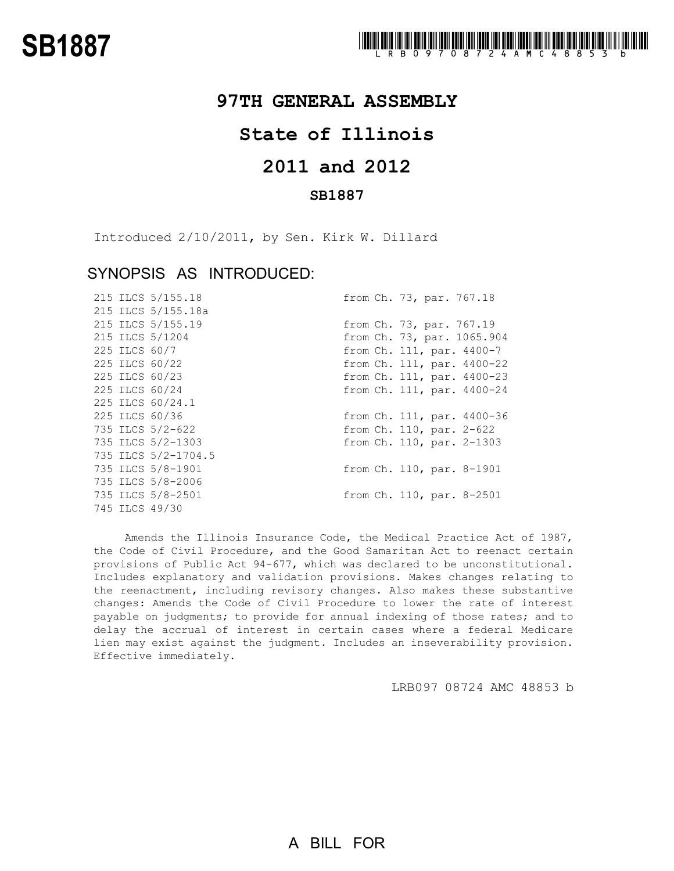## **97TH GENERAL ASSEMBLY**

## **State of Illinois**

# **2011 and 2012**

### **SB1887**

Introduced 2/10/2011, by Sen. Kirk W. Dillard

### SYNOPSIS AS INTRODUCED:

|  | 215 ILCS 5/155.18   | from Ch. 73, par. 767.18   |
|--|---------------------|----------------------------|
|  | 215 ILCS 5/155.18a  |                            |
|  | 215 ILCS 5/155.19   | from Ch. 73, par. 767.19   |
|  | 215 ILCS 5/1204     | from Ch. 73, par. 1065.904 |
|  | 225 ILCS 60/7       | from Ch. 111, par. 4400-7  |
|  | 225 ILCS 60/22      | from Ch. 111, par. 4400-22 |
|  | 225 ILCS 60/23      | from Ch. 111, par. 4400-23 |
|  | 225 ILCS 60/24      | from Ch. 111, par. 4400-24 |
|  | 225 ILCS 60/24.1    |                            |
|  | 225 ILCS 60/36      | from Ch. 111, par. 4400-36 |
|  | 735 ILCS 5/2-622    | from Ch. 110, par. 2-622   |
|  | 735 ILCS 5/2-1303   | from Ch. 110, par. 2-1303  |
|  | 735 ILCS 5/2-1704.5 |                            |
|  | 735 ILCS 5/8-1901   | from Ch. 110, par. 8-1901  |
|  | 735 ILCS 5/8-2006   |                            |
|  | 735 ILCS 5/8-2501   | from Ch. 110, par. 8-2501  |
|  | 745 ILCS 49/30      |                            |

Amends the Illinois Insurance Code, the Medical Practice Act of 1987, the Code of Civil Procedure, and the Good Samaritan Act to reenact certain provisions of Public Act 94-677, which was declared to be unconstitutional. Includes explanatory and validation provisions. Makes changes relating to the reenactment, including revisory changes. Also makes these substantive changes: Amends the Code of Civil Procedure to lower the rate of interest payable on judgments; to provide for annual indexing of those rates; and to delay the accrual of interest in certain cases where a federal Medicare lien may exist against the judgment. Includes an inseverability provision. Effective immediately.

LRB097 08724 AMC 48853 b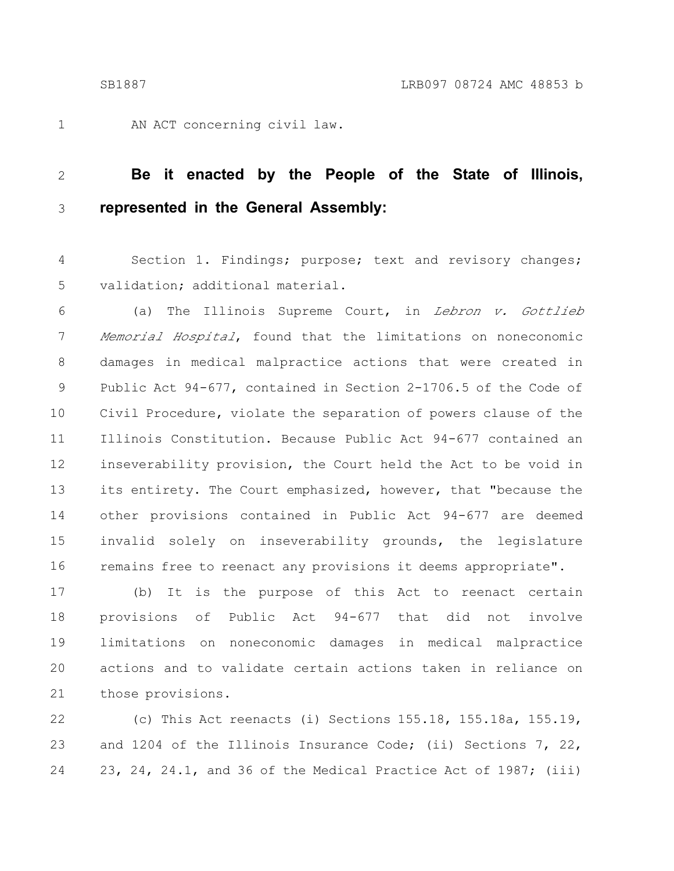1

AN ACT concerning civil law.

#### **Be it enacted by the People of the State of Illinois, represented in the General Assembly:** 2 3

Section 1. Findings; purpose; text and revisory changes; validation; additional material. 4 5

(a) The Illinois Supreme Court, in Lebron v. Gottlieb Memorial Hospital, found that the limitations on noneconomic damages in medical malpractice actions that were created in Public Act 94-677, contained in Section 2-1706.5 of the Code of Civil Procedure, violate the separation of powers clause of the Illinois Constitution. Because Public Act 94-677 contained an inseverability provision, the Court held the Act to be void in its entirety. The Court emphasized, however, that "because the other provisions contained in Public Act 94-677 are deemed invalid solely on inseverability grounds, the legislature remains free to reenact any provisions it deems appropriate". 6 7 8 9 10 11 12 13 14 15 16

(b) It is the purpose of this Act to reenact certain provisions of Public Act 94-677 that did not involve limitations on noneconomic damages in medical malpractice actions and to validate certain actions taken in reliance on those provisions. 17 18 19 20 21

(c) This Act reenacts (i) Sections 155.18, 155.18a, 155.19, and 1204 of the Illinois Insurance Code; (ii) Sections 7, 22, 23, 24, 24.1, and 36 of the Medical Practice Act of 1987; (iii) 22 23 24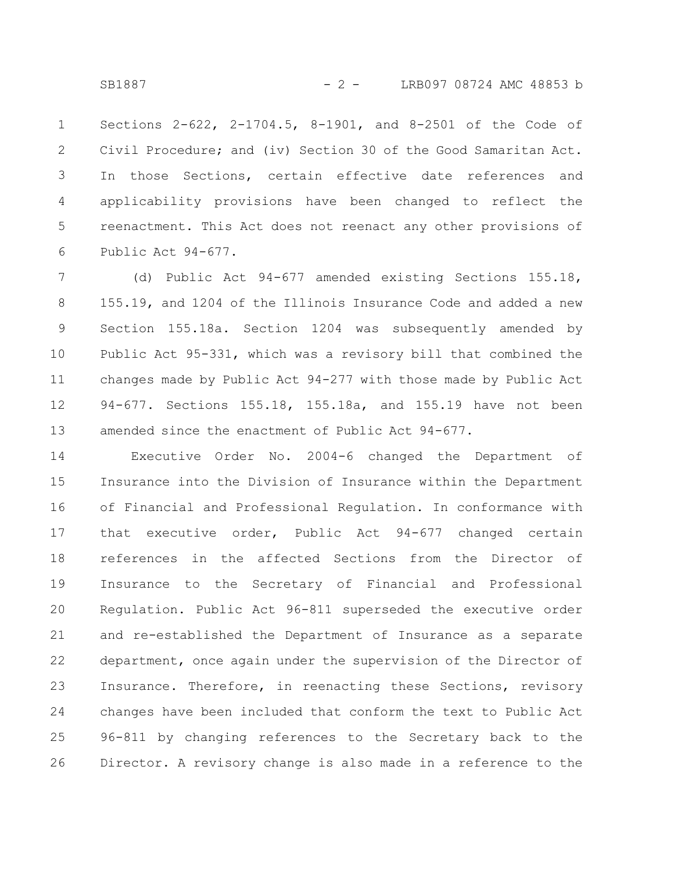Sections 2-622, 2-1704.5, 8-1901, and 8-2501 of the Code of Civil Procedure; and (iv) Section 30 of the Good Samaritan Act. In those Sections, certain effective date references and applicability provisions have been changed to reflect the reenactment. This Act does not reenact any other provisions of Public Act 94-677. 1 2 3 4 5 6

(d) Public Act 94-677 amended existing Sections 155.18, 155.19, and 1204 of the Illinois Insurance Code and added a new Section 155.18a. Section 1204 was subsequently amended by Public Act 95-331, which was a revisory bill that combined the changes made by Public Act 94-277 with those made by Public Act 94-677. Sections 155.18, 155.18a, and 155.19 have not been amended since the enactment of Public Act 94-677. 7 8 9 10 11 12 13

Executive Order No. 2004-6 changed the Department of Insurance into the Division of Insurance within the Department of Financial and Professional Regulation. In conformance with that executive order, Public Act 94-677 changed certain references in the affected Sections from the Director of Insurance to the Secretary of Financial and Professional Regulation. Public Act 96-811 superseded the executive order and re-established the Department of Insurance as a separate department, once again under the supervision of the Director of Insurance. Therefore, in reenacting these Sections, revisory changes have been included that conform the text to Public Act 96-811 by changing references to the Secretary back to the Director. A revisory change is also made in a reference to the 14 15 16 17 18 19 20 21 22 23 24 25 26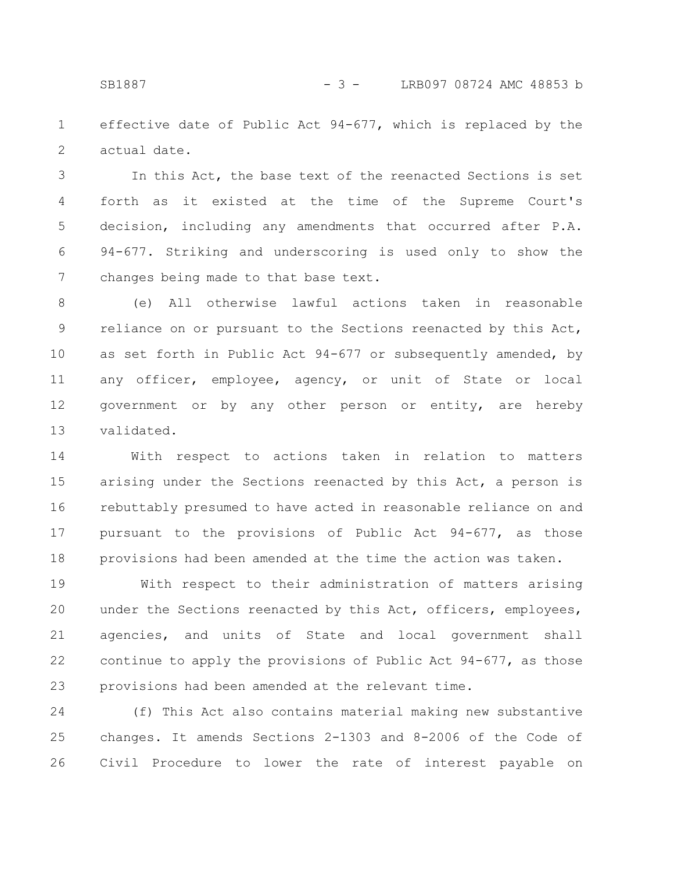effective date of Public Act 94-677, which is replaced by the actual date. 1 2

In this Act, the base text of the reenacted Sections is set forth as it existed at the time of the Supreme Court's decision, including any amendments that occurred after P.A. 94-677. Striking and underscoring is used only to show the changes being made to that base text. 3 4 5 6 7

(e) All otherwise lawful actions taken in reasonable reliance on or pursuant to the Sections reenacted by this Act, as set forth in Public Act 94-677 or subsequently amended, by any officer, employee, agency, or unit of State or local government or by any other person or entity, are hereby validated. 8 9 10 11 12 13

With respect to actions taken in relation to matters arising under the Sections reenacted by this Act, a person is rebuttably presumed to have acted in reasonable reliance on and pursuant to the provisions of Public Act 94-677, as those provisions had been amended at the time the action was taken. 14 15 16 17 18

With respect to their administration of matters arising under the Sections reenacted by this Act, officers, employees, agencies, and units of State and local government shall continue to apply the provisions of Public Act 94-677, as those provisions had been amended at the relevant time. 19 20 21 22 23

(f) This Act also contains material making new substantive changes. It amends Sections 2-1303 and 8-2006 of the Code of Civil Procedure to lower the rate of interest payable on 24 25 26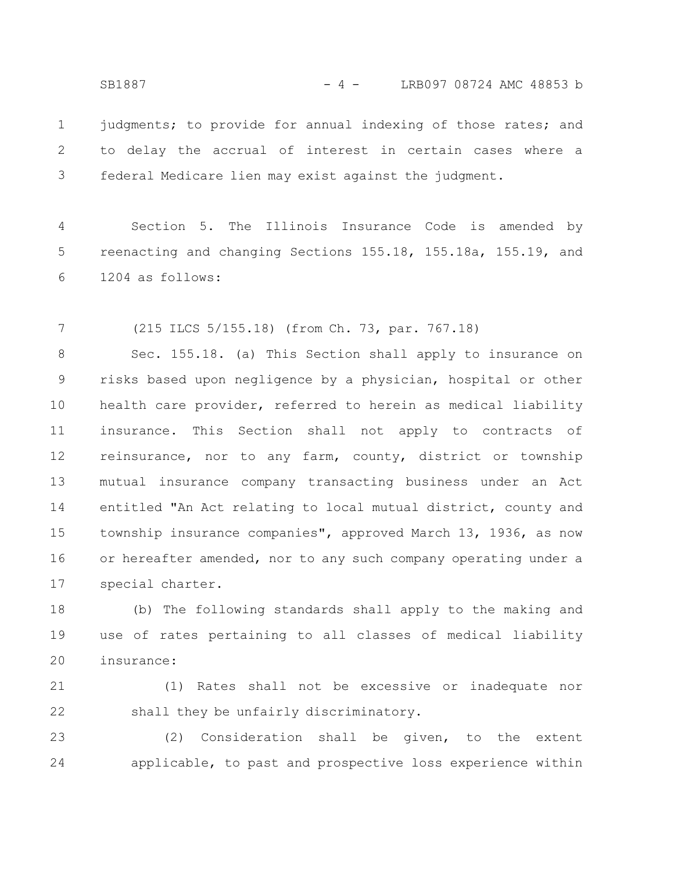SB1887 - 4 - LRB097 08724 AMC 48853 b

judgments; to provide for annual indexing of those rates; and to delay the accrual of interest in certain cases where a federal Medicare lien may exist against the judgment. 1 2 3

Section 5. The Illinois Insurance Code is amended by reenacting and changing Sections 155.18, 155.18a, 155.19, and 1204 as follows: 4 5 6

(215 ILCS 5/155.18) (from Ch. 73, par. 767.18) 7

Sec. 155.18. (a) This Section shall apply to insurance on risks based upon negligence by a physician, hospital or other health care provider, referred to herein as medical liability insurance. This Section shall not apply to contracts of reinsurance, nor to any farm, county, district or township mutual insurance company transacting business under an Act entitled "An Act relating to local mutual district, county and township insurance companies", approved March 13, 1936, as now or hereafter amended, nor to any such company operating under a special charter. 8 9 10 11 12 13 14 15 16 17

(b) The following standards shall apply to the making and use of rates pertaining to all classes of medical liability insurance: 18 19 20

(1) Rates shall not be excessive or inadequate nor shall they be unfairly discriminatory. 21 22

(2) Consideration shall be given, to the extent applicable, to past and prospective loss experience within 23 24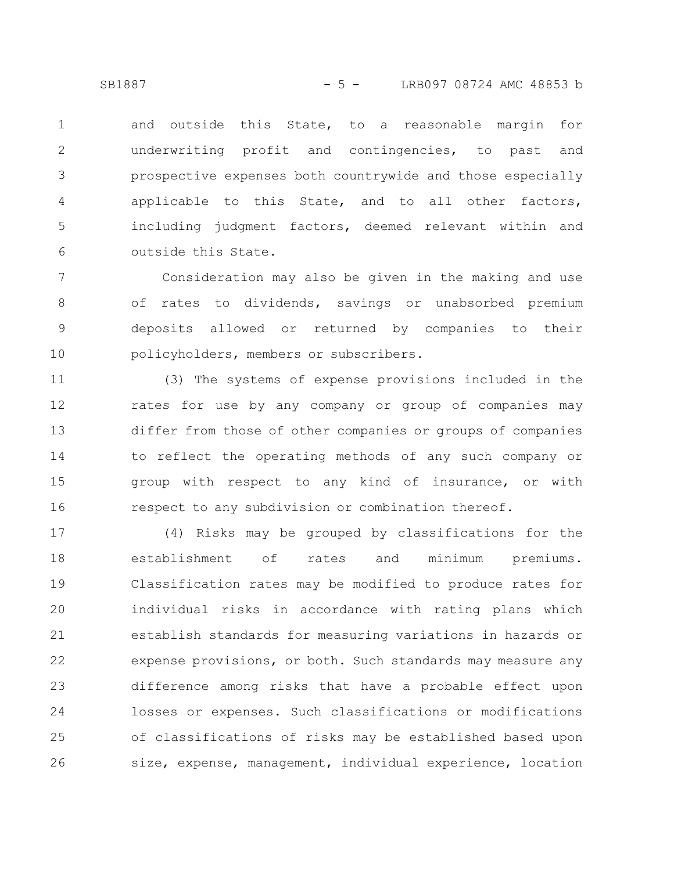and outside this State, to a reasonable margin for underwriting profit and contingencies, to past and prospective expenses both countrywide and those especially applicable to this State, and to all other factors, including judgment factors, deemed relevant within and outside this State. 1 2 3 4 5 6

Consideration may also be given in the making and use of rates to dividends, savings or unabsorbed premium deposits allowed or returned by companies to their policyholders, members or subscribers. 7 8 9 10

(3) The systems of expense provisions included in the rates for use by any company or group of companies may differ from those of other companies or groups of companies to reflect the operating methods of any such company or group with respect to any kind of insurance, or with respect to any subdivision or combination thereof. 11 12 13 14 15 16

(4) Risks may be grouped by classifications for the establishment of rates and minimum premiums. Classification rates may be modified to produce rates for individual risks in accordance with rating plans which establish standards for measuring variations in hazards or expense provisions, or both. Such standards may measure any difference among risks that have a probable effect upon losses or expenses. Such classifications or modifications of classifications of risks may be established based upon size, expense, management, individual experience, location 17 18 19 20 21 22 23 24 25 26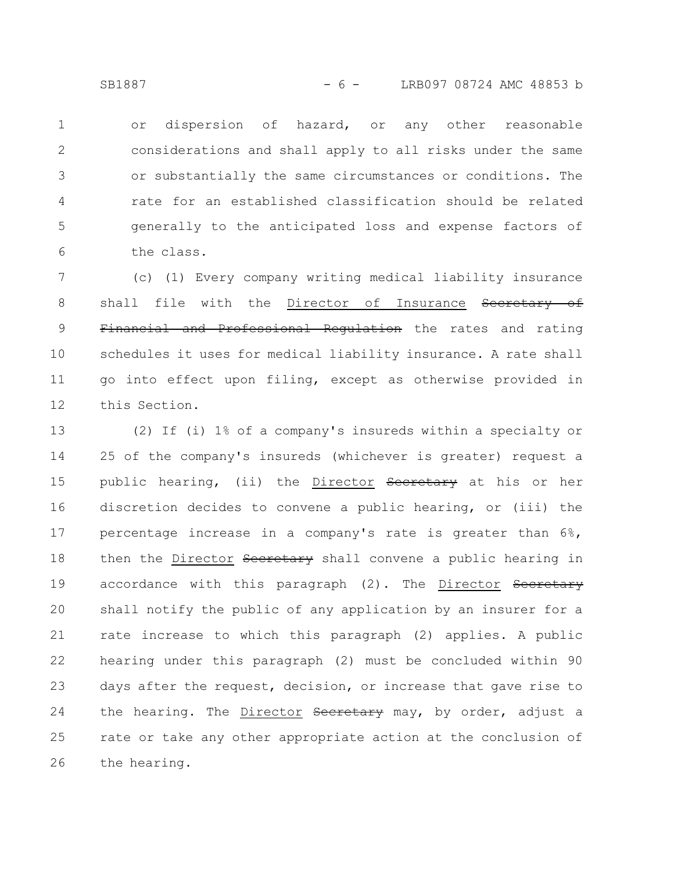or dispersion of hazard, or any other reasonable considerations and shall apply to all risks under the same or substantially the same circumstances or conditions. The rate for an established classification should be related generally to the anticipated loss and expense factors of the class. 1 2 3 4 5 6

(c) (1) Every company writing medical liability insurance shall file with the Director of Insurance Secretary of Financial and Professional Regulation the rates and rating schedules it uses for medical liability insurance. A rate shall go into effect upon filing, except as otherwise provided in this Section. 7 8 9 10 11 12

(2) If (i) 1% of a company's insureds within a specialty or 25 of the company's insureds (whichever is greater) request a public hearing, (ii) the Director Secretary at his or her discretion decides to convene a public hearing, or (iii) the percentage increase in a company's rate is greater than 6%, then the Director Secretary shall convene a public hearing in accordance with this paragraph (2). The Director Secretary shall notify the public of any application by an insurer for a rate increase to which this paragraph (2) applies. A public hearing under this paragraph (2) must be concluded within 90 days after the request, decision, or increase that gave rise to the hearing. The Director Secretary may, by order, adjust a rate or take any other appropriate action at the conclusion of the hearing. 13 14 15 16 17 18 19 20 21 22 23 24 25 26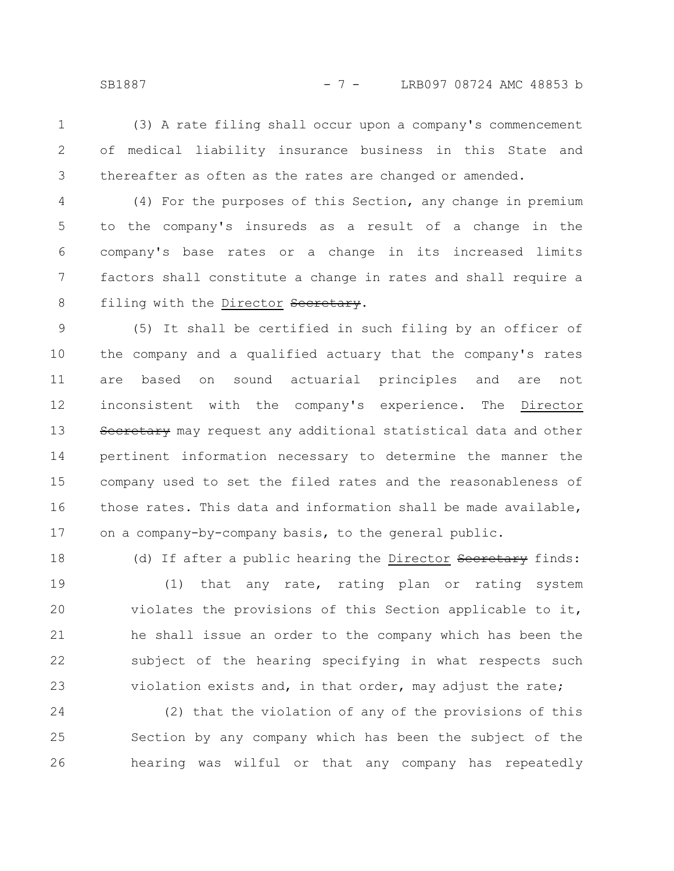(3) A rate filing shall occur upon a company's commencement of medical liability insurance business in this State and thereafter as often as the rates are changed or amended. 1 2 3

(4) For the purposes of this Section, any change in premium to the company's insureds as a result of a change in the company's base rates or a change in its increased limits factors shall constitute a change in rates and shall require a filing with the Director Secretary. 4 5 6 7 8

(5) It shall be certified in such filing by an officer of the company and a qualified actuary that the company's rates are based on sound actuarial principles and are not inconsistent with the company's experience. The Director Secretary may request any additional statistical data and other pertinent information necessary to determine the manner the company used to set the filed rates and the reasonableness of those rates. This data and information shall be made available, on a company-by-company basis, to the general public. 9 10 11 12 13 14 15 16 17

(d) If after a public hearing the Director Secretary finds: (1) that any rate, rating plan or rating system violates the provisions of this Section applicable to it, he shall issue an order to the company which has been the subject of the hearing specifying in what respects such violation exists and, in that order, may adjust the rate; 18 19 20 21 22 23

(2) that the violation of any of the provisions of this Section by any company which has been the subject of the hearing was wilful or that any company has repeatedly 24 25 26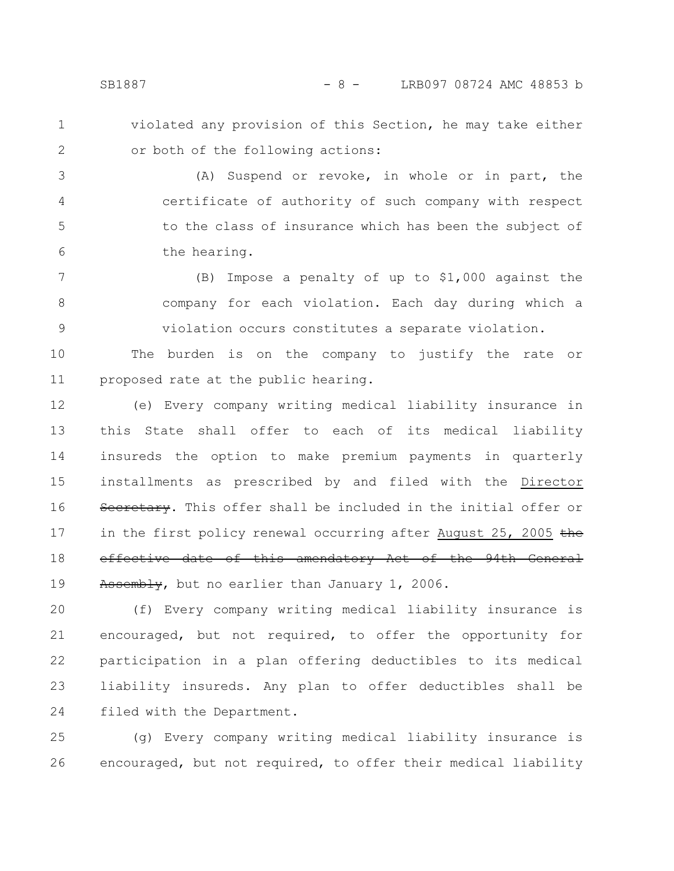- 
- 1 2

violated any provision of this Section, he may take either or both of the following actions:

(A) Suspend or revoke, in whole or in part, the certificate of authority of such company with respect to the class of insurance which has been the subject of the hearing. 3 4 5 6

(B) Impose a penalty of up to \$1,000 against the company for each violation. Each day during which a violation occurs constitutes a separate violation. 7 8 9

The burden is on the company to justify the rate or proposed rate at the public hearing. 10 11

(e) Every company writing medical liability insurance in this State shall offer to each of its medical liability insureds the option to make premium payments in quarterly installments as prescribed by and filed with the Director Secretary. This offer shall be included in the initial offer or in the first policy renewal occurring after August 25, 2005  $t$ he effective date of this amendatory Act of the 94th General Assembly, but no earlier than January 1, 2006. 12 13 14 15 16 17 18 19

(f) Every company writing medical liability insurance is encouraged, but not required, to offer the opportunity for participation in a plan offering deductibles to its medical liability insureds. Any plan to offer deductibles shall be filed with the Department. 20 21 22 23 24

(g) Every company writing medical liability insurance is encouraged, but not required, to offer their medical liability 25 26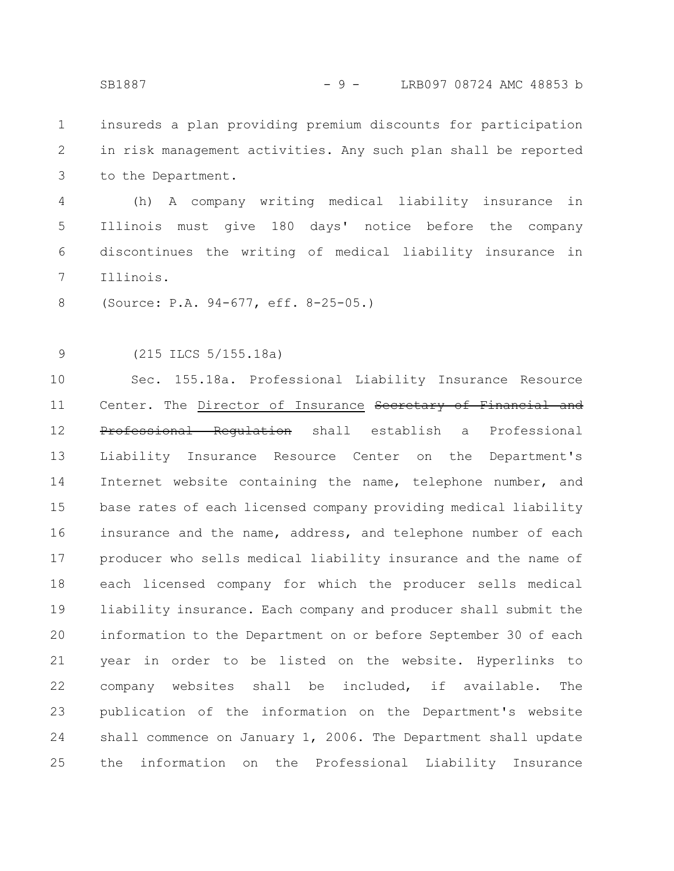insureds a plan providing premium discounts for participation in risk management activities. Any such plan shall be reported to the Department. 1 2 3

(h) A company writing medical liability insurance in Illinois must give 180 days' notice before the company discontinues the writing of medical liability insurance in Illinois. 4 5 6 7

(Source: P.A. 94-677, eff. 8-25-05.) 8

(215 ILCS 5/155.18a) 9

Sec. 155.18a. Professional Liability Insurance Resource Center. The Director of Insurance Secretary of Financial and Professional Regulation shall establish a Professional Liability Insurance Resource Center on the Department's Internet website containing the name, telephone number, and base rates of each licensed company providing medical liability insurance and the name, address, and telephone number of each producer who sells medical liability insurance and the name of each licensed company for which the producer sells medical liability insurance. Each company and producer shall submit the information to the Department on or before September 30 of each year in order to be listed on the website. Hyperlinks to company websites shall be included, if available. The publication of the information on the Department's website shall commence on January 1, 2006. The Department shall update the information on the Professional Liability Insurance 10 11 12 13 14 15 16 17 18 19 20 21 22 23 24 25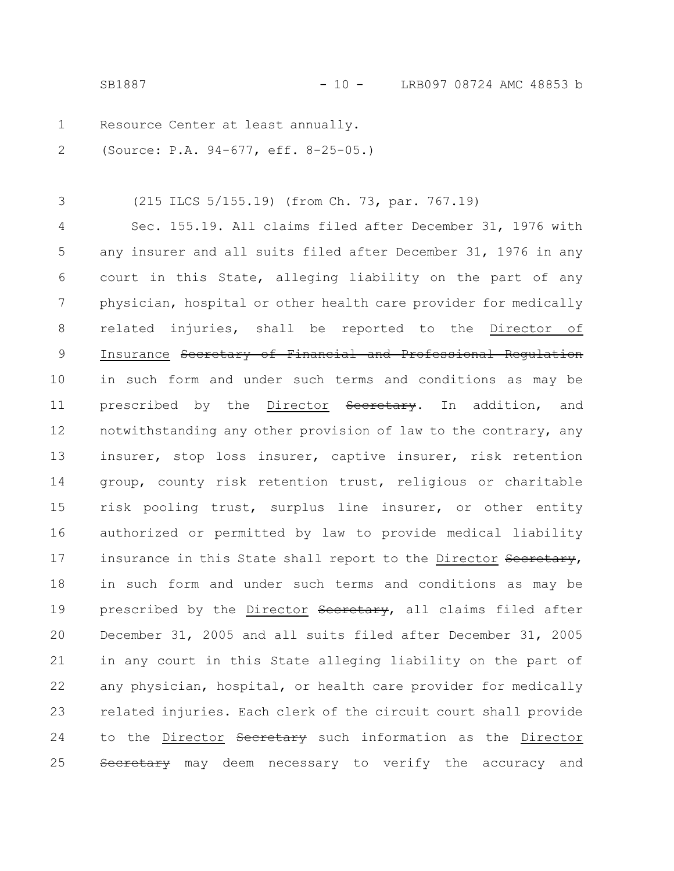SB1887 - 10 - LRB097 08724 AMC 48853 b

Resource Center at least annually. 1

(Source: P.A. 94-677, eff. 8-25-05.) 2

(215 ILCS 5/155.19) (from Ch. 73, par. 767.19) 3

Sec. 155.19. All claims filed after December 31, 1976 with any insurer and all suits filed after December 31, 1976 in any court in this State, alleging liability on the part of any physician, hospital or other health care provider for medically related injuries, shall be reported to the Director of Insurance Secretary of Financial and Professional Regulation in such form and under such terms and conditions as may be prescribed by the Director Secretary. In addition, and notwithstanding any other provision of law to the contrary, any insurer, stop loss insurer, captive insurer, risk retention group, county risk retention trust, religious or charitable risk pooling trust, surplus line insurer, or other entity authorized or permitted by law to provide medical liability insurance in this State shall report to the Director Secretary, in such form and under such terms and conditions as may be prescribed by the Director Secretary, all claims filed after December 31, 2005 and all suits filed after December 31, 2005 in any court in this State alleging liability on the part of any physician, hospital, or health care provider for medically related injuries. Each clerk of the circuit court shall provide to the Director Secretary such information as the Director Secretary may deem necessary to verify the accuracy and 4 5 6 7 8 9 10 11 12 13 14 15 16 17 18 19 20 21 22 23 24 25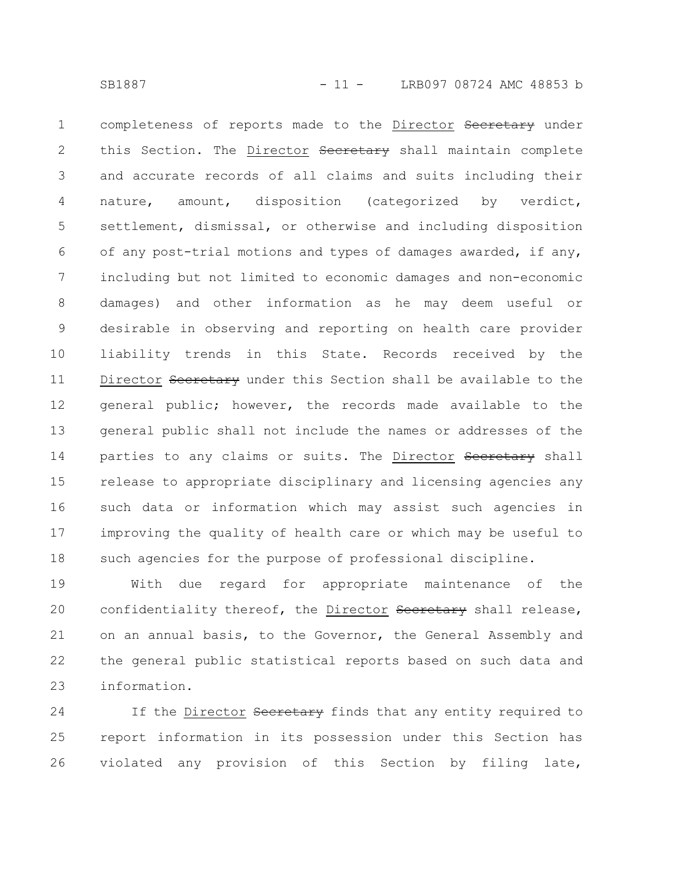completeness of reports made to the Director Secretary under this Section. The Director Secretary shall maintain complete and accurate records of all claims and suits including their nature, amount, disposition (categorized by verdict, settlement, dismissal, or otherwise and including disposition of any post-trial motions and types of damages awarded, if any, including but not limited to economic damages and non-economic damages) and other information as he may deem useful or desirable in observing and reporting on health care provider liability trends in this State. Records received by the Director Secretary under this Section shall be available to the general public; however, the records made available to the general public shall not include the names or addresses of the parties to any claims or suits. The Director Secretary shall release to appropriate disciplinary and licensing agencies any such data or information which may assist such agencies in improving the quality of health care or which may be useful to such agencies for the purpose of professional discipline. 1 2 3 4 5 6 7 8 9 10 11 12 13 14 15 16 17 18

With due regard for appropriate maintenance of the confidentiality thereof, the Director Secretary shall release, on an annual basis, to the Governor, the General Assembly and the general public statistical reports based on such data and information. 19 20 21 22 23

If the Director Secretary finds that any entity required to report information in its possession under this Section has violated any provision of this Section by filing late, 24 25 26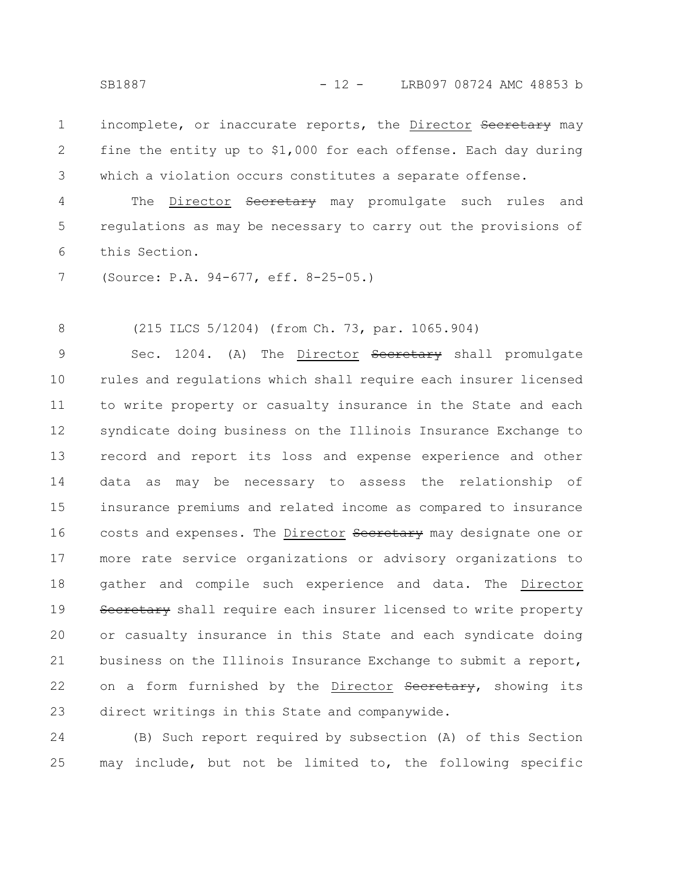incomplete, or inaccurate reports, the Director Secretary may fine the entity up to \$1,000 for each offense. Each day during which a violation occurs constitutes a separate offense. 1 2 3

The Director Secretary may promulgate such rules and regulations as may be necessary to carry out the provisions of this Section. 4 5 6

(Source: P.A. 94-677, eff. 8-25-05.) 7

(215 ILCS 5/1204) (from Ch. 73, par. 1065.904) 8

Sec. 1204. (A) The Director Secretary shall promulgate rules and regulations which shall require each insurer licensed to write property or casualty insurance in the State and each syndicate doing business on the Illinois Insurance Exchange to record and report its loss and expense experience and other data as may be necessary to assess the relationship of insurance premiums and related income as compared to insurance costs and expenses. The Director Secretary may designate one or more rate service organizations or advisory organizations to gather and compile such experience and data. The Director Secretary shall require each insurer licensed to write property or casualty insurance in this State and each syndicate doing business on the Illinois Insurance Exchange to submit a report, on a form furnished by the Director Secretary, showing its direct writings in this State and companywide. 9 10 11 12 13 14 15 16 17 18 19 20 21 22 23

(B) Such report required by subsection (A) of this Section may include, but not be limited to, the following specific 24 25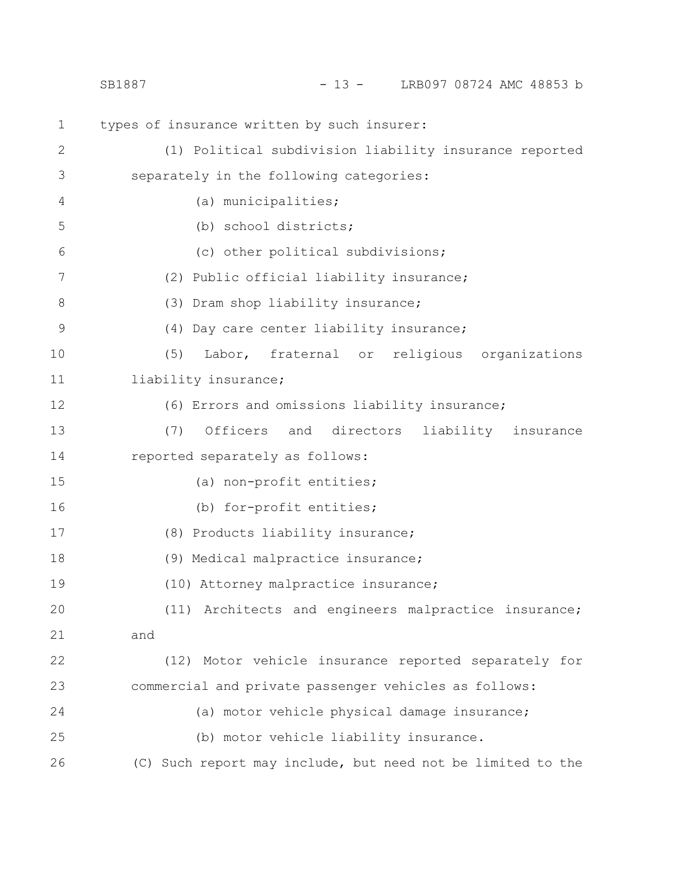|              | $-13 -$<br>LRB097 08724 AMC 48853 b<br>SB1887               |
|--------------|-------------------------------------------------------------|
| $\mathbf 1$  | types of insurance written by such insurer:                 |
| $\mathbf{2}$ | (1) Political subdivision liability insurance reported      |
| 3            | separately in the following categories:                     |
| 4            | (a) municipalities;                                         |
| 5            | (b) school districts;                                       |
| 6            | (c) other political subdivisions;                           |
| 7            | (2) Public official liability insurance;                    |
| $8\,$        | (3) Dram shop liability insurance;                          |
| 9            | (4) Day care center liability insurance;                    |
| 10           | (5)<br>Labor, fraternal or religious organizations          |
| 11           | liability insurance;                                        |
| 12           | (6) Errors and omissions liability insurance;               |
| 13           | (7)<br>Officers<br>and<br>directors<br>liability insurance  |
| 14           | reported separately as follows:                             |
| 15           | (a) non-profit entities;                                    |
| 16           | (b) for-profit entities;                                    |
| 17           | (8) Products liability insurance;                           |
| 18           | (9) Medical malpractice insurance;                          |
| 19           | (10) Attorney malpractice insurance;                        |
| 20           | (11) Architects and engineers malpractice insurance;        |
| 21           | and                                                         |
| 22           | (12) Motor vehicle insurance reported separately for        |
| 23           | commercial and private passenger vehicles as follows:       |
| 24           | (a) motor vehicle physical damage insurance;                |
| 25           | (b) motor vehicle liability insurance.                      |
| 26           | (C) Such report may include, but need not be limited to the |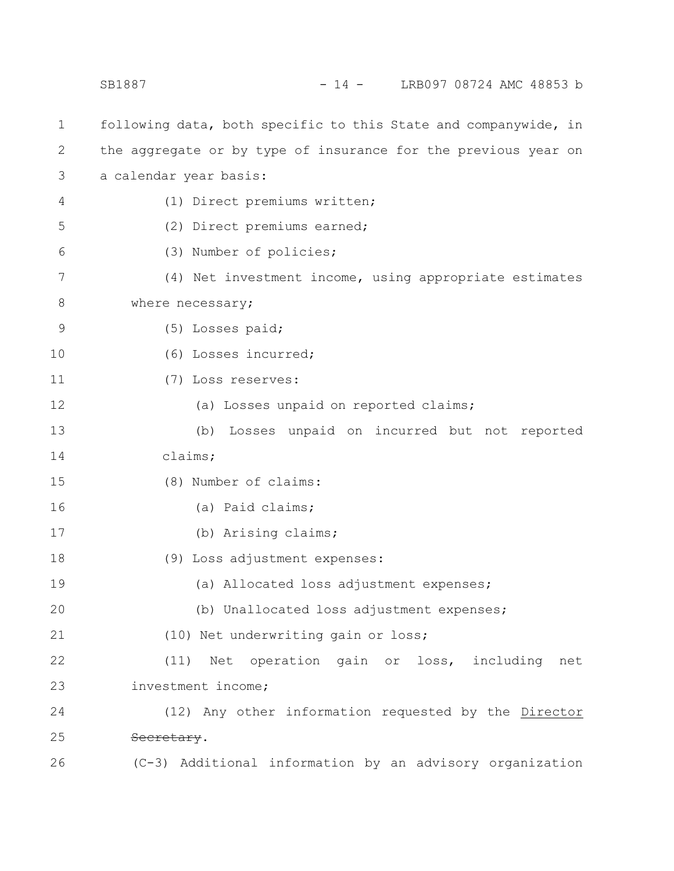following data, both specific to this State and companywide, in the aggregate or by type of insurance for the previous year on a calendar year basis: (1) Direct premiums written; (2) Direct premiums earned; (3) Number of policies; (4) Net investment income, using appropriate estimates where necessary; (5) Losses paid; (6) Losses incurred; (7) Loss reserves: (a) Losses unpaid on reported claims; (b) Losses unpaid on incurred but not reported claims; (8) Number of claims: (a) Paid claims; (b) Arising claims; (9) Loss adjustment expenses: (a) Allocated loss adjustment expenses; (b) Unallocated loss adjustment expenses; (10) Net underwriting gain or loss; (11) Net operation gain or loss, including net investment income; (12) Any other information requested by the Director Secretary. (C-3) Additional information by an advisory organization 1 2 3 4 5 6 7 8 9 10 11 12 13 14 15 16 17 18 19 20 21 22 23 24 25 26 SB1887 - 14 - LRB097 08724 AMC 48853 b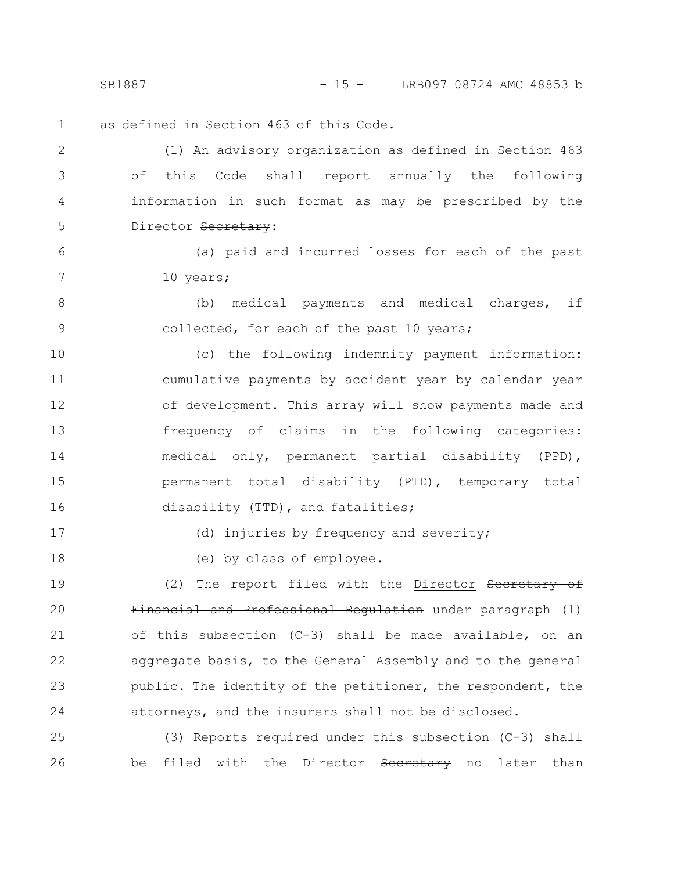SB1887 - 15 - LRB097 08724 AMC 48853 b

as defined in Section 463 of this Code. 1

(1) An advisory organization as defined in Section 463 of this Code shall report annually the following information in such format as may be prescribed by the Director Secretary: 2 3 4 5

(a) paid and incurred losses for each of the past 10 years;

(b) medical payments and medical charges, if collected, for each of the past 10 years; 8 9

(c) the following indemnity payment information: cumulative payments by accident year by calendar year of development. This array will show payments made and frequency of claims in the following categories: medical only, permanent partial disability (PPD), permanent total disability (PTD), temporary total disability (TTD), and fatalities; 10 11 12 13 14 15 16

17

6

7

18

(d) injuries by frequency and severity;

(e) by class of employee.

(2) The report filed with the Director Secretary of Financial and Professional Regulation under paragraph (1) of this subsection (C-3) shall be made available, on an aggregate basis, to the General Assembly and to the general public. The identity of the petitioner, the respondent, the attorneys, and the insurers shall not be disclosed. 19 20 21 22 23 24

(3) Reports required under this subsection (C-3) shall be filed with the Director Secretary no later than 25 26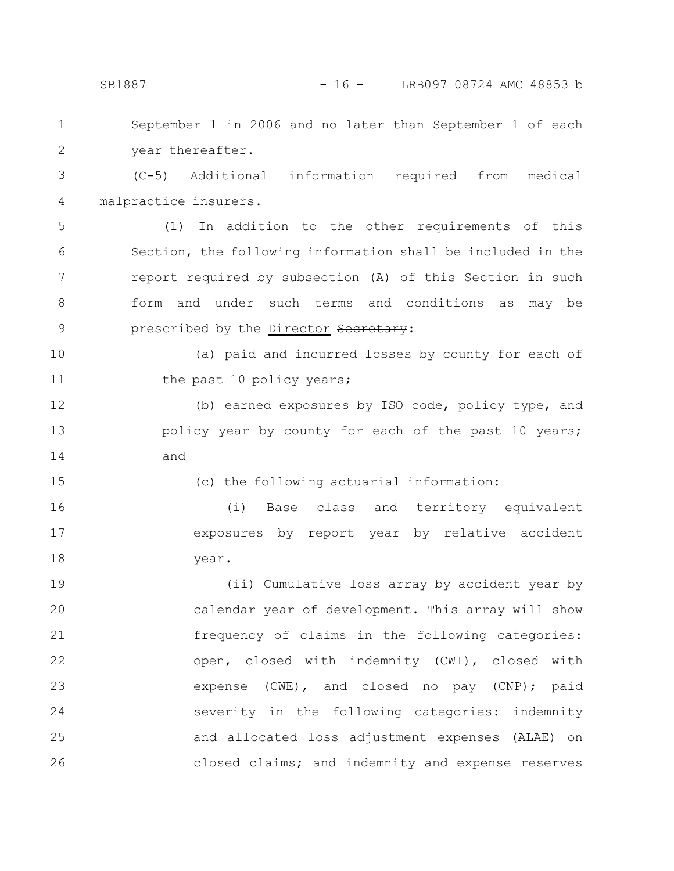| $\mathbf 1$   | September 1 in 2006 and no later than September 1 of each   |
|---------------|-------------------------------------------------------------|
| $\mathbf{2}$  | year thereafter.                                            |
| 3             | (C-5) Additional information required from medical          |
| 4             | malpractice insurers.                                       |
| 5             | In addition to the other requirements of this<br>(1)        |
| 6             | Section, the following information shall be included in the |
| 7             | report required by subsection (A) of this Section in such   |
| 8             | form and under such terms and conditions as<br>may be       |
| $\mathcal{G}$ | prescribed by the Director Secretary:                       |
| 10            | (a) paid and incurred losses by county for each of          |
| 11            | the past 10 policy years;                                   |
| 12            | (b) earned exposures by ISO code, policy type, and          |
| 13            | policy year by county for each of the past 10 years;        |
| 14            | and                                                         |
| 15            | (c) the following actuarial information:                    |
| 16            | (i)<br>Base class and territory equivalent                  |
| 17            | exposures by report year by relative accident               |
| 18            | year.                                                       |
| 19            | (ii) Cumulative loss array by accident year by              |
| 20            | calendar year of development. This array will show          |
| 21            | frequency of claims in the following categories:            |
| 22            | open, closed with indemnity (CWI), closed with              |
| 23            | expense (CWE), and closed no pay (CNP); paid                |
| 24            | severity in the following categories: indemnity             |
| 25            | and allocated loss adjustment expenses (ALAE) on            |

closed claims; and indemnity and expense reserves

26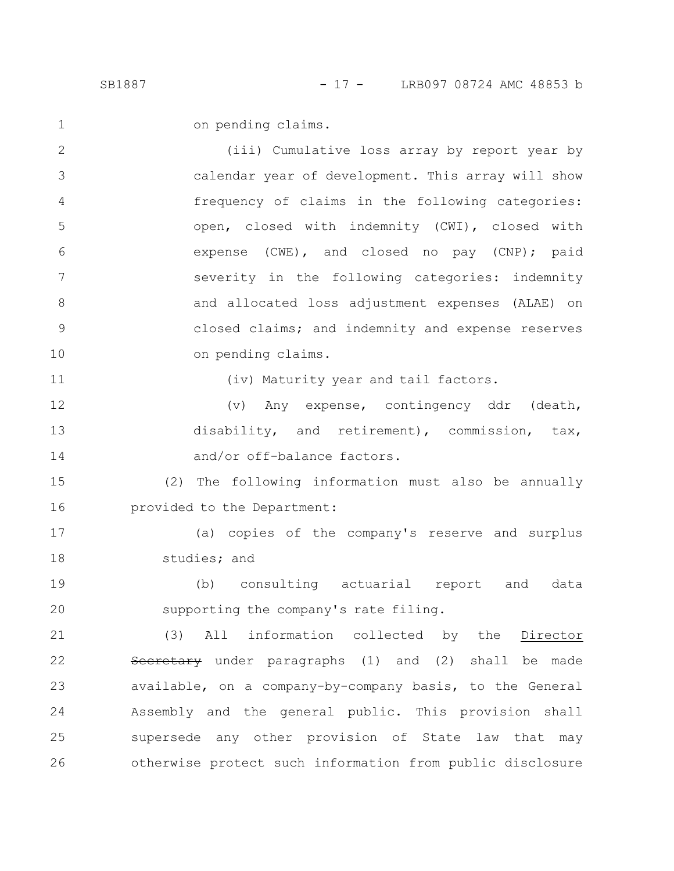on pending claims.

(iii) Cumulative loss array by report year by calendar year of development. This array will show frequency of claims in the following categories: open, closed with indemnity (CWI), closed with expense (CWE), and closed no pay (CNP); paid severity in the following categories: indemnity and allocated loss adjustment expenses (ALAE) on closed claims; and indemnity and expense reserves on pending claims. 2 3 4 5 6 7 8 9 10

11

1

(iv) Maturity year and tail factors.

(v) Any expense, contingency ddr (death, disability, and retirement), commission, tax, and/or off-balance factors. 12 13 14

(2) The following information must also be annually provided to the Department: 15 16

(a) copies of the company's reserve and surplus studies; and 17 18

(b) consulting actuarial report and data supporting the company's rate filing. 19 20

(3) All information collected by the Director Secretary under paragraphs (1) and (2) shall be made available, on a company-by-company basis, to the General Assembly and the general public. This provision shall supersede any other provision of State law that may otherwise protect such information from public disclosure 21 22 23 24 25 26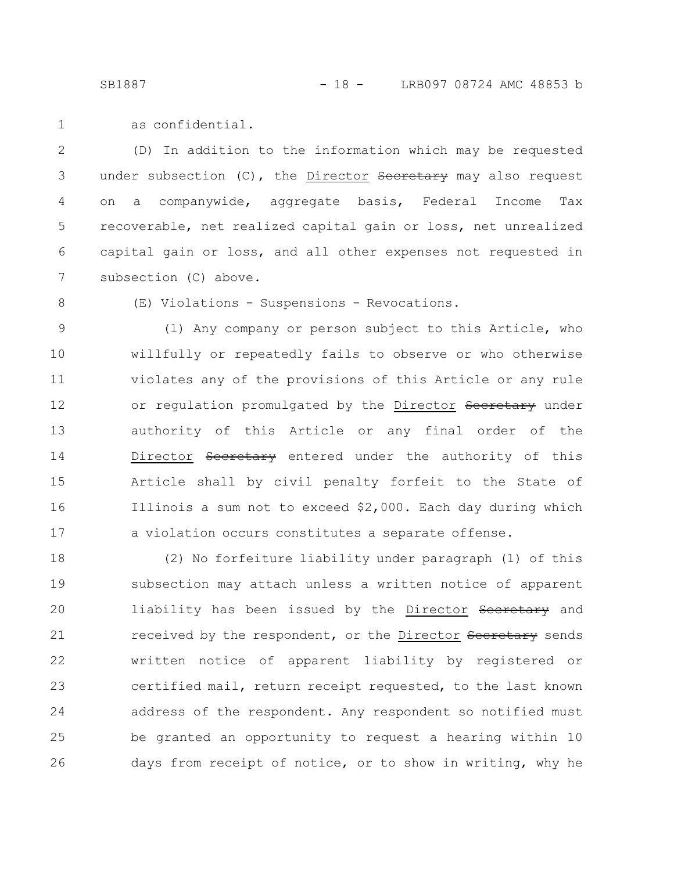as confidential. 1

(D) In addition to the information which may be requested under subsection (C), the Director Secretary may also request on a companywide, aggregate basis, Federal Income Tax recoverable, net realized capital gain or loss, net unrealized capital gain or loss, and all other expenses not requested in subsection (C) above. 2 3 4 5 6 7

8

(E) Violations - Suspensions - Revocations.

(1) Any company or person subject to this Article, who willfully or repeatedly fails to observe or who otherwise violates any of the provisions of this Article or any rule or regulation promulgated by the Director Secretary under authority of this Article or any final order of the Director Secretary entered under the authority of this Article shall by civil penalty forfeit to the State of Illinois a sum not to exceed \$2,000. Each day during which a violation occurs constitutes a separate offense. 9 10 11 12 13 14 15 16 17

(2) No forfeiture liability under paragraph (1) of this subsection may attach unless a written notice of apparent liability has been issued by the Director Secretary and received by the respondent, or the Director Secretary sends written notice of apparent liability by registered or certified mail, return receipt requested, to the last known address of the respondent. Any respondent so notified must be granted an opportunity to request a hearing within 10 days from receipt of notice, or to show in writing, why he 18 19 20 21 22 23 24 25 26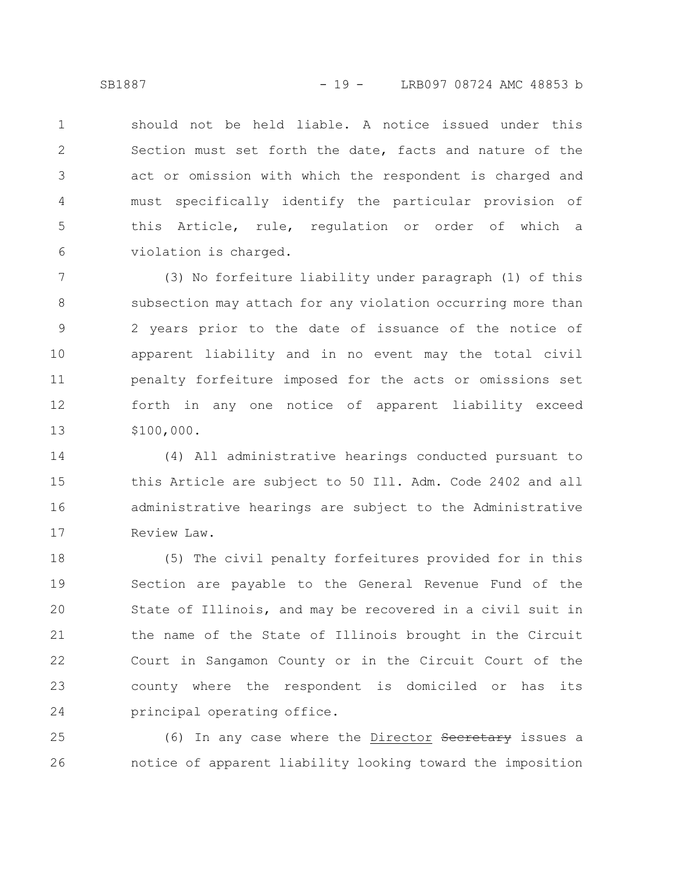should not be held liable. A notice issued under this Section must set forth the date, facts and nature of the act or omission with which the respondent is charged and must specifically identify the particular provision of this Article, rule, regulation or order of which a violation is charged. 1 2 3 4 5 6

(3) No forfeiture liability under paragraph (1) of this subsection may attach for any violation occurring more than 2 years prior to the date of issuance of the notice of apparent liability and in no event may the total civil penalty forfeiture imposed for the acts or omissions set forth in any one notice of apparent liability exceed \$100,000. 7 8 9 10 11 12 13

(4) All administrative hearings conducted pursuant to this Article are subject to 50 Ill. Adm. Code 2402 and all administrative hearings are subject to the Administrative Review Law. 14 15 16 17

(5) The civil penalty forfeitures provided for in this Section are payable to the General Revenue Fund of the State of Illinois, and may be recovered in a civil suit in the name of the State of Illinois brought in the Circuit Court in Sangamon County or in the Circuit Court of the county where the respondent is domiciled or has its principal operating office. 18 19 20 21 22 23 24

(6) In any case where the Director Secretary issues a notice of apparent liability looking toward the imposition 25 26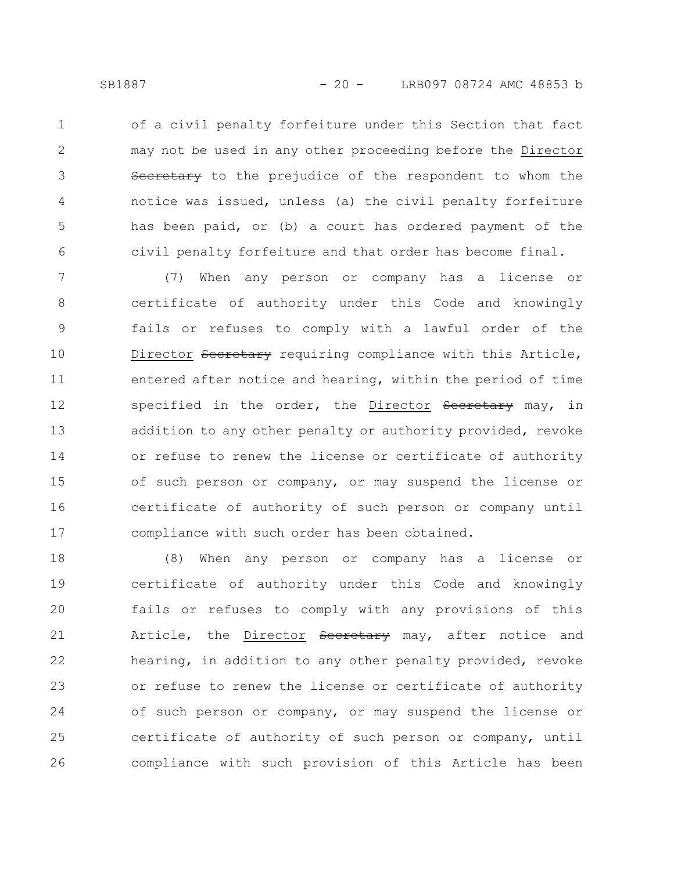of a civil penalty forfeiture under this Section that fact may not be used in any other proceeding before the Director Secretary to the prejudice of the respondent to whom the notice was issued, unless (a) the civil penalty forfeiture has been paid, or (b) a court has ordered payment of the civil penalty forfeiture and that order has become final. 1 2 3 4 5 6

(7) When any person or company has a license or certificate of authority under this Code and knowingly fails or refuses to comply with a lawful order of the Director Secretary requiring compliance with this Article, entered after notice and hearing, within the period of time specified in the order, the Director Secretary may, in addition to any other penalty or authority provided, revoke or refuse to renew the license or certificate of authority of such person or company, or may suspend the license or certificate of authority of such person or company until compliance with such order has been obtained. 7 8 9 10 11 12 13 14 15 16 17

(8) When any person or company has a license or certificate of authority under this Code and knowingly fails or refuses to comply with any provisions of this Article, the Director Seeretary may, after notice and hearing, in addition to any other penalty provided, revoke or refuse to renew the license or certificate of authority of such person or company, or may suspend the license or certificate of authority of such person or company, until compliance with such provision of this Article has been 18 19 20 21 22 23 24 25 26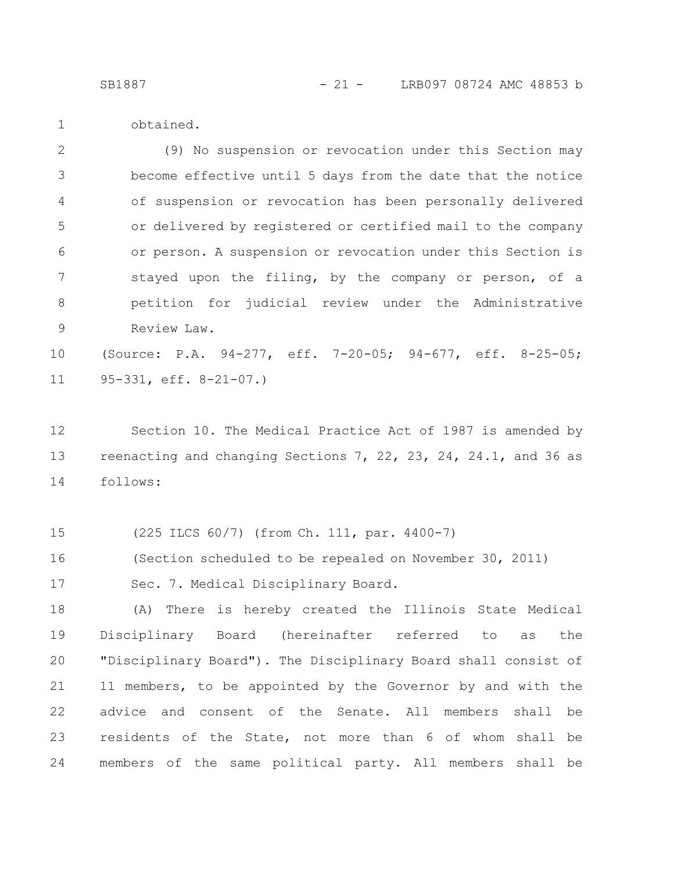1

obtained.

(9) No suspension or revocation under this Section may become effective until 5 days from the date that the notice of suspension or revocation has been personally delivered or delivered by registered or certified mail to the company or person. A suspension or revocation under this Section is stayed upon the filing, by the company or person, of a petition for judicial review under the Administrative Review Law. 2 3 4 5 6 7 8 9

(Source: P.A. 94-277, eff. 7-20-05; 94-677, eff. 8-25-05; 95-331, eff. 8-21-07.) 10 11

Section 10. The Medical Practice Act of 1987 is amended by reenacting and changing Sections 7, 22, 23, 24, 24.1, and 36 as follows: 12 13 14

(225 ILCS 60/7) (from Ch. 111, par. 4400-7) 15

(Section scheduled to be repealed on November 30, 2011) 16

Sec. 7. Medical Disciplinary Board. 17

(A) There is hereby created the Illinois State Medical Disciplinary Board (hereinafter referred to as the "Disciplinary Board"). The Disciplinary Board shall consist of 11 members, to be appointed by the Governor by and with the advice and consent of the Senate. All members shall be residents of the State, not more than 6 of whom shall be members of the same political party. All members shall be 18 19 20 21 22 23 24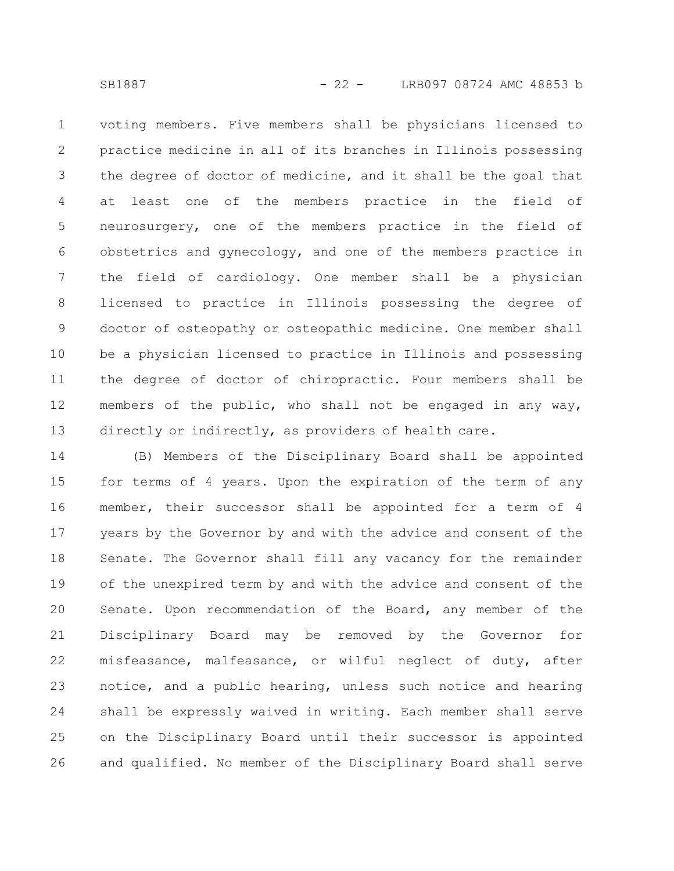voting members. Five members shall be physicians licensed to practice medicine in all of its branches in Illinois possessing the degree of doctor of medicine, and it shall be the goal that at least one of the members practice in the field of neurosurgery, one of the members practice in the field of obstetrics and gynecology, and one of the members practice in the field of cardiology. One member shall be a physician licensed to practice in Illinois possessing the degree of doctor of osteopathy or osteopathic medicine. One member shall be a physician licensed to practice in Illinois and possessing the degree of doctor of chiropractic. Four members shall be members of the public, who shall not be engaged in any way, directly or indirectly, as providers of health care. 1 2 3 4 5 6 7 8 9 10 11 12 13

(B) Members of the Disciplinary Board shall be appointed for terms of 4 years. Upon the expiration of the term of any member, their successor shall be appointed for a term of 4 years by the Governor by and with the advice and consent of the Senate. The Governor shall fill any vacancy for the remainder of the unexpired term by and with the advice and consent of the Senate. Upon recommendation of the Board, any member of the Disciplinary Board may be removed by the Governor for misfeasance, malfeasance, or wilful neglect of duty, after notice, and a public hearing, unless such notice and hearing shall be expressly waived in writing. Each member shall serve on the Disciplinary Board until their successor is appointed and qualified. No member of the Disciplinary Board shall serve 14 15 16 17 18 19 20 21 22 23 24 25 26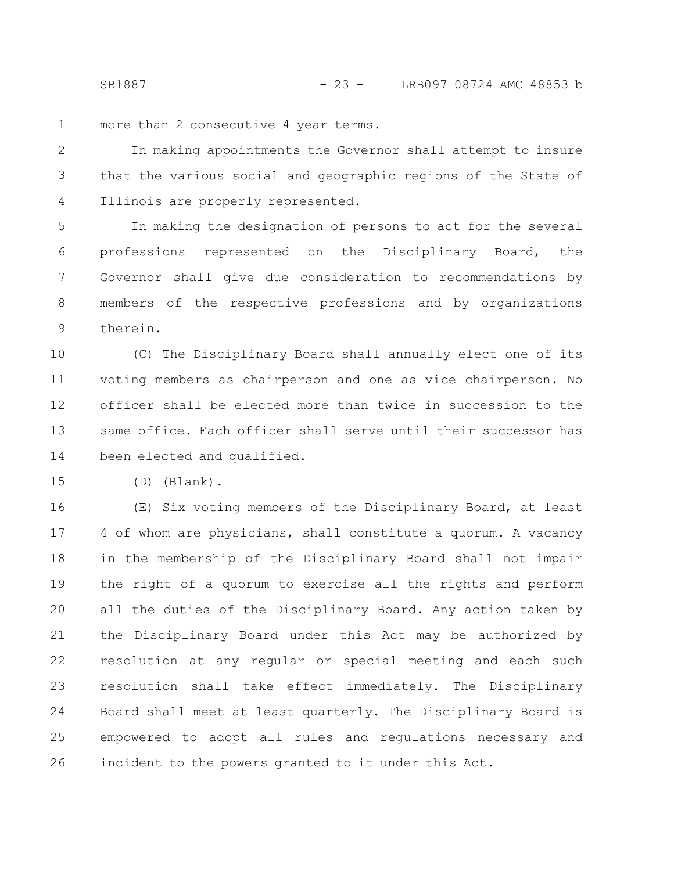more than 2 consecutive 4 year terms. 1

In making appointments the Governor shall attempt to insure that the various social and geographic regions of the State of Illinois are properly represented. 2 3 4

In making the designation of persons to act for the several professions represented on the Disciplinary Board, the Governor shall give due consideration to recommendations by members of the respective professions and by organizations therein. 5 6 7 8 9

(C) The Disciplinary Board shall annually elect one of its voting members as chairperson and one as vice chairperson. No officer shall be elected more than twice in succession to the same office. Each officer shall serve until their successor has been elected and qualified. 10 11 12 13 14

(D) (Blank). 15

(E) Six voting members of the Disciplinary Board, at least 4 of whom are physicians, shall constitute a quorum. A vacancy in the membership of the Disciplinary Board shall not impair the right of a quorum to exercise all the rights and perform all the duties of the Disciplinary Board. Any action taken by the Disciplinary Board under this Act may be authorized by resolution at any regular or special meeting and each such resolution shall take effect immediately. The Disciplinary Board shall meet at least quarterly. The Disciplinary Board is empowered to adopt all rules and regulations necessary and incident to the powers granted to it under this Act. 16 17 18 19 20 21 22 23 24 25 26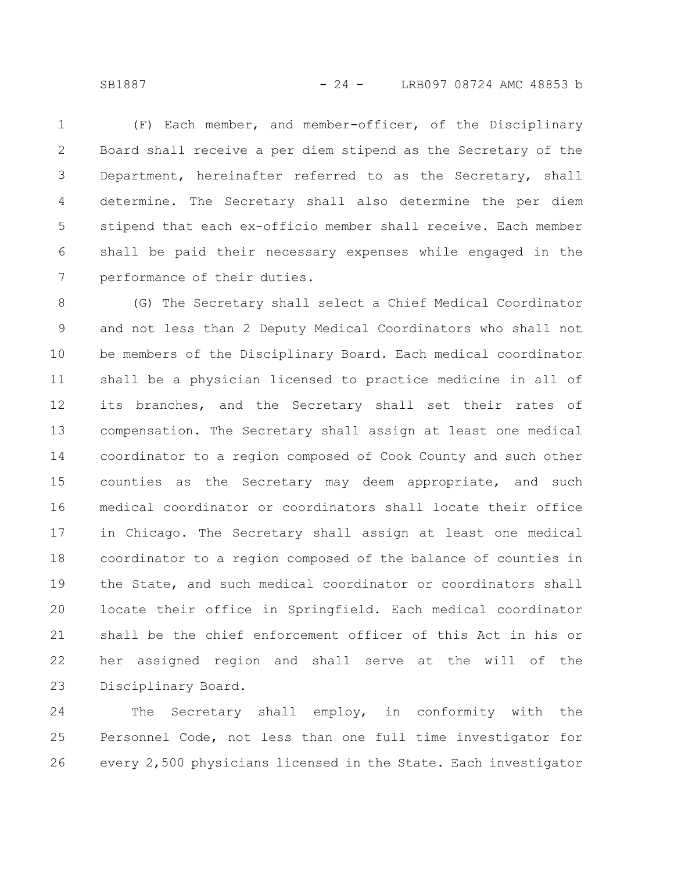SB1887 - 24 - LRB097 08724 AMC 48853 b

(F) Each member, and member-officer, of the Disciplinary Board shall receive a per diem stipend as the Secretary of the Department, hereinafter referred to as the Secretary, shall determine. The Secretary shall also determine the per diem stipend that each ex-officio member shall receive. Each member shall be paid their necessary expenses while engaged in the performance of their duties. 1 2 3 4 5 6 7

(G) The Secretary shall select a Chief Medical Coordinator and not less than 2 Deputy Medical Coordinators who shall not be members of the Disciplinary Board. Each medical coordinator shall be a physician licensed to practice medicine in all of its branches, and the Secretary shall set their rates of compensation. The Secretary shall assign at least one medical coordinator to a region composed of Cook County and such other counties as the Secretary may deem appropriate, and such medical coordinator or coordinators shall locate their office in Chicago. The Secretary shall assign at least one medical coordinator to a region composed of the balance of counties in the State, and such medical coordinator or coordinators shall locate their office in Springfield. Each medical coordinator shall be the chief enforcement officer of this Act in his or her assigned region and shall serve at the will of the Disciplinary Board. 8 9 10 11 12 13 14 15 16 17 18 19 20 21 22 23

The Secretary shall employ, in conformity with the Personnel Code, not less than one full time investigator for every 2,500 physicians licensed in the State. Each investigator 24 25 26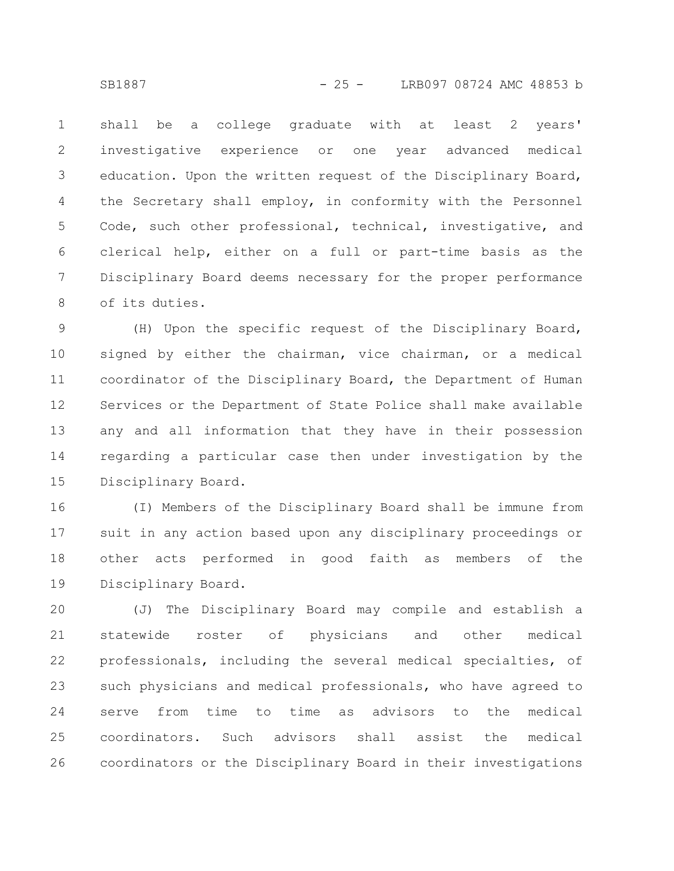shall be a college graduate with at least 2 years' investigative experience or one year advanced medical education. Upon the written request of the Disciplinary Board, the Secretary shall employ, in conformity with the Personnel Code, such other professional, technical, investigative, and clerical help, either on a full or part-time basis as the Disciplinary Board deems necessary for the proper performance of its duties. 1 2 3 4 5 6 7 8

(H) Upon the specific request of the Disciplinary Board, signed by either the chairman, vice chairman, or a medical coordinator of the Disciplinary Board, the Department of Human Services or the Department of State Police shall make available any and all information that they have in their possession regarding a particular case then under investigation by the Disciplinary Board. 9 10 11 12 13 14 15

(I) Members of the Disciplinary Board shall be immune from suit in any action based upon any disciplinary proceedings or other acts performed in good faith as members of the Disciplinary Board. 16 17 18 19

(J) The Disciplinary Board may compile and establish a statewide roster of physicians and other medical professionals, including the several medical specialties, of such physicians and medical professionals, who have agreed to serve from time to time as advisors to the medical coordinators. Such advisors shall assist the medical coordinators or the Disciplinary Board in their investigations 20 21 22 23 24 25 26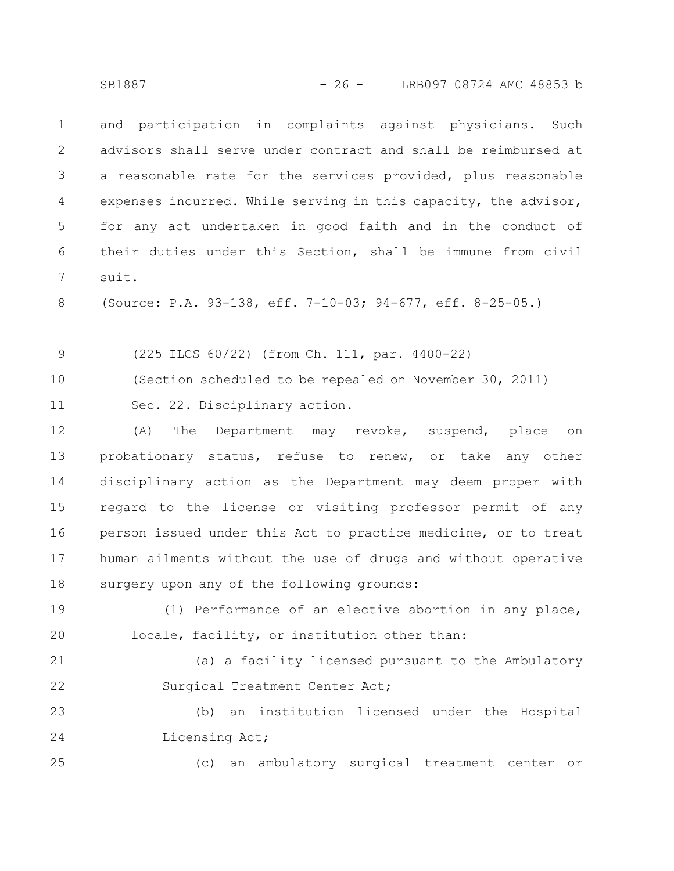and participation in complaints against physicians. Such advisors shall serve under contract and shall be reimbursed at a reasonable rate for the services provided, plus reasonable expenses incurred. While serving in this capacity, the advisor, for any act undertaken in good faith and in the conduct of their duties under this Section, shall be immune from civil suit. 1 2 3 4 5 6 7

(Source: P.A. 93-138, eff. 7-10-03; 94-677, eff. 8-25-05.) 8

(225 ILCS 60/22) (from Ch. 111, par. 4400-22) 9

(Section scheduled to be repealed on November 30, 2011) 10

Sec. 22. Disciplinary action. 11

(A) The Department may revoke, suspend, place on probationary status, refuse to renew, or take any other disciplinary action as the Department may deem proper with regard to the license or visiting professor permit of any person issued under this Act to practice medicine, or to treat human ailments without the use of drugs and without operative surgery upon any of the following grounds: 12 13 14 15 16 17 18

(1) Performance of an elective abortion in any place, locale, facility, or institution other than: 19 20

(a) a facility licensed pursuant to the Ambulatory Surgical Treatment Center Act; 21 22

(b) an institution licensed under the Hospital Licensing Act; 23 24

(c) an ambulatory surgical treatment center or

25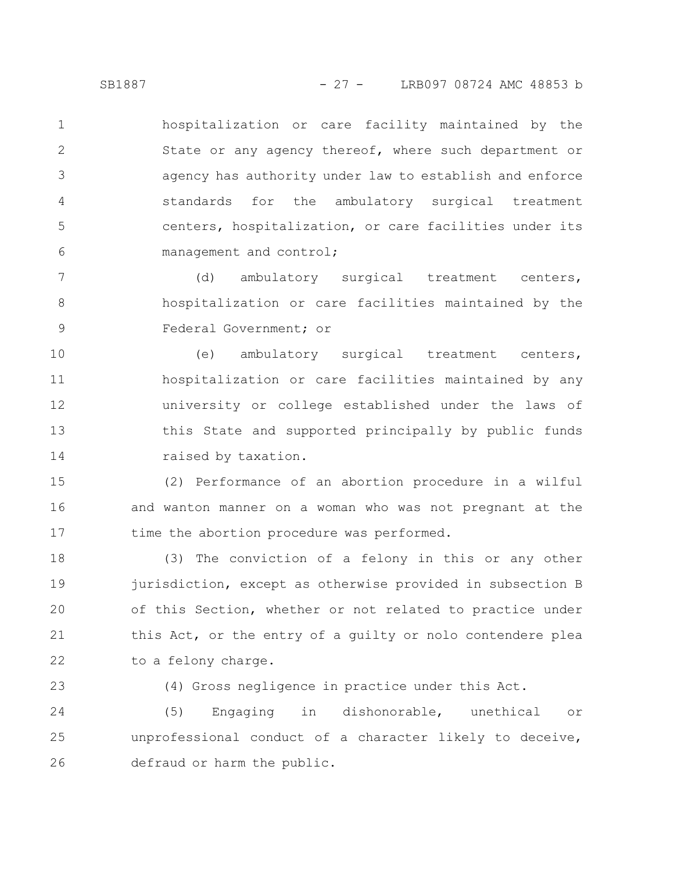hospitalization or care facility maintained by the State or any agency thereof, where such department or agency has authority under law to establish and enforce standards for the ambulatory surgical treatment centers, hospitalization, or care facilities under its management and control; 1 2 3 4 5 6

(d) ambulatory surgical treatment centers, hospitalization or care facilities maintained by the Federal Government; or 7 8 9

(e) ambulatory surgical treatment centers, hospitalization or care facilities maintained by any university or college established under the laws of this State and supported principally by public funds raised by taxation. 10 11 12 13 14

(2) Performance of an abortion procedure in a wilful and wanton manner on a woman who was not pregnant at the time the abortion procedure was performed. 15 16 17

(3) The conviction of a felony in this or any other jurisdiction, except as otherwise provided in subsection B of this Section, whether or not related to practice under this Act, or the entry of a guilty or nolo contendere plea to a felony charge. 18 19 20 21 22

23

(4) Gross negligence in practice under this Act.

(5) Engaging in dishonorable, unethical or unprofessional conduct of a character likely to deceive, defraud or harm the public. 24 25 26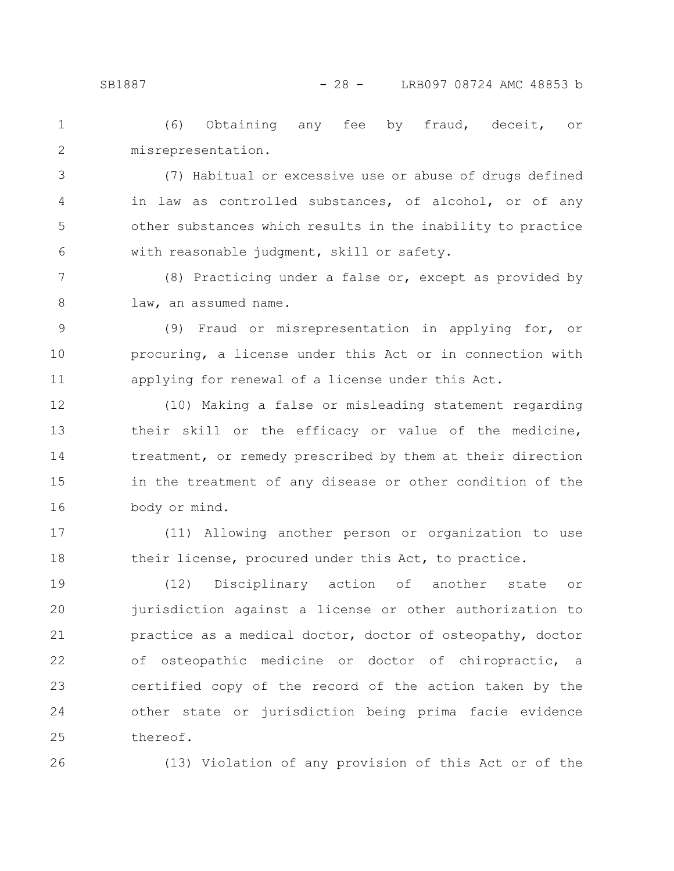(6) Obtaining any fee by fraud, deceit, or misrepresentation. 1 2

(7) Habitual or excessive use or abuse of drugs defined in law as controlled substances, of alcohol, or of any other substances which results in the inability to practice with reasonable judgment, skill or safety. 3 4 5 6

(8) Practicing under a false or, except as provided by law, an assumed name. 7 8

(9) Fraud or misrepresentation in applying for, or procuring, a license under this Act or in connection with applying for renewal of a license under this Act. 9 10 11

(10) Making a false or misleading statement regarding their skill or the efficacy or value of the medicine, treatment, or remedy prescribed by them at their direction in the treatment of any disease or other condition of the body or mind. 12 13 14 15 16

(11) Allowing another person or organization to use their license, procured under this Act, to practice. 17 18

(12) Disciplinary action of another state or jurisdiction against a license or other authorization to practice as a medical doctor, doctor of osteopathy, doctor of osteopathic medicine or doctor of chiropractic, a certified copy of the record of the action taken by the other state or jurisdiction being prima facie evidence thereof. 19 20 21 22 23 24 25

26

(13) Violation of any provision of this Act or of the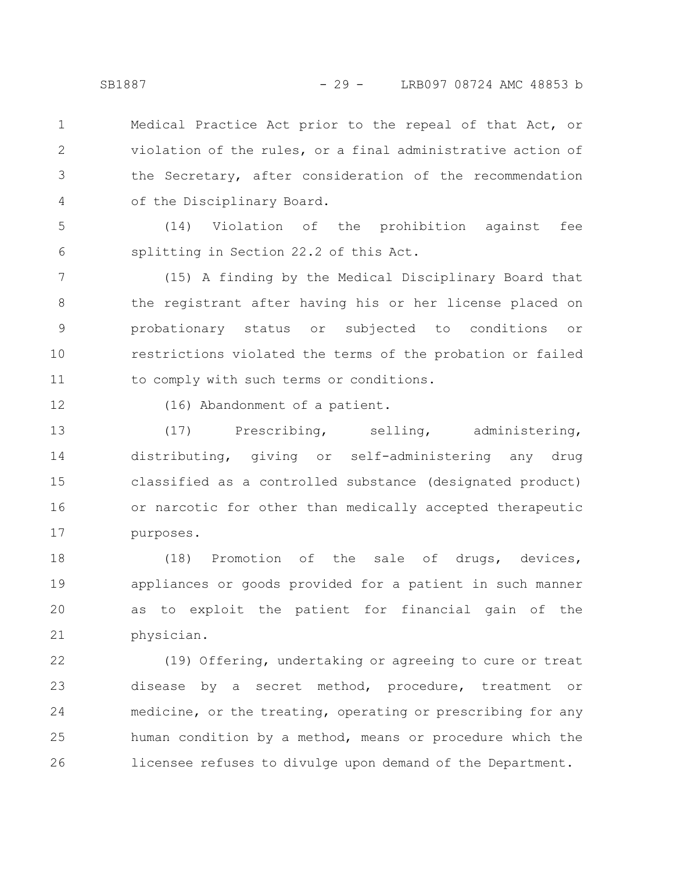Medical Practice Act prior to the repeal of that Act, or violation of the rules, or a final administrative action of the Secretary, after consideration of the recommendation of the Disciplinary Board.

(14) Violation of the prohibition against fee splitting in Section 22.2 of this Act. 5 6

(15) A finding by the Medical Disciplinary Board that the registrant after having his or her license placed on probationary status or subjected to conditions or restrictions violated the terms of the probation or failed to comply with such terms or conditions. 7 8 9 10 11

12

1

2

3

4

(16) Abandonment of a patient.

(17) Prescribing, selling, administering, distributing, giving or self-administering any drug classified as a controlled substance (designated product) or narcotic for other than medically accepted therapeutic purposes. 13 14 15 16 17

(18) Promotion of the sale of drugs, devices, appliances or goods provided for a patient in such manner as to exploit the patient for financial gain of the physician. 18 19 20 21

(19) Offering, undertaking or agreeing to cure or treat disease by a secret method, procedure, treatment or medicine, or the treating, operating or prescribing for any human condition by a method, means or procedure which the licensee refuses to divulge upon demand of the Department. 22 23 24 25 26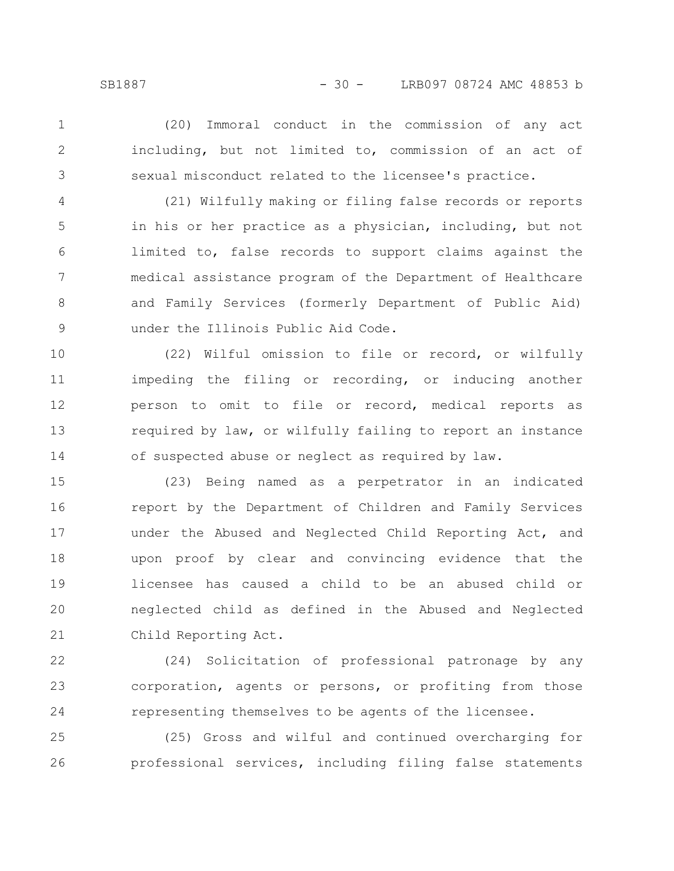2

3

1

including, but not limited to, commission of an act of sexual misconduct related to the licensee's practice.

(20) Immoral conduct in the commission of any act

(21) Wilfully making or filing false records or reports in his or her practice as a physician, including, but not limited to, false records to support claims against the medical assistance program of the Department of Healthcare and Family Services (formerly Department of Public Aid) under the Illinois Public Aid Code. 4 5 6 7 8 9

(22) Wilful omission to file or record, or wilfully impeding the filing or recording, or inducing another person to omit to file or record, medical reports as required by law, or wilfully failing to report an instance of suspected abuse or neglect as required by law. 10 11 12 13 14

(23) Being named as a perpetrator in an indicated report by the Department of Children and Family Services under the Abused and Neglected Child Reporting Act, and upon proof by clear and convincing evidence that the licensee has caused a child to be an abused child or neglected child as defined in the Abused and Neglected Child Reporting Act. 15 16 17 18 19 20 21

(24) Solicitation of professional patronage by any corporation, agents or persons, or profiting from those representing themselves to be agents of the licensee. 22 23 24

(25) Gross and wilful and continued overcharging for professional services, including filing false statements 25 26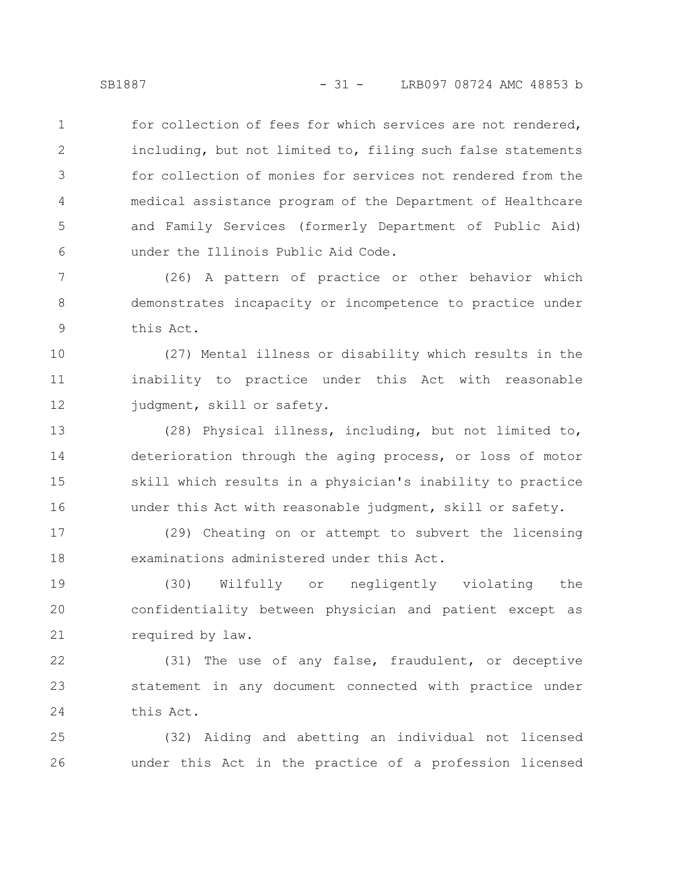for collection of fees for which services are not rendered, including, but not limited to, filing such false statements for collection of monies for services not rendered from the medical assistance program of the Department of Healthcare and Family Services (formerly Department of Public Aid) under the Illinois Public Aid Code. 1 2 3 4 5 6

(26) A pattern of practice or other behavior which demonstrates incapacity or incompetence to practice under this Act. 7 8 9

(27) Mental illness or disability which results in the inability to practice under this Act with reasonable judgment, skill or safety. 10 11 12

(28) Physical illness, including, but not limited to, deterioration through the aging process, or loss of motor skill which results in a physician's inability to practice under this Act with reasonable judgment, skill or safety. 13 14 15 16

(29) Cheating on or attempt to subvert the licensing examinations administered under this Act. 17 18

(30) Wilfully or negligently violating the confidentiality between physician and patient except as required by law. 19 20 21

(31) The use of any false, fraudulent, or deceptive statement in any document connected with practice under this Act. 22 23 24

(32) Aiding and abetting an individual not licensed under this Act in the practice of a profession licensed 25 26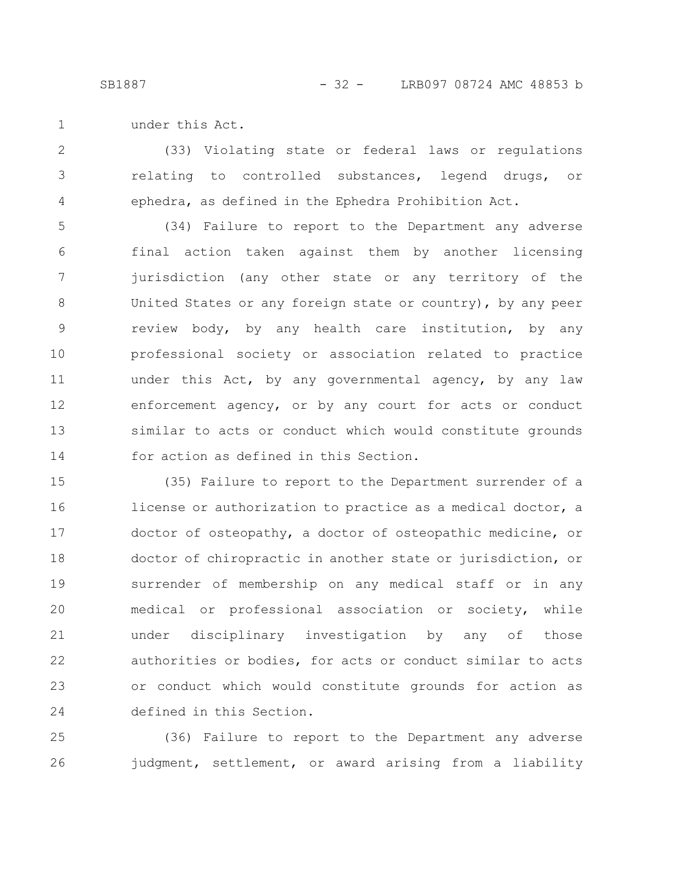under this Act. 1

(33) Violating state or federal laws or regulations relating to controlled substances, legend drugs, or ephedra, as defined in the Ephedra Prohibition Act. 2 3 4

(34) Failure to report to the Department any adverse final action taken against them by another licensing jurisdiction (any other state or any territory of the United States or any foreign state or country), by any peer review body, by any health care institution, by any professional society or association related to practice under this Act, by any governmental agency, by any law enforcement agency, or by any court for acts or conduct similar to acts or conduct which would constitute grounds for action as defined in this Section. 5 6 7 8 9 10 11 12 13 14

(35) Failure to report to the Department surrender of a license or authorization to practice as a medical doctor, a doctor of osteopathy, a doctor of osteopathic medicine, or doctor of chiropractic in another state or jurisdiction, or surrender of membership on any medical staff or in any medical or professional association or society, while under disciplinary investigation by any of those authorities or bodies, for acts or conduct similar to acts or conduct which would constitute grounds for action as defined in this Section. 15 16 17 18 19 20 21 22 23 24

(36) Failure to report to the Department any adverse judgment, settlement, or award arising from a liability 25 26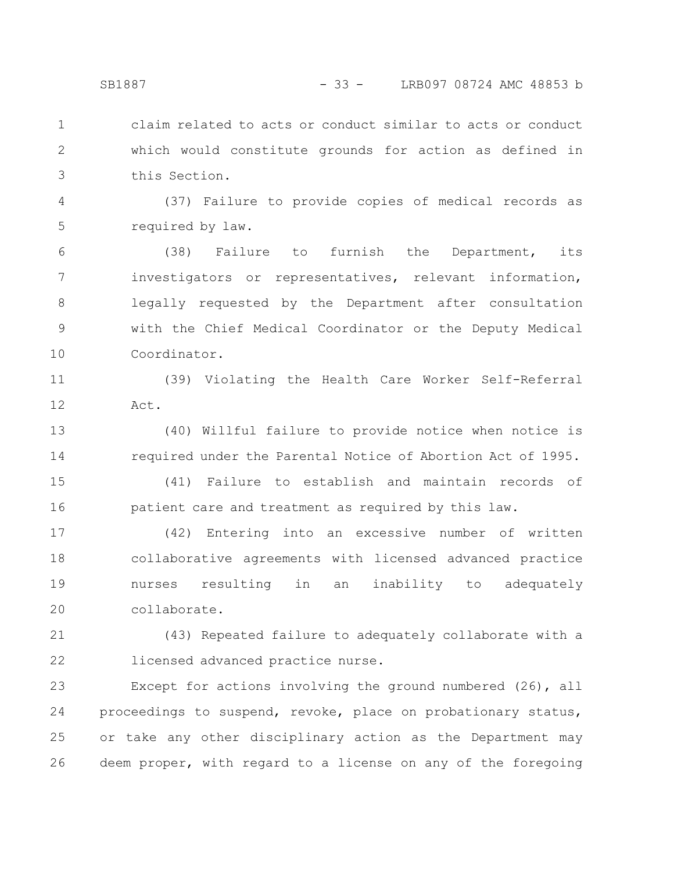claim related to acts or conduct similar to acts or conduct

which would constitute grounds for action as defined in this Section.

(37) Failure to provide copies of medical records as required by law. 4 5

(38) Failure to furnish the Department, its investigators or representatives, relevant information, legally requested by the Department after consultation with the Chief Medical Coordinator or the Deputy Medical Coordinator. 6 7 8 9 10

(39) Violating the Health Care Worker Self-Referral Act. 11 12

(40) Willful failure to provide notice when notice is required under the Parental Notice of Abortion Act of 1995. 13 14

(41) Failure to establish and maintain records of patient care and treatment as required by this law. 15 16

(42) Entering into an excessive number of written collaborative agreements with licensed advanced practice nurses resulting in an inability to adequately collaborate. 17 18 19 20

(43) Repeated failure to adequately collaborate with a licensed advanced practice nurse. 21 22

Except for actions involving the ground numbered (26), all proceedings to suspend, revoke, place on probationary status, or take any other disciplinary action as the Department may deem proper, with regard to a license on any of the foregoing 23 24 25 26

1

2

3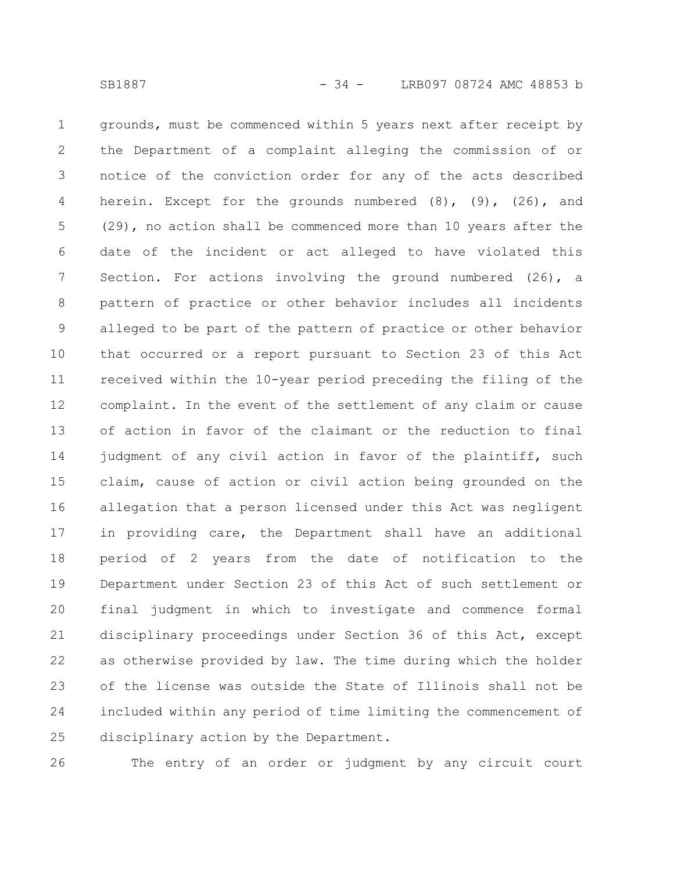grounds, must be commenced within 5 years next after receipt by the Department of a complaint alleging the commission of or notice of the conviction order for any of the acts described herein. Except for the grounds numbered  $(8)$ ,  $(9)$ ,  $(26)$ , and (29), no action shall be commenced more than 10 years after the date of the incident or act alleged to have violated this Section. For actions involving the ground numbered (26), a pattern of practice or other behavior includes all incidents alleged to be part of the pattern of practice or other behavior that occurred or a report pursuant to Section 23 of this Act received within the 10-year period preceding the filing of the complaint. In the event of the settlement of any claim or cause of action in favor of the claimant or the reduction to final judgment of any civil action in favor of the plaintiff, such claim, cause of action or civil action being grounded on the allegation that a person licensed under this Act was negligent in providing care, the Department shall have an additional period of 2 years from the date of notification to the Department under Section 23 of this Act of such settlement or final judgment in which to investigate and commence formal disciplinary proceedings under Section 36 of this Act, except as otherwise provided by law. The time during which the holder of the license was outside the State of Illinois shall not be included within any period of time limiting the commencement of disciplinary action by the Department. 1 2 3 4 5 6 7 8 9 10 11 12 13 14 15 16 17 18 19 20 21 22 23 24 25

26

The entry of an order or judgment by any circuit court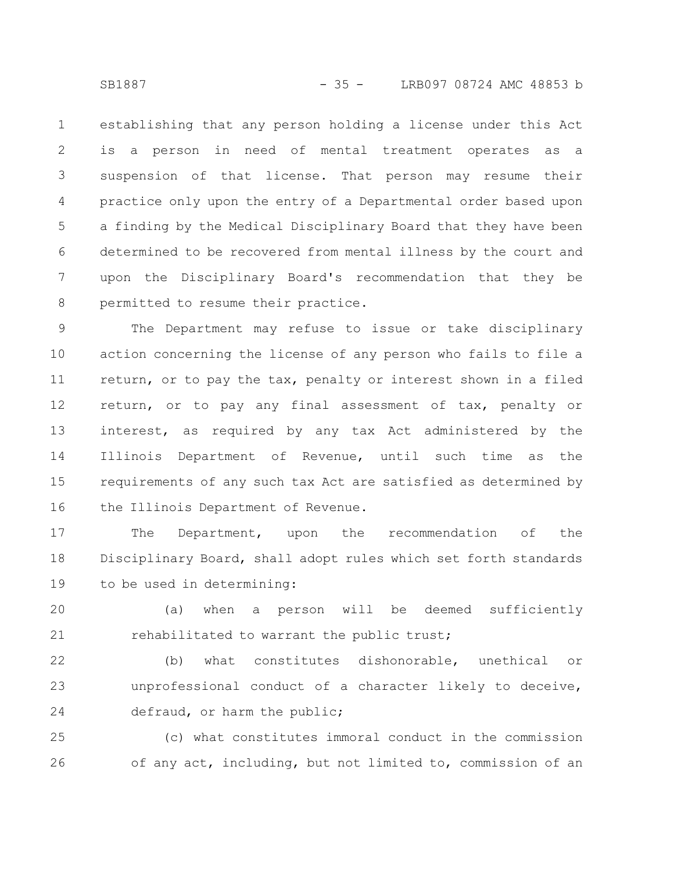establishing that any person holding a license under this Act is a person in need of mental treatment operates as a suspension of that license. That person may resume their practice only upon the entry of a Departmental order based upon a finding by the Medical Disciplinary Board that they have been determined to be recovered from mental illness by the court and upon the Disciplinary Board's recommendation that they be permitted to resume their practice. 1 2 3 4 5 6 7 8

The Department may refuse to issue or take disciplinary action concerning the license of any person who fails to file a return, or to pay the tax, penalty or interest shown in a filed return, or to pay any final assessment of tax, penalty or interest, as required by any tax Act administered by the Illinois Department of Revenue, until such time as the requirements of any such tax Act are satisfied as determined by the Illinois Department of Revenue. 9 10 11 12 13 14 15 16

The Department, upon the recommendation of the Disciplinary Board, shall adopt rules which set forth standards to be used in determining: 17 18 19

(a) when a person will be deemed sufficiently rehabilitated to warrant the public trust; 20 21

(b) what constitutes dishonorable, unethical or unprofessional conduct of a character likely to deceive, defraud, or harm the public; 22 23 24

(c) what constitutes immoral conduct in the commission of any act, including, but not limited to, commission of an 25 26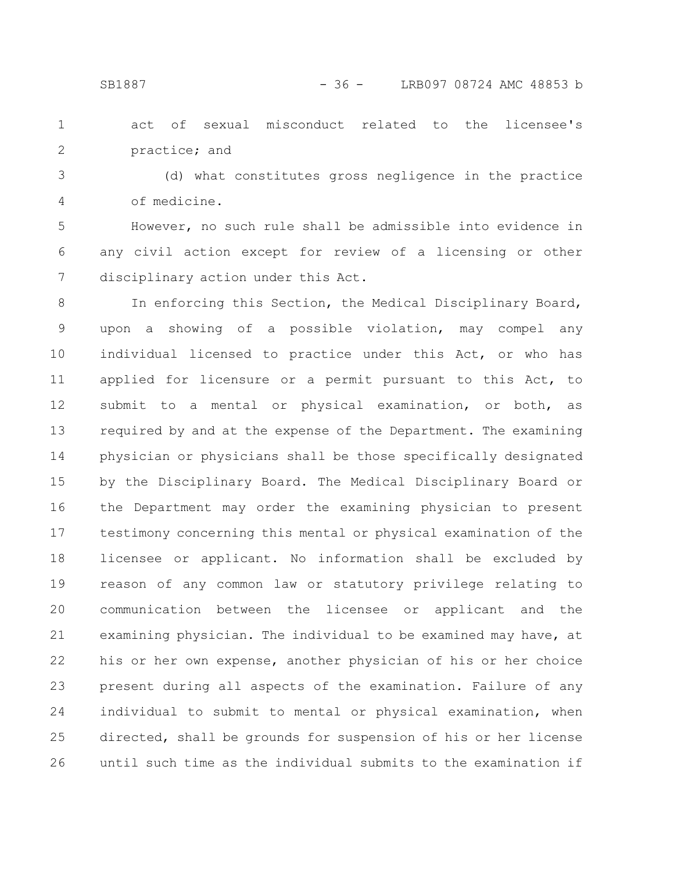act of sexual misconduct related to the licensee's practice; and 1 2

(d) what constitutes gross negligence in the practice of medicine. 3 4

However, no such rule shall be admissible into evidence in any civil action except for review of a licensing or other disciplinary action under this Act. 5 6 7

In enforcing this Section, the Medical Disciplinary Board, upon a showing of a possible violation, may compel any individual licensed to practice under this Act, or who has applied for licensure or a permit pursuant to this Act, to submit to a mental or physical examination, or both, as required by and at the expense of the Department. The examining physician or physicians shall be those specifically designated by the Disciplinary Board. The Medical Disciplinary Board or the Department may order the examining physician to present testimony concerning this mental or physical examination of the licensee or applicant. No information shall be excluded by reason of any common law or statutory privilege relating to communication between the licensee or applicant and the examining physician. The individual to be examined may have, at his or her own expense, another physician of his or her choice present during all aspects of the examination. Failure of any individual to submit to mental or physical examination, when directed, shall be grounds for suspension of his or her license until such time as the individual submits to the examination if 8 9 10 11 12 13 14 15 16 17 18 19 20 21 22 23 24 25 26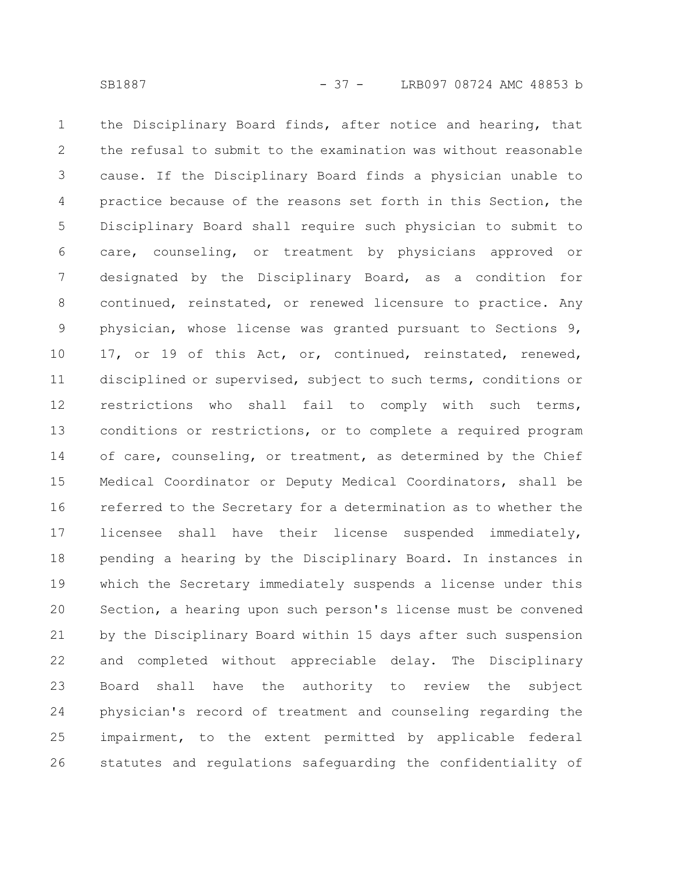the Disciplinary Board finds, after notice and hearing, that the refusal to submit to the examination was without reasonable cause. If the Disciplinary Board finds a physician unable to practice because of the reasons set forth in this Section, the Disciplinary Board shall require such physician to submit to care, counseling, or treatment by physicians approved or designated by the Disciplinary Board, as a condition for continued, reinstated, or renewed licensure to practice. Any physician, whose license was granted pursuant to Sections 9, 17, or 19 of this Act, or, continued, reinstated, renewed, disciplined or supervised, subject to such terms, conditions or restrictions who shall fail to comply with such terms, conditions or restrictions, or to complete a required program of care, counseling, or treatment, as determined by the Chief Medical Coordinator or Deputy Medical Coordinators, shall be referred to the Secretary for a determination as to whether the licensee shall have their license suspended immediately, pending a hearing by the Disciplinary Board. In instances in which the Secretary immediately suspends a license under this Section, a hearing upon such person's license must be convened by the Disciplinary Board within 15 days after such suspension and completed without appreciable delay. The Disciplinary Board shall have the authority to review the subject physician's record of treatment and counseling regarding the impairment, to the extent permitted by applicable federal statutes and regulations safeguarding the confidentiality of 1 2 3 4 5 6 7 8 9 10 11 12 13 14 15 16 17 18 19 20 21 22 23 24 25 26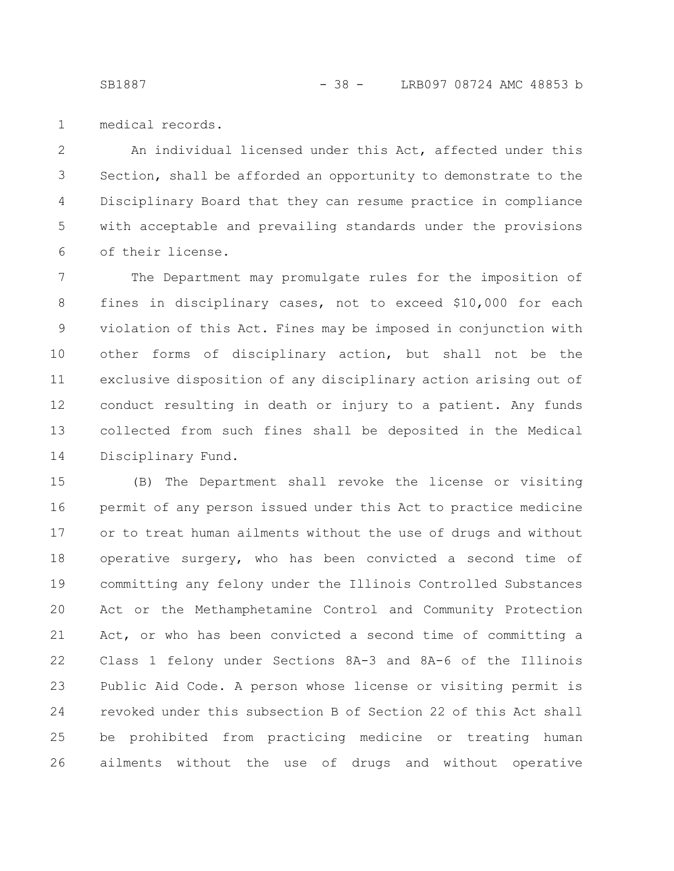medical records. 1

An individual licensed under this Act, affected under this Section, shall be afforded an opportunity to demonstrate to the Disciplinary Board that they can resume practice in compliance with acceptable and prevailing standards under the provisions of their license. 2 3 4 5 6

The Department may promulgate rules for the imposition of fines in disciplinary cases, not to exceed \$10,000 for each violation of this Act. Fines may be imposed in conjunction with other forms of disciplinary action, but shall not be the exclusive disposition of any disciplinary action arising out of conduct resulting in death or injury to a patient. Any funds collected from such fines shall be deposited in the Medical Disciplinary Fund. 7 8 9 10 11 12 13 14

(B) The Department shall revoke the license or visiting permit of any person issued under this Act to practice medicine or to treat human ailments without the use of drugs and without operative surgery, who has been convicted a second time of committing any felony under the Illinois Controlled Substances Act or the Methamphetamine Control and Community Protection Act, or who has been convicted a second time of committing a Class 1 felony under Sections 8A-3 and 8A-6 of the Illinois Public Aid Code. A person whose license or visiting permit is revoked under this subsection B of Section 22 of this Act shall be prohibited from practicing medicine or treating human ailments without the use of drugs and without operative 15 16 17 18 19 20 21 22 23 24 25 26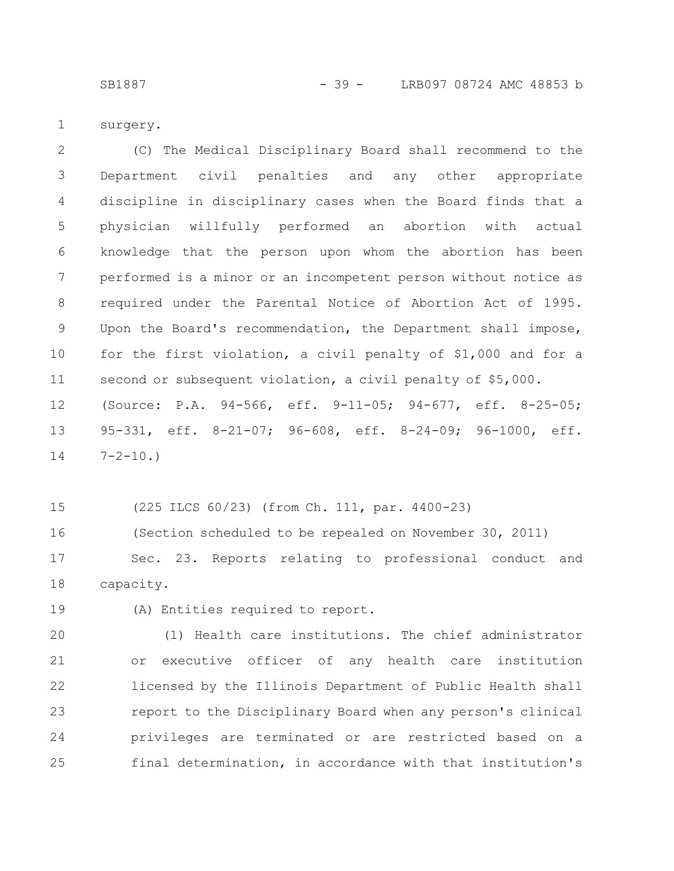SB1887 - 39 - LRB097 08724 AMC 48853 b

surgery. 1

(C) The Medical Disciplinary Board shall recommend to the Department civil penalties and any other appropriate discipline in disciplinary cases when the Board finds that a physician willfully performed an abortion with actual knowledge that the person upon whom the abortion has been performed is a minor or an incompetent person without notice as required under the Parental Notice of Abortion Act of 1995. Upon the Board's recommendation, the Department shall impose, for the first violation, a civil penalty of \$1,000 and for a second or subsequent violation, a civil penalty of \$5,000. (Source: P.A. 94-566, eff. 9-11-05; 94-677, eff. 8-25-05; 95-331, eff. 8-21-07; 96-608, eff. 8-24-09; 96-1000, eff.  $7 - 2 - 10.$ 2 3 4 5 6 7 8 9 10 11 12 13

14

(225 ILCS 60/23) (from Ch. 111, par. 4400-23) 15

(Section scheduled to be repealed on November 30, 2011) Sec. 23. Reports relating to professional conduct and capacity. 16 17 18

(A) Entities required to report. 19

(1) Health care institutions. The chief administrator or executive officer of any health care institution licensed by the Illinois Department of Public Health shall report to the Disciplinary Board when any person's clinical privileges are terminated or are restricted based on a final determination, in accordance with that institution's 20 21 22 23 24 25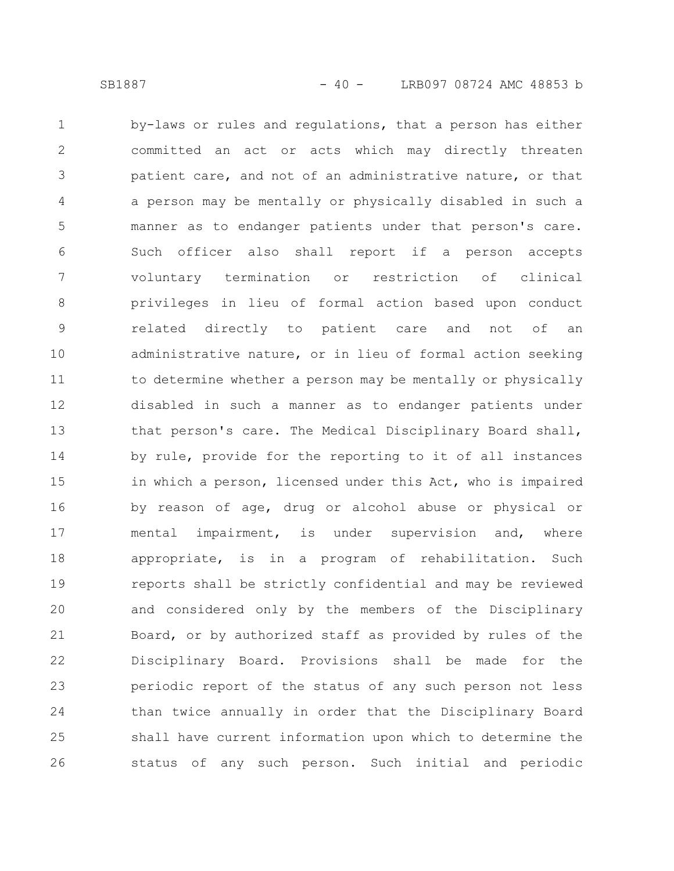by-laws or rules and regulations, that a person has either committed an act or acts which may directly threaten patient care, and not of an administrative nature, or that a person may be mentally or physically disabled in such a manner as to endanger patients under that person's care. Such officer also shall report if a person accepts voluntary termination or restriction of clinical privileges in lieu of formal action based upon conduct related directly to patient care and not of an administrative nature, or in lieu of formal action seeking to determine whether a person may be mentally or physically disabled in such a manner as to endanger patients under that person's care. The Medical Disciplinary Board shall, by rule, provide for the reporting to it of all instances in which a person, licensed under this Act, who is impaired by reason of age, drug or alcohol abuse or physical or mental impairment, is under supervision and, where appropriate, is in a program of rehabilitation. Such reports shall be strictly confidential and may be reviewed and considered only by the members of the Disciplinary Board, or by authorized staff as provided by rules of the Disciplinary Board. Provisions shall be made for the periodic report of the status of any such person not less than twice annually in order that the Disciplinary Board shall have current information upon which to determine the status of any such person. Such initial and periodic 1 2 3 4 5 6 7 8 9 10 11 12 13 14 15 16 17 18 19 20 21 22 23 24 25 26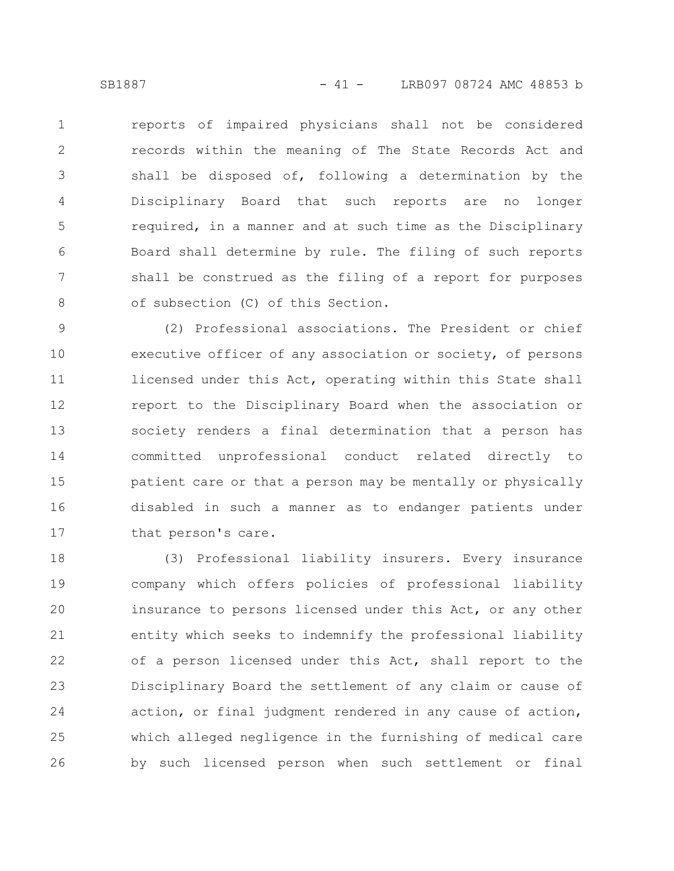reports of impaired physicians shall not be considered records within the meaning of The State Records Act and shall be disposed of, following a determination by the Disciplinary Board that such reports are no longer required, in a manner and at such time as the Disciplinary Board shall determine by rule. The filing of such reports shall be construed as the filing of a report for purposes of subsection (C) of this Section. 1 2 3 4 5 6 7 8

(2) Professional associations. The President or chief executive officer of any association or society, of persons licensed under this Act, operating within this State shall report to the Disciplinary Board when the association or society renders a final determination that a person has committed unprofessional conduct related directly to patient care or that a person may be mentally or physically disabled in such a manner as to endanger patients under that person's care. 9 10 11 12 13 14 15 16 17

(3) Professional liability insurers. Every insurance company which offers policies of professional liability insurance to persons licensed under this Act, or any other entity which seeks to indemnify the professional liability of a person licensed under this Act, shall report to the Disciplinary Board the settlement of any claim or cause of action, or final judgment rendered in any cause of action, which alleged negligence in the furnishing of medical care by such licensed person when such settlement or final 18 19 20 21 22 23 24 25 26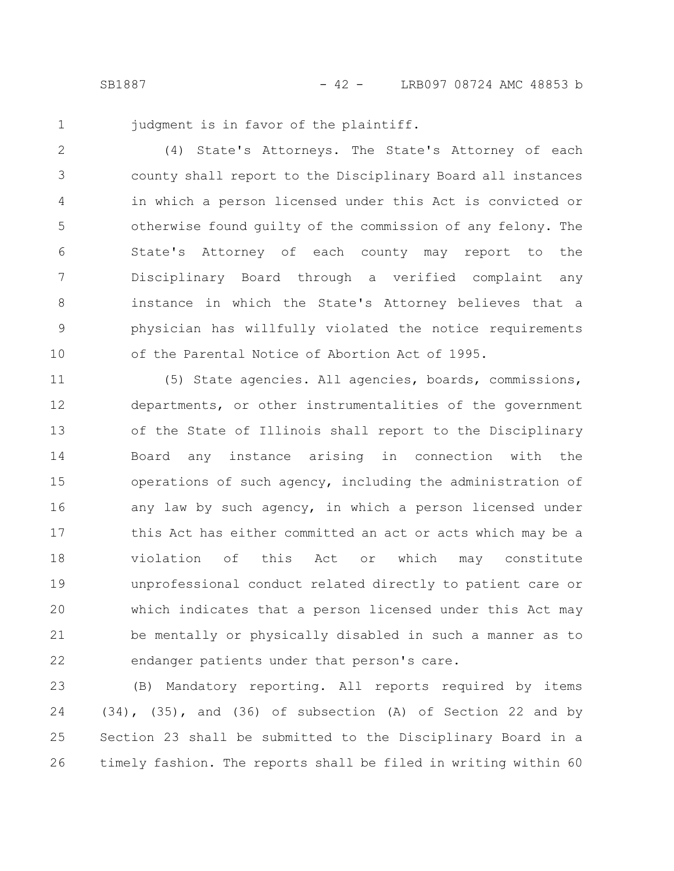1

judgment is in favor of the plaintiff.

(4) State's Attorneys. The State's Attorney of each county shall report to the Disciplinary Board all instances in which a person licensed under this Act is convicted or otherwise found guilty of the commission of any felony. The State's Attorney of each county may report to the Disciplinary Board through a verified complaint any instance in which the State's Attorney believes that a physician has willfully violated the notice requirements of the Parental Notice of Abortion Act of 1995. 2 3 4 5 6 7 8 9 10

(5) State agencies. All agencies, boards, commissions, departments, or other instrumentalities of the government of the State of Illinois shall report to the Disciplinary Board any instance arising in connection with the operations of such agency, including the administration of any law by such agency, in which a person licensed under this Act has either committed an act or acts which may be a violation of this Act or which may constitute unprofessional conduct related directly to patient care or which indicates that a person licensed under this Act may be mentally or physically disabled in such a manner as to endanger patients under that person's care. 11 12 13 14 15 16 17 18 19 20 21 22

(B) Mandatory reporting. All reports required by items (34), (35), and (36) of subsection (A) of Section 22 and by Section 23 shall be submitted to the Disciplinary Board in a timely fashion. The reports shall be filed in writing within 60 23 24 25 26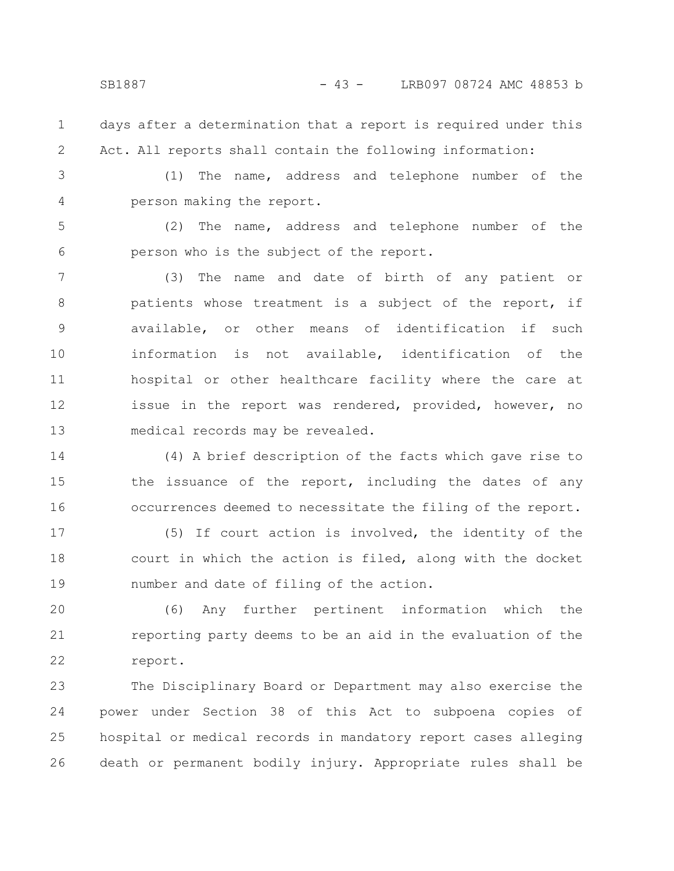- days after a determination that a report is required under this Act. All reports shall contain the following information: 1 2
- 3 4

(1) The name, address and telephone number of the person making the report.

(2) The name, address and telephone number of the person who is the subject of the report. 5 6

(3) The name and date of birth of any patient or patients whose treatment is a subject of the report, if available, or other means of identification if such information is not available, identification of the hospital or other healthcare facility where the care at issue in the report was rendered, provided, however, no medical records may be revealed. 7 8 9 10 11 12 13

(4) A brief description of the facts which gave rise to the issuance of the report, including the dates of any occurrences deemed to necessitate the filing of the report. 14 15 16

(5) If court action is involved, the identity of the court in which the action is filed, along with the docket number and date of filing of the action. 17 18 19

(6) Any further pertinent information which the reporting party deems to be an aid in the evaluation of the report. 20 21 22

The Disciplinary Board or Department may also exercise the power under Section 38 of this Act to subpoena copies of hospital or medical records in mandatory report cases alleging death or permanent bodily injury. Appropriate rules shall be 23 24 25 26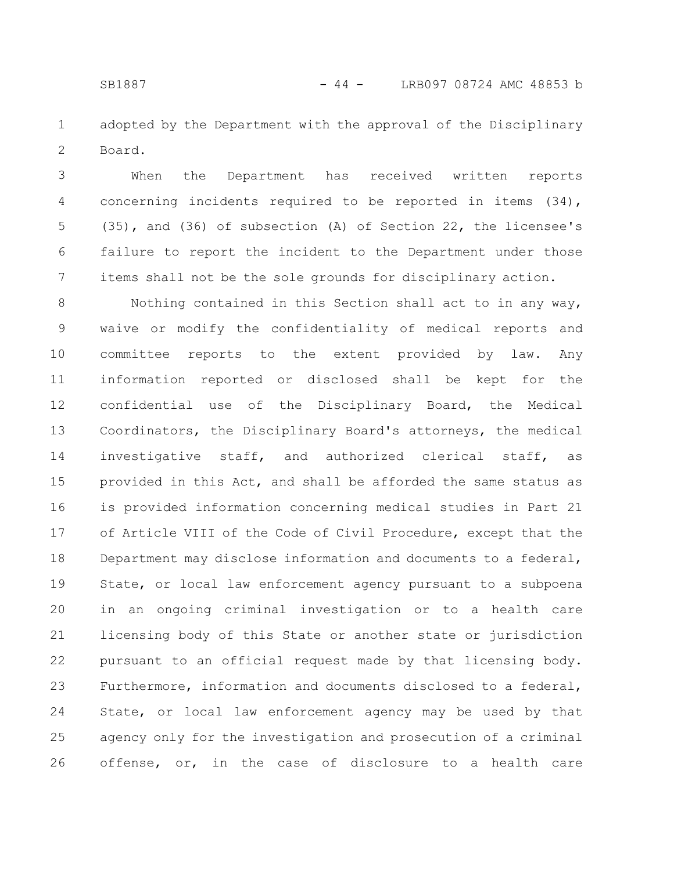adopted by the Department with the approval of the Disciplinary Board. 1 2

When the Department has received written reports concerning incidents required to be reported in items (34), (35), and (36) of subsection (A) of Section 22, the licensee's failure to report the incident to the Department under those items shall not be the sole grounds for disciplinary action. 3 4 5 6 7

Nothing contained in this Section shall act to in any way, waive or modify the confidentiality of medical reports and committee reports to the extent provided by law. Any information reported or disclosed shall be kept for the confidential use of the Disciplinary Board, the Medical Coordinators, the Disciplinary Board's attorneys, the medical investigative staff, and authorized clerical staff, as provided in this Act, and shall be afforded the same status as is provided information concerning medical studies in Part 21 of Article VIII of the Code of Civil Procedure, except that the Department may disclose information and documents to a federal, State, or local law enforcement agency pursuant to a subpoena in an ongoing criminal investigation or to a health care licensing body of this State or another state or jurisdiction pursuant to an official request made by that licensing body. Furthermore, information and documents disclosed to a federal, State, or local law enforcement agency may be used by that agency only for the investigation and prosecution of a criminal offense, or, in the case of disclosure to a health care 8 9 10 11 12 13 14 15 16 17 18 19 20 21 22 23 24 25 26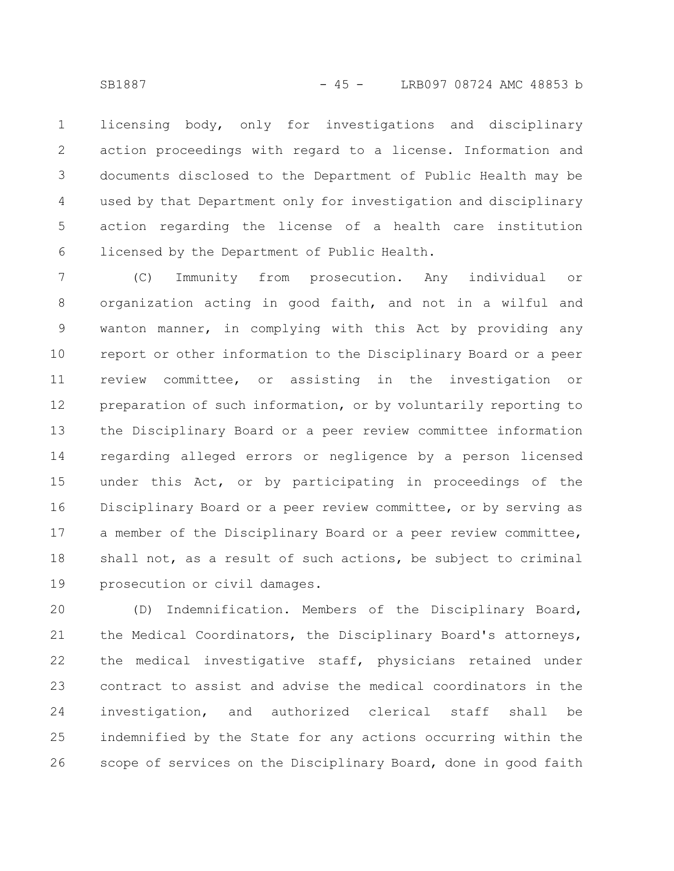licensing body, only for investigations and disciplinary action proceedings with regard to a license. Information and documents disclosed to the Department of Public Health may be used by that Department only for investigation and disciplinary action regarding the license of a health care institution licensed by the Department of Public Health. 1 2 3 4 5 6

(C) Immunity from prosecution. Any individual or organization acting in good faith, and not in a wilful and wanton manner, in complying with this Act by providing any report or other information to the Disciplinary Board or a peer review committee, or assisting in the investigation or preparation of such information, or by voluntarily reporting to the Disciplinary Board or a peer review committee information regarding alleged errors or negligence by a person licensed under this Act, or by participating in proceedings of the Disciplinary Board or a peer review committee, or by serving as a member of the Disciplinary Board or a peer review committee, shall not, as a result of such actions, be subject to criminal prosecution or civil damages. 7 8 9 10 11 12 13 14 15 16 17 18 19

(D) Indemnification. Members of the Disciplinary Board, the Medical Coordinators, the Disciplinary Board's attorneys, the medical investigative staff, physicians retained under contract to assist and advise the medical coordinators in the investigation, and authorized clerical staff shall be indemnified by the State for any actions occurring within the scope of services on the Disciplinary Board, done in good faith 20 21 22 23 24 25 26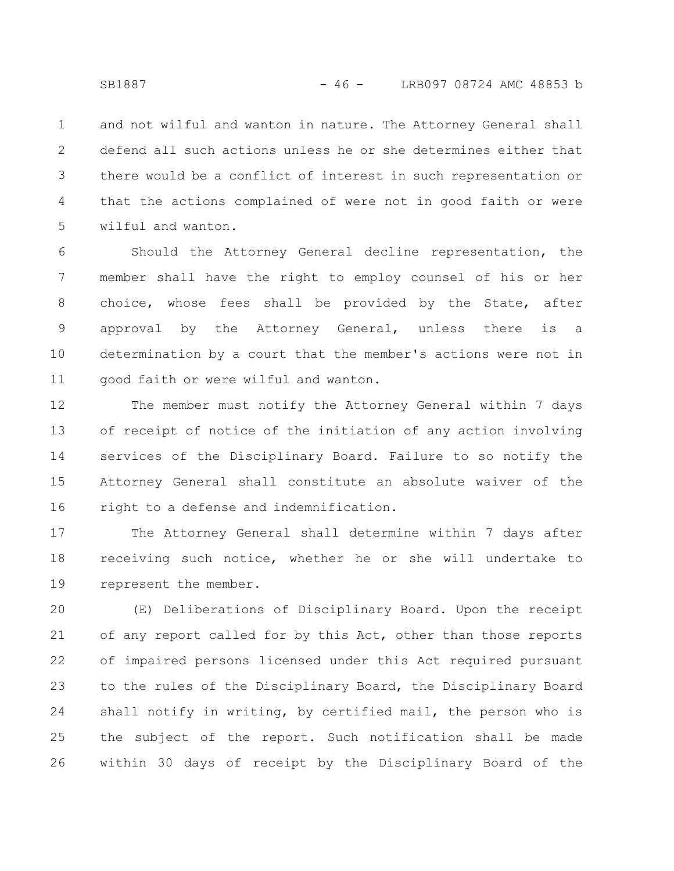and not wilful and wanton in nature. The Attorney General shall defend all such actions unless he or she determines either that there would be a conflict of interest in such representation or that the actions complained of were not in good faith or were wilful and wanton. 1 2 3 4 5

Should the Attorney General decline representation, the member shall have the right to employ counsel of his or her choice, whose fees shall be provided by the State, after approval by the Attorney General, unless there is a determination by a court that the member's actions were not in good faith or were wilful and wanton. 6 7 8 9 10 11

The member must notify the Attorney General within 7 days of receipt of notice of the initiation of any action involving services of the Disciplinary Board. Failure to so notify the Attorney General shall constitute an absolute waiver of the right to a defense and indemnification. 12 13 14 15 16

The Attorney General shall determine within 7 days after receiving such notice, whether he or she will undertake to represent the member. 17 18 19

(E) Deliberations of Disciplinary Board. Upon the receipt of any report called for by this Act, other than those reports of impaired persons licensed under this Act required pursuant to the rules of the Disciplinary Board, the Disciplinary Board shall notify in writing, by certified mail, the person who is the subject of the report. Such notification shall be made within 30 days of receipt by the Disciplinary Board of the 20 21 22 23 24 25 26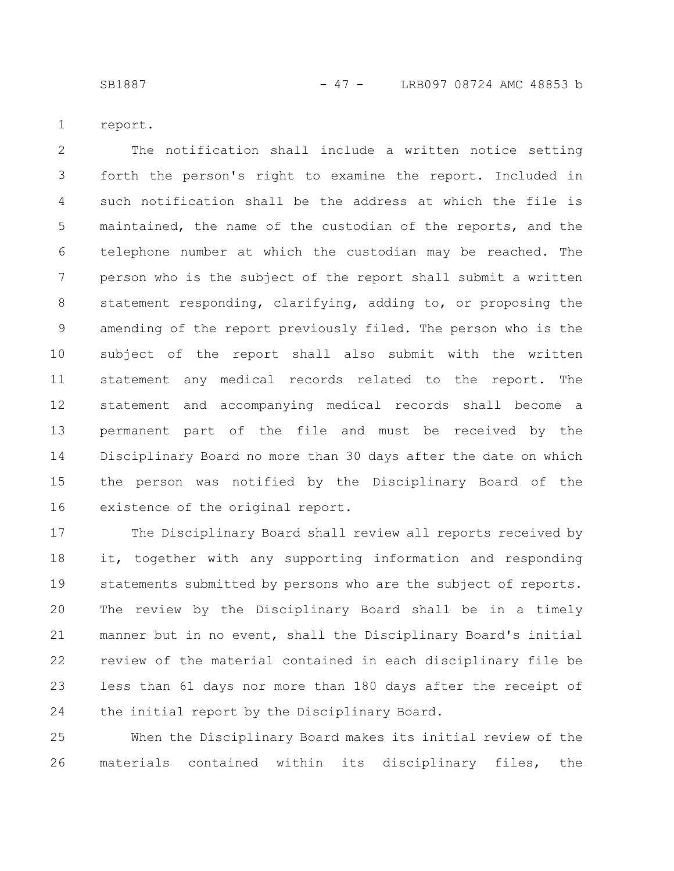SB1887 - 47 - LRB097 08724 AMC 48853 b

report. 1

The notification shall include a written notice setting forth the person's right to examine the report. Included in such notification shall be the address at which the file is maintained, the name of the custodian of the reports, and the telephone number at which the custodian may be reached. The person who is the subject of the report shall submit a written statement responding, clarifying, adding to, or proposing the amending of the report previously filed. The person who is the subject of the report shall also submit with the written statement any medical records related to the report. The statement and accompanying medical records shall become a permanent part of the file and must be received by the Disciplinary Board no more than 30 days after the date on which the person was notified by the Disciplinary Board of the existence of the original report. 2 3 4 5 6 7 8 9 10 11 12 13 14 15 16

The Disciplinary Board shall review all reports received by it, together with any supporting information and responding statements submitted by persons who are the subject of reports. The review by the Disciplinary Board shall be in a timely manner but in no event, shall the Disciplinary Board's initial review of the material contained in each disciplinary file be less than 61 days nor more than 180 days after the receipt of the initial report by the Disciplinary Board. 17 18 19 20 21 22 23 24

When the Disciplinary Board makes its initial review of the materials contained within its disciplinary files, the 25 26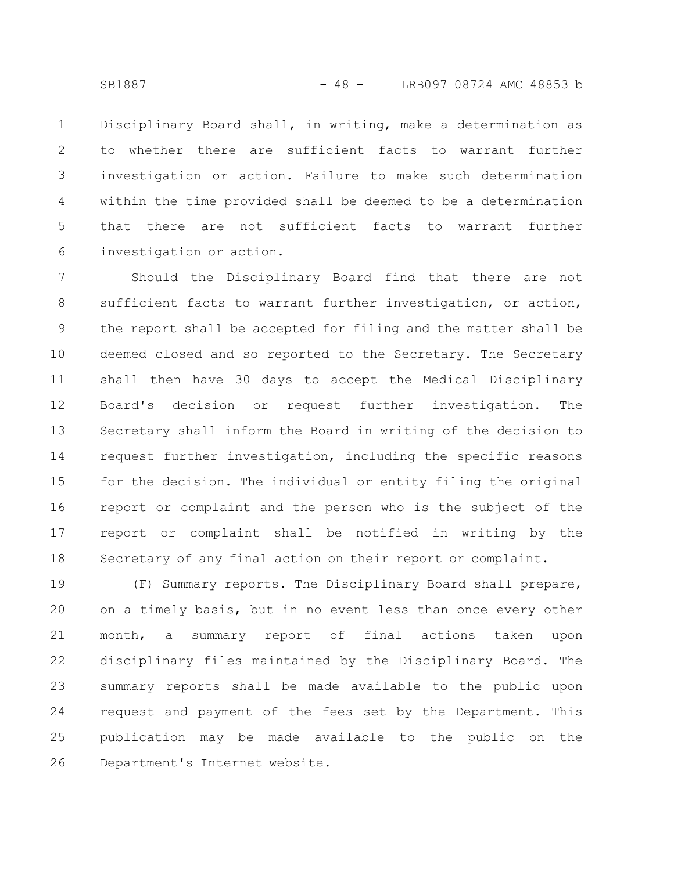Disciplinary Board shall, in writing, make a determination as to whether there are sufficient facts to warrant further investigation or action. Failure to make such determination within the time provided shall be deemed to be a determination that there are not sufficient facts to warrant further investigation or action. 1 2 3 4 5 6

Should the Disciplinary Board find that there are not sufficient facts to warrant further investigation, or action, the report shall be accepted for filing and the matter shall be deemed closed and so reported to the Secretary. The Secretary shall then have 30 days to accept the Medical Disciplinary Board's decision or request further investigation. The Secretary shall inform the Board in writing of the decision to request further investigation, including the specific reasons for the decision. The individual or entity filing the original report or complaint and the person who is the subject of the report or complaint shall be notified in writing by the Secretary of any final action on their report or complaint. 7 8 9 10 11 12 13 14 15 16 17 18

(F) Summary reports. The Disciplinary Board shall prepare, on a timely basis, but in no event less than once every other month, a summary report of final actions taken upon disciplinary files maintained by the Disciplinary Board. The summary reports shall be made available to the public upon request and payment of the fees set by the Department. This publication may be made available to the public on the Department's Internet website. 19 20 21 22 23 24 25 26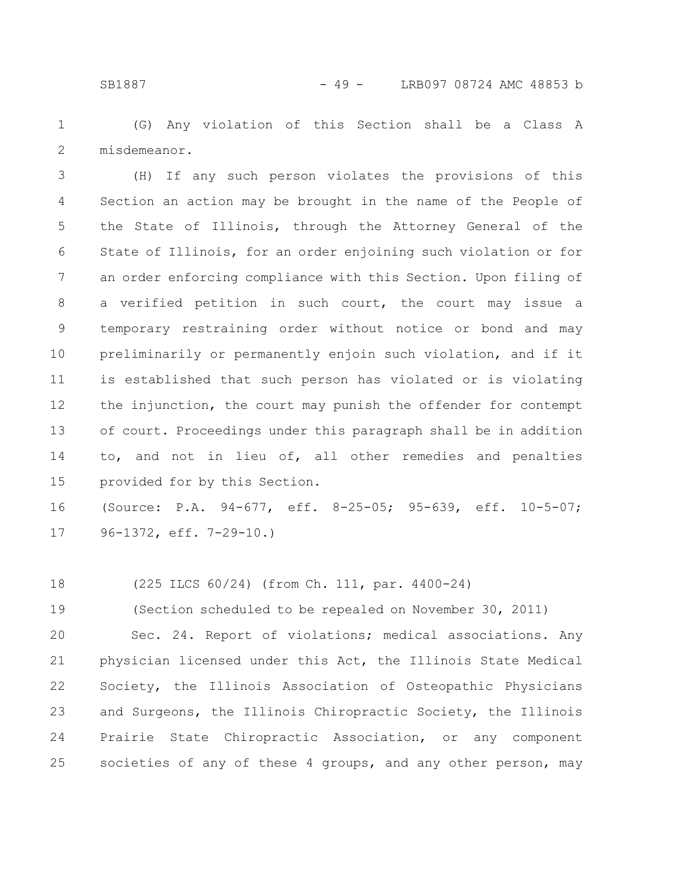(G) Any violation of this Section shall be a Class A misdemeanor. 1 2

(H) If any such person violates the provisions of this Section an action may be brought in the name of the People of the State of Illinois, through the Attorney General of the State of Illinois, for an order enjoining such violation or for an order enforcing compliance with this Section. Upon filing of a verified petition in such court, the court may issue a temporary restraining order without notice or bond and may preliminarily or permanently enjoin such violation, and if it is established that such person has violated or is violating the injunction, the court may punish the offender for contempt of court. Proceedings under this paragraph shall be in addition to, and not in lieu of, all other remedies and penalties provided for by this Section. 3 4 5 6 7 8 9 10 11 12 13 14 15

(Source: P.A. 94-677, eff. 8-25-05; 95-639, eff. 10-5-07; 96-1372, eff. 7-29-10.) 16 17

(225 ILCS 60/24) (from Ch. 111, par. 4400-24) 18

(Section scheduled to be repealed on November 30, 2011) 19

Sec. 24. Report of violations; medical associations. Any physician licensed under this Act, the Illinois State Medical Society, the Illinois Association of Osteopathic Physicians and Surgeons, the Illinois Chiropractic Society, the Illinois Prairie State Chiropractic Association, or any component societies of any of these 4 groups, and any other person, may 20 21 22 23 24 25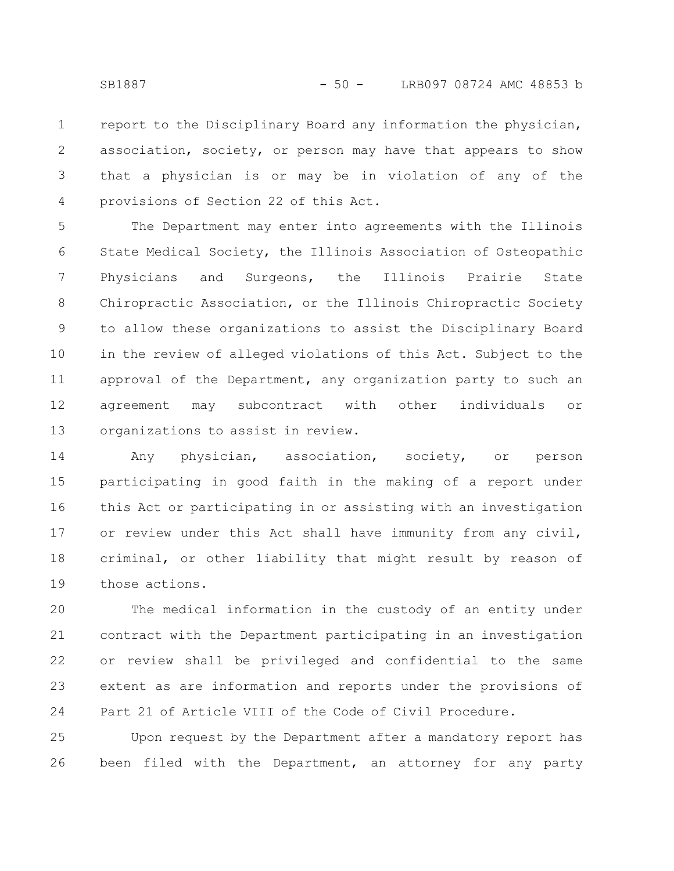report to the Disciplinary Board any information the physician, association, society, or person may have that appears to show that a physician is or may be in violation of any of the provisions of Section 22 of this Act. 1 2 3 4

The Department may enter into agreements with the Illinois State Medical Society, the Illinois Association of Osteopathic Physicians and Surgeons, the Illinois Prairie State Chiropractic Association, or the Illinois Chiropractic Society to allow these organizations to assist the Disciplinary Board in the review of alleged violations of this Act. Subject to the approval of the Department, any organization party to such an agreement may subcontract with other individuals or organizations to assist in review. 5 6 7 8 9 10 11 12 13

Any physician, association, society, or person participating in good faith in the making of a report under this Act or participating in or assisting with an investigation or review under this Act shall have immunity from any civil, criminal, or other liability that might result by reason of those actions. 14 15 16 17 18 19

The medical information in the custody of an entity under contract with the Department participating in an investigation or review shall be privileged and confidential to the same extent as are information and reports under the provisions of Part 21 of Article VIII of the Code of Civil Procedure. 20 21 22 23 24

Upon request by the Department after a mandatory report has been filed with the Department, an attorney for any party 25 26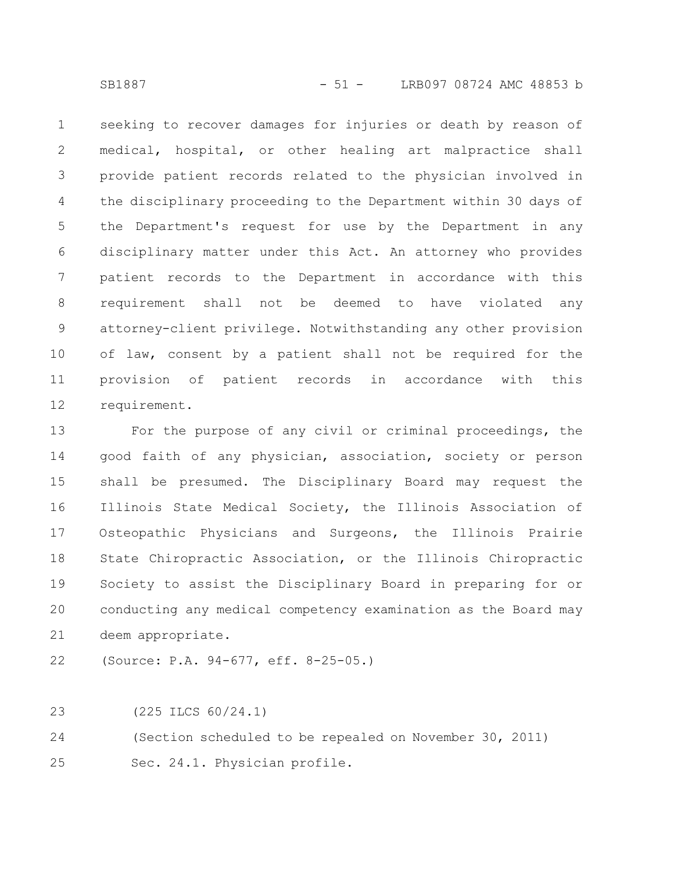seeking to recover damages for injuries or death by reason of medical, hospital, or other healing art malpractice shall provide patient records related to the physician involved in the disciplinary proceeding to the Department within 30 days of the Department's request for use by the Department in any disciplinary matter under this Act. An attorney who provides patient records to the Department in accordance with this requirement shall not be deemed to have violated any attorney-client privilege. Notwithstanding any other provision of law, consent by a patient shall not be required for the provision of patient records in accordance with this requirement. 1 2 3 4 5 6 7 8 9 10 11 12

For the purpose of any civil or criminal proceedings, the good faith of any physician, association, society or person shall be presumed. The Disciplinary Board may request the Illinois State Medical Society, the Illinois Association of Osteopathic Physicians and Surgeons, the Illinois Prairie State Chiropractic Association, or the Illinois Chiropractic Society to assist the Disciplinary Board in preparing for or conducting any medical competency examination as the Board may deem appropriate. 13 14 15 16 17 18 19 20 21

(Source: P.A. 94-677, eff. 8-25-05.) 22

(225 ILCS 60/24.1) 23

(Section scheduled to be repealed on November 30, 2011) 24

Sec. 24.1. Physician profile. 25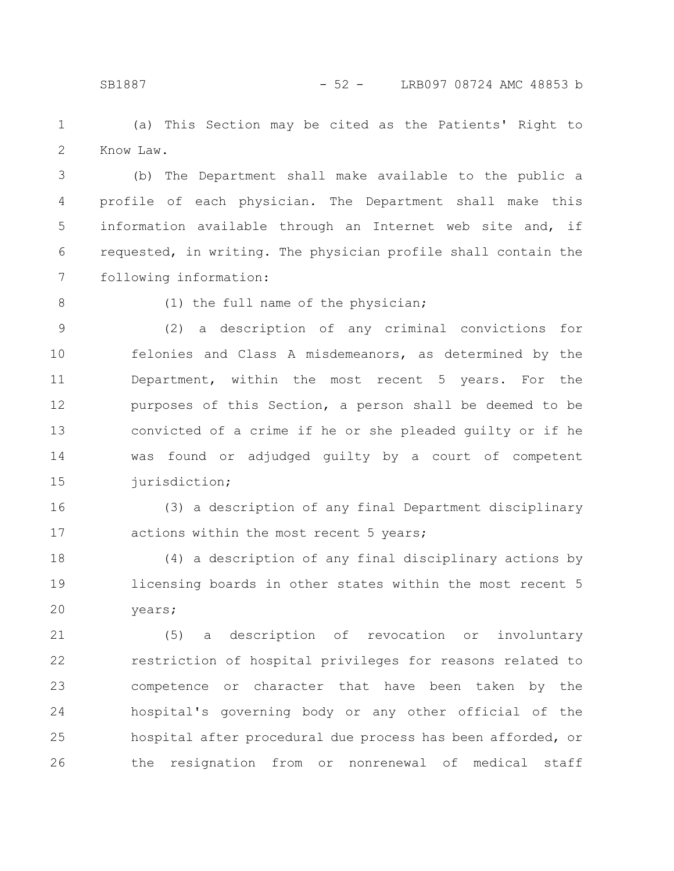(a) This Section may be cited as the Patients' Right to Know Law. 1 2

(b) The Department shall make available to the public a profile of each physician. The Department shall make this information available through an Internet web site and, if requested, in writing. The physician profile shall contain the following information: 3 4 5 6 7

8

(1) the full name of the physician;

(2) a description of any criminal convictions for felonies and Class A misdemeanors, as determined by the Department, within the most recent 5 years. For the purposes of this Section, a person shall be deemed to be convicted of a crime if he or she pleaded guilty or if he was found or adjudged guilty by a court of competent jurisdiction; 9 10 11 12 13 14 15

(3) a description of any final Department disciplinary actions within the most recent 5 years; 16 17

(4) a description of any final disciplinary actions by licensing boards in other states within the most recent 5 years; 18 19 20

(5) a description of revocation or involuntary restriction of hospital privileges for reasons related to competence or character that have been taken by the hospital's governing body or any other official of the hospital after procedural due process has been afforded, or the resignation from or nonrenewal of medical staff 21 22 23 24 25 26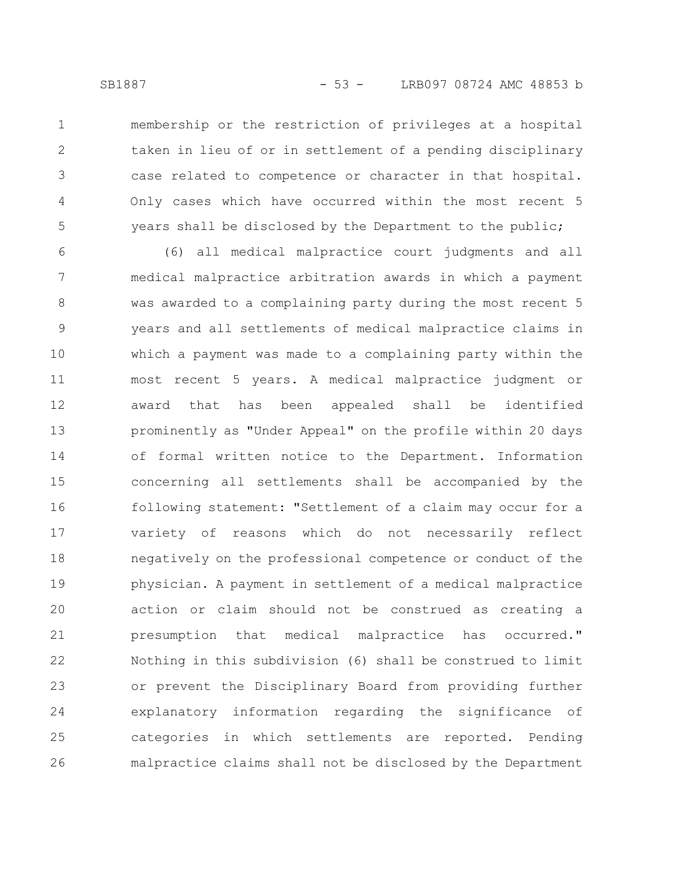1

2

3

4

5

membership or the restriction of privileges at a hospital taken in lieu of or in settlement of a pending disciplinary case related to competence or character in that hospital. Only cases which have occurred within the most recent 5 years shall be disclosed by the Department to the public;

(6) all medical malpractice court judgments and all medical malpractice arbitration awards in which a payment was awarded to a complaining party during the most recent 5 years and all settlements of medical malpractice claims in which a payment was made to a complaining party within the most recent 5 years. A medical malpractice judgment or award that has been appealed shall be identified prominently as "Under Appeal" on the profile within 20 days of formal written notice to the Department. Information concerning all settlements shall be accompanied by the following statement: "Settlement of a claim may occur for a variety of reasons which do not necessarily reflect negatively on the professional competence or conduct of the physician. A payment in settlement of a medical malpractice action or claim should not be construed as creating a presumption that medical malpractice has occurred." Nothing in this subdivision (6) shall be construed to limit or prevent the Disciplinary Board from providing further explanatory information regarding the significance of categories in which settlements are reported. Pending malpractice claims shall not be disclosed by the Department 6 7 8 9 10 11 12 13 14 15 16 17 18 19 20 21 22 23 24 25 26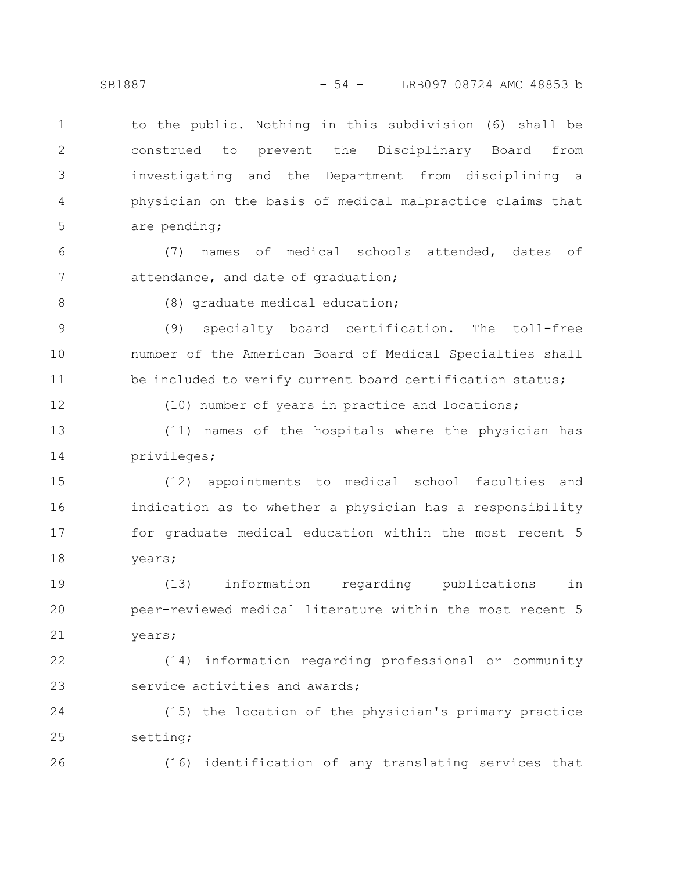to the public. Nothing in this subdivision (6) shall be construed to prevent the Disciplinary Board from investigating and the Department from disciplining a physician on the basis of medical malpractice claims that are pending; 1 2 3 4 5

(7) names of medical schools attended, dates of attendance, and date of graduation; 6 7

8

(8) graduate medical education;

(9) specialty board certification. The toll-free number of the American Board of Medical Specialties shall be included to verify current board certification status; 9 10 11

12

(10) number of years in practice and locations;

(11) names of the hospitals where the physician has privileges; 13 14

(12) appointments to medical school faculties and indication as to whether a physician has a responsibility for graduate medical education within the most recent 5 years; 15 16 17 18

(13) information regarding publications in peer-reviewed medical literature within the most recent 5 years; 19 20 21

(14) information regarding professional or community service activities and awards; 22 23

(15) the location of the physician's primary practice setting; 24 25

26

(16) identification of any translating services that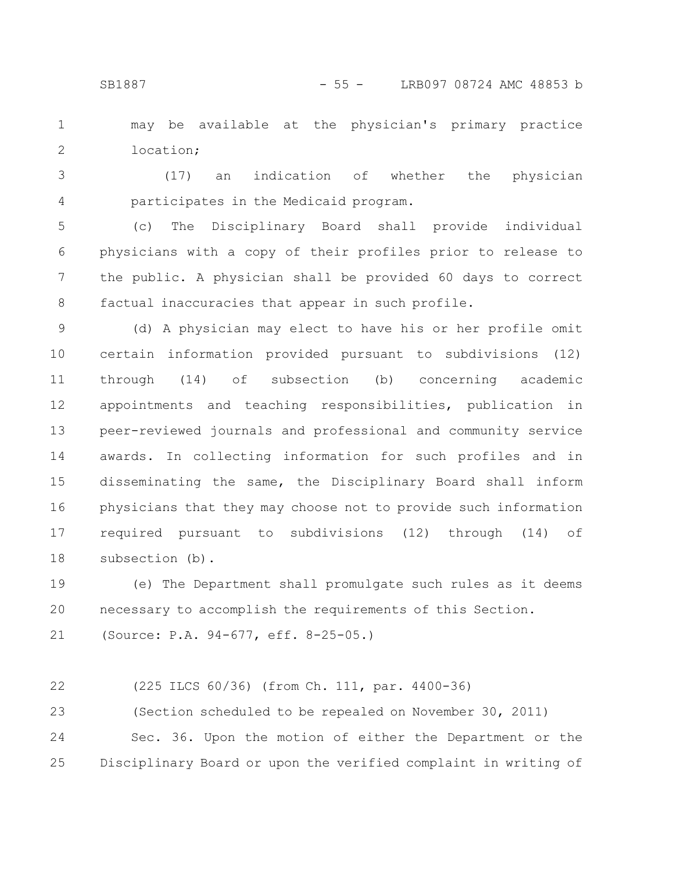may be available at the physician's primary practice location; 1 2

(17) an indication of whether the physician participates in the Medicaid program. 3 4

(c) The Disciplinary Board shall provide individual physicians with a copy of their profiles prior to release to the public. A physician shall be provided 60 days to correct factual inaccuracies that appear in such profile. 5 6 7 8

(d) A physician may elect to have his or her profile omit certain information provided pursuant to subdivisions (12) through (14) of subsection (b) concerning academic appointments and teaching responsibilities, publication in peer-reviewed journals and professional and community service awards. In collecting information for such profiles and in disseminating the same, the Disciplinary Board shall inform physicians that they may choose not to provide such information required pursuant to subdivisions (12) through (14) of subsection (b). 9 10 11 12 13 14 15 16 17 18

(e) The Department shall promulgate such rules as it deems necessary to accomplish the requirements of this Section. 19 20

```
(Source: P.A. 94-677, eff. 8-25-05.)
21
```

```
(225 ILCS 60/36) (from Ch. 111, par. 4400-36)
          (Section scheduled to be repealed on November 30, 2011)
          Sec. 36. Upon the motion of either the Department or the
      Disciplinary Board or upon the verified complaint in writing of
22
23
24
25
```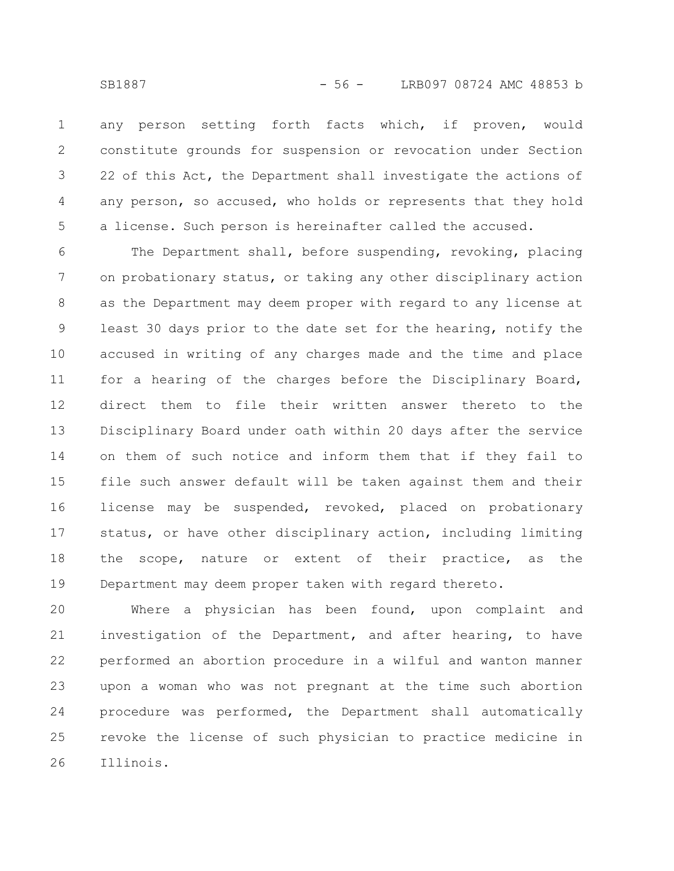any person setting forth facts which, if proven, would constitute grounds for suspension or revocation under Section 22 of this Act, the Department shall investigate the actions of any person, so accused, who holds or represents that they hold a license. Such person is hereinafter called the accused. 1 2 3 4 5

The Department shall, before suspending, revoking, placing on probationary status, or taking any other disciplinary action as the Department may deem proper with regard to any license at least 30 days prior to the date set for the hearing, notify the accused in writing of any charges made and the time and place for a hearing of the charges before the Disciplinary Board, direct them to file their written answer thereto to the Disciplinary Board under oath within 20 days after the service on them of such notice and inform them that if they fail to file such answer default will be taken against them and their license may be suspended, revoked, placed on probationary status, or have other disciplinary action, including limiting the scope, nature or extent of their practice, as the Department may deem proper taken with regard thereto. 6 7 8 9 10 11 12 13 14 15 16 17 18 19

Where a physician has been found, upon complaint and investigation of the Department, and after hearing, to have performed an abortion procedure in a wilful and wanton manner upon a woman who was not pregnant at the time such abortion procedure was performed, the Department shall automatically revoke the license of such physician to practice medicine in Illinois. 20 21 22 23 24 25 26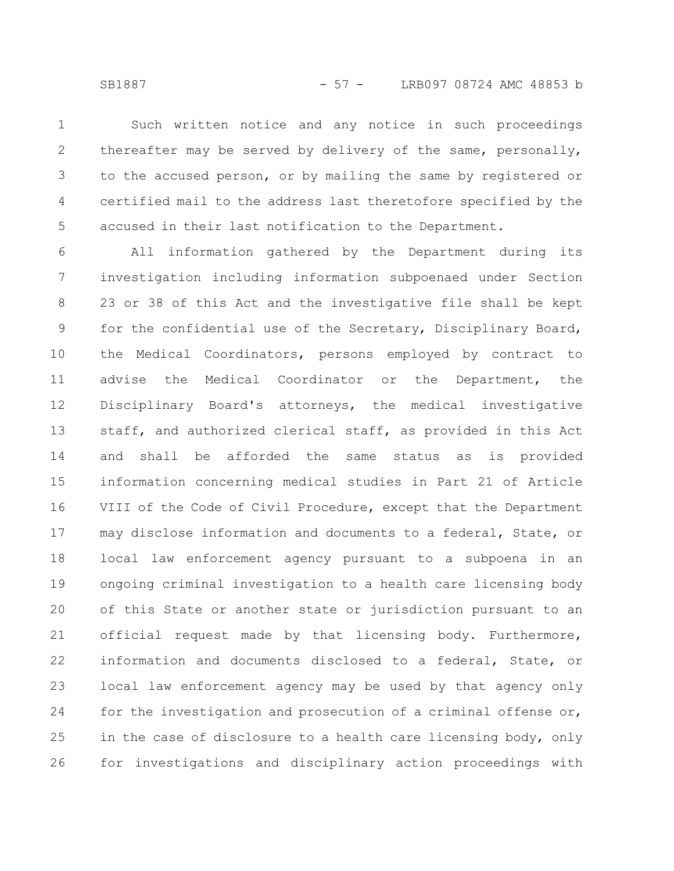SB1887 - 57 - LRB097 08724 AMC 48853 b

Such written notice and any notice in such proceedings thereafter may be served by delivery of the same, personally, to the accused person, or by mailing the same by registered or certified mail to the address last theretofore specified by the accused in their last notification to the Department. 1 2 3 4 5

All information gathered by the Department during its investigation including information subpoenaed under Section 23 or 38 of this Act and the investigative file shall be kept for the confidential use of the Secretary, Disciplinary Board, the Medical Coordinators, persons employed by contract to advise the Medical Coordinator or the Department, the Disciplinary Board's attorneys, the medical investigative staff, and authorized clerical staff, as provided in this Act and shall be afforded the same status as is provided information concerning medical studies in Part 21 of Article VIII of the Code of Civil Procedure, except that the Department may disclose information and documents to a federal, State, or local law enforcement agency pursuant to a subpoena in an ongoing criminal investigation to a health care licensing body of this State or another state or jurisdiction pursuant to an official request made by that licensing body. Furthermore, information and documents disclosed to a federal, State, or local law enforcement agency may be used by that agency only for the investigation and prosecution of a criminal offense or, in the case of disclosure to a health care licensing body, only for investigations and disciplinary action proceedings with 6 7 8 9 10 11 12 13 14 15 16 17 18 19 20 21 22 23 24 25 26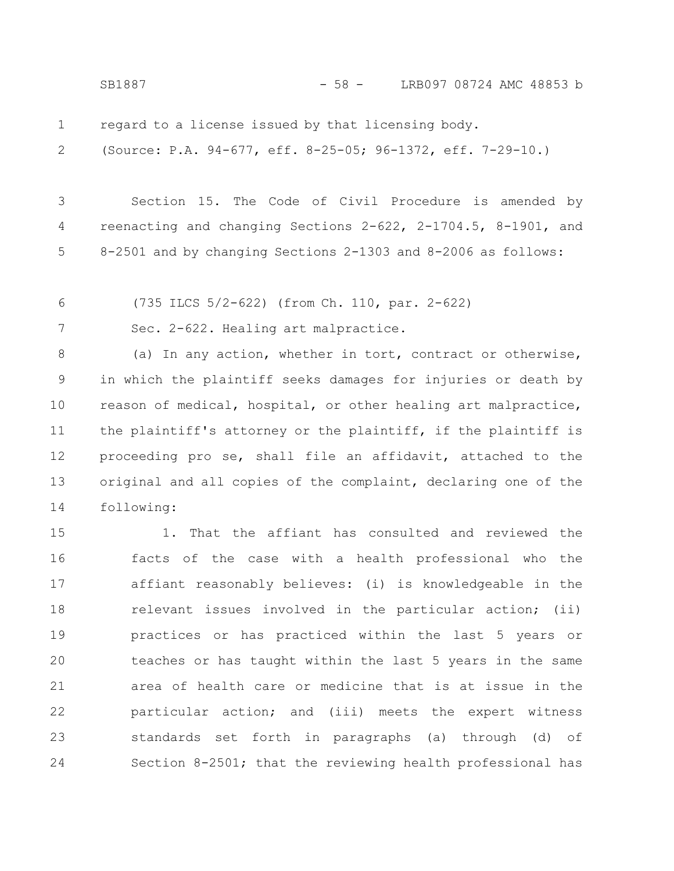SB1887 - 58 - LRB097 08724 AMC 48853 b

regard to a license issued by that licensing body. 1

(Source: P.A. 94-677, eff. 8-25-05; 96-1372, eff. 7-29-10.) 2

Section 15. The Code of Civil Procedure is amended by reenacting and changing Sections 2-622, 2-1704.5, 8-1901, and 8-2501 and by changing Sections 2-1303 and 8-2006 as follows: 3 4 5

(735 ILCS 5/2-622) (from Ch. 110, par. 2-622) 6

Sec. 2-622. Healing art malpractice. 7

(a) In any action, whether in tort, contract or otherwise, in which the plaintiff seeks damages for injuries or death by reason of medical, hospital, or other healing art malpractice, the plaintiff's attorney or the plaintiff, if the plaintiff is proceeding pro se, shall file an affidavit, attached to the original and all copies of the complaint, declaring one of the following: 8 9 10 11 12 13 14

1. That the affiant has consulted and reviewed the facts of the case with a health professional who the affiant reasonably believes: (i) is knowledgeable in the relevant issues involved in the particular action; (ii) practices or has practiced within the last 5 years or teaches or has taught within the last 5 years in the same area of health care or medicine that is at issue in the particular action; and (iii) meets the expert witness standards set forth in paragraphs (a) through (d) of Section 8-2501; that the reviewing health professional has 15 16 17 18 19 20 21 22 23 24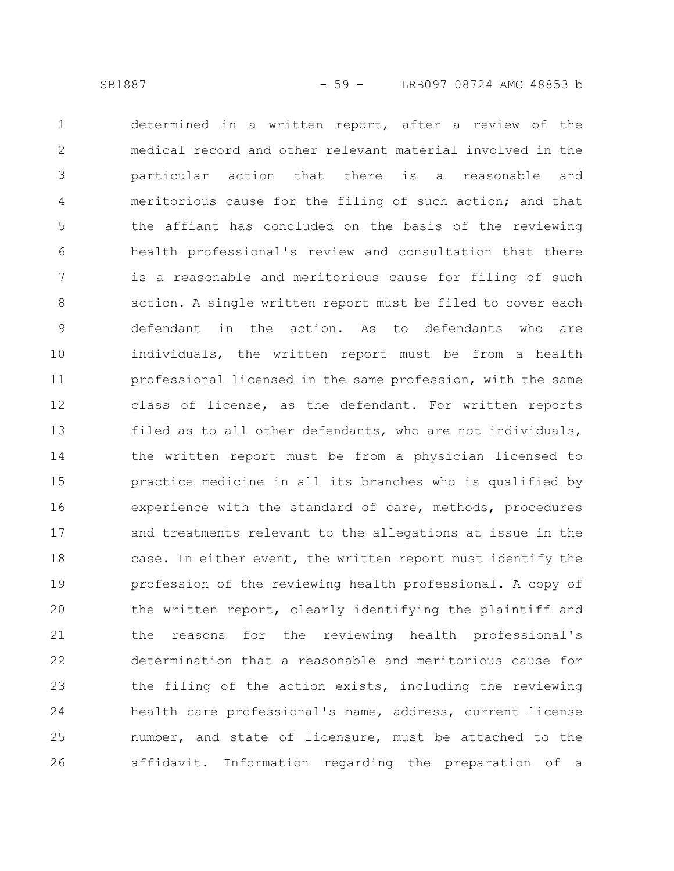determined in a written report, after a review of the medical record and other relevant material involved in the particular action that there is a reasonable and meritorious cause for the filing of such action; and that the affiant has concluded on the basis of the reviewing health professional's review and consultation that there is a reasonable and meritorious cause for filing of such action. A single written report must be filed to cover each defendant in the action. As to defendants who are individuals, the written report must be from a health professional licensed in the same profession, with the same class of license, as the defendant. For written reports filed as to all other defendants, who are not individuals, the written report must be from a physician licensed to practice medicine in all its branches who is qualified by experience with the standard of care, methods, procedures and treatments relevant to the allegations at issue in the case. In either event, the written report must identify the profession of the reviewing health professional. A copy of the written report, clearly identifying the plaintiff and the reasons for the reviewing health professional's determination that a reasonable and meritorious cause for the filing of the action exists, including the reviewing health care professional's name, address, current license number, and state of licensure, must be attached to the affidavit. Information regarding the preparation of a 1 2 3 4 5 6 7 8 9 10 11 12 13 14 15 16 17 18 19 20 21 22 23 24 25 26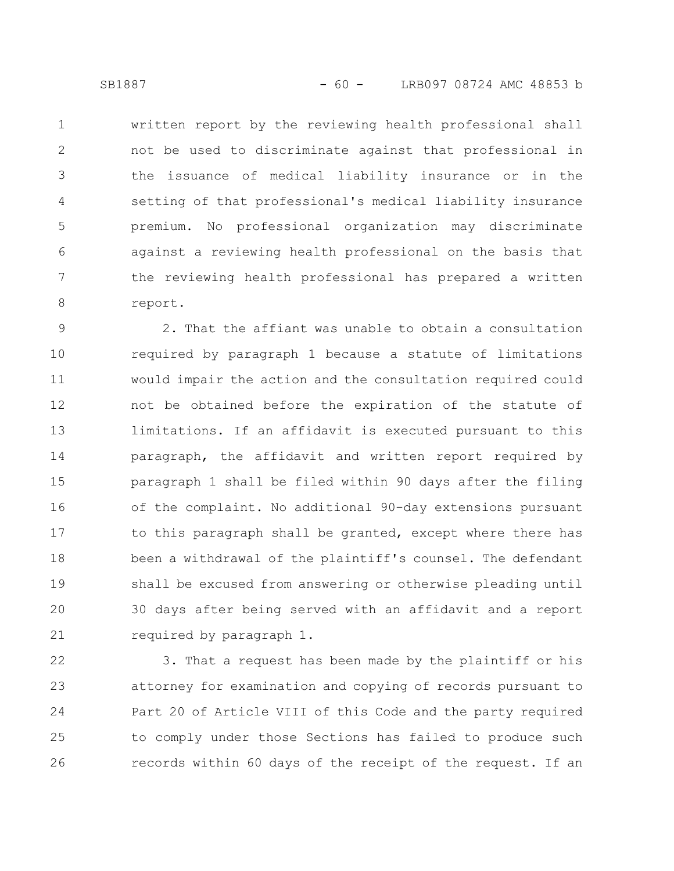written report by the reviewing health professional shall not be used to discriminate against that professional in the issuance of medical liability insurance or in the setting of that professional's medical liability insurance premium. No professional organization may discriminate against a reviewing health professional on the basis that the reviewing health professional has prepared a written report. 1 2 3 4 5 6 7 8

2. That the affiant was unable to obtain a consultation required by paragraph 1 because a statute of limitations would impair the action and the consultation required could not be obtained before the expiration of the statute of limitations. If an affidavit is executed pursuant to this paragraph, the affidavit and written report required by paragraph 1 shall be filed within 90 days after the filing of the complaint. No additional 90-day extensions pursuant to this paragraph shall be granted, except where there has been a withdrawal of the plaintiff's counsel. The defendant shall be excused from answering or otherwise pleading until 30 days after being served with an affidavit and a report required by paragraph 1. 9 10 11 12 13 14 15 16 17 18 19 20 21

3. That a request has been made by the plaintiff or his attorney for examination and copying of records pursuant to Part 20 of Article VIII of this Code and the party required to comply under those Sections has failed to produce such records within 60 days of the receipt of the request. If an 22 23 24 25 26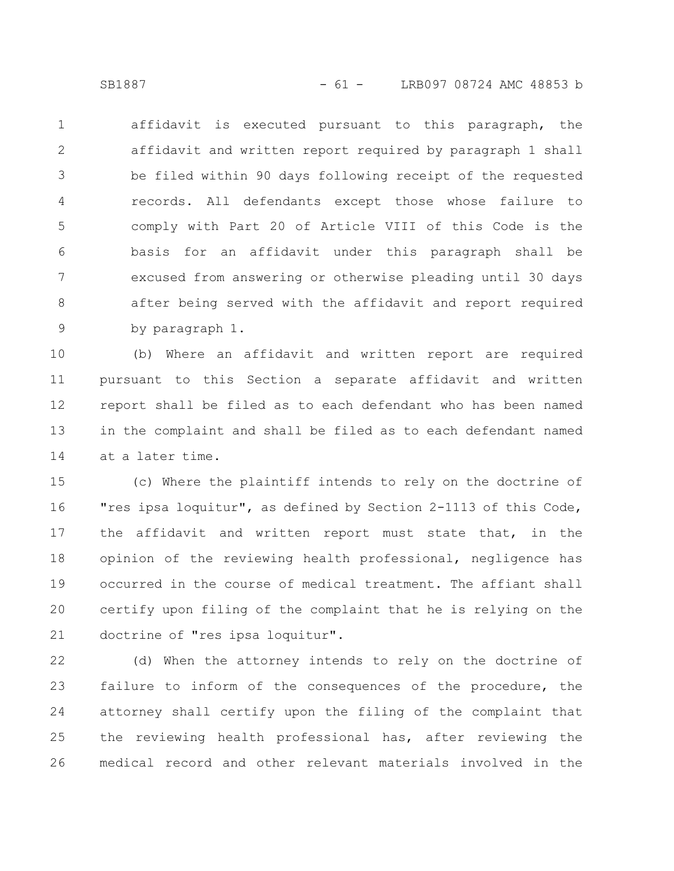affidavit is executed pursuant to this paragraph, the affidavit and written report required by paragraph 1 shall be filed within 90 days following receipt of the requested records. All defendants except those whose failure to comply with Part 20 of Article VIII of this Code is the basis for an affidavit under this paragraph shall be excused from answering or otherwise pleading until 30 days after being served with the affidavit and report required by paragraph 1. 1 2 3 4 5 6 7 8 9

(b) Where an affidavit and written report are required pursuant to this Section a separate affidavit and written report shall be filed as to each defendant who has been named in the complaint and shall be filed as to each defendant named at a later time. 10 11 12 13 14

(c) Where the plaintiff intends to rely on the doctrine of "res ipsa loquitur", as defined by Section 2-1113 of this Code, the affidavit and written report must state that, in the opinion of the reviewing health professional, negligence has occurred in the course of medical treatment. The affiant shall certify upon filing of the complaint that he is relying on the doctrine of "res ipsa loquitur". 15 16 17 18 19 20 21

(d) When the attorney intends to rely on the doctrine of failure to inform of the consequences of the procedure, the attorney shall certify upon the filing of the complaint that the reviewing health professional has, after reviewing the medical record and other relevant materials involved in the 22 23 24 25 26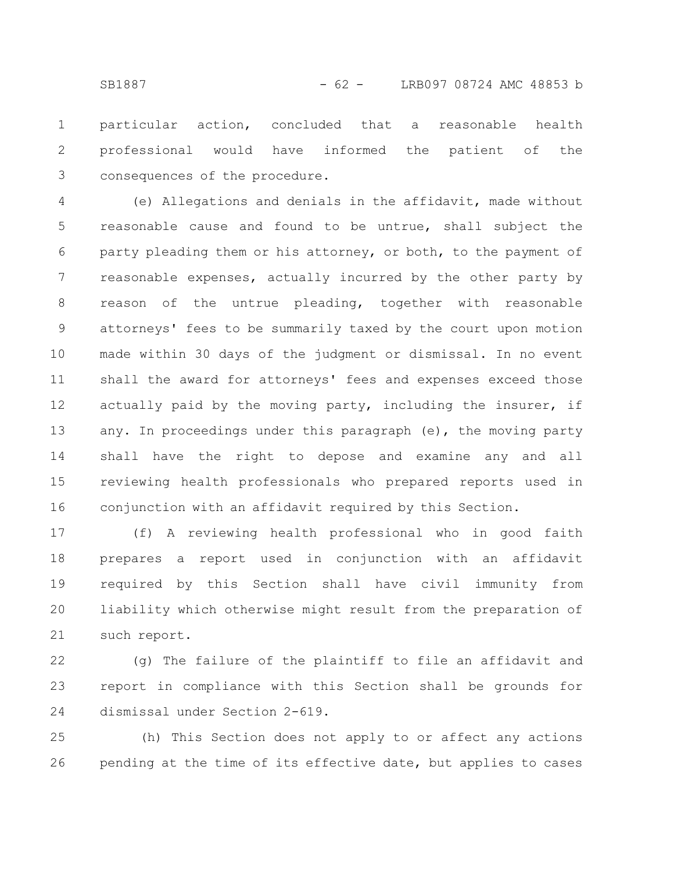particular action, concluded that a reasonable health professional would have informed the patient of the consequences of the procedure. 1 2 3

(e) Allegations and denials in the affidavit, made without reasonable cause and found to be untrue, shall subject the party pleading them or his attorney, or both, to the payment of reasonable expenses, actually incurred by the other party by reason of the untrue pleading, together with reasonable attorneys' fees to be summarily taxed by the court upon motion made within 30 days of the judgment or dismissal. In no event shall the award for attorneys' fees and expenses exceed those actually paid by the moving party, including the insurer, if any. In proceedings under this paragraph (e), the moving party shall have the right to depose and examine any and all reviewing health professionals who prepared reports used in conjunction with an affidavit required by this Section. 4 5 6 7 8 9 10 11 12 13 14 15 16

(f) A reviewing health professional who in good faith prepares a report used in conjunction with an affidavit required by this Section shall have civil immunity from liability which otherwise might result from the preparation of such report. 17 18 19 20 21

(g) The failure of the plaintiff to file an affidavit and report in compliance with this Section shall be grounds for dismissal under Section 2-619. 22 23 24

(h) This Section does not apply to or affect any actions pending at the time of its effective date, but applies to cases 25 26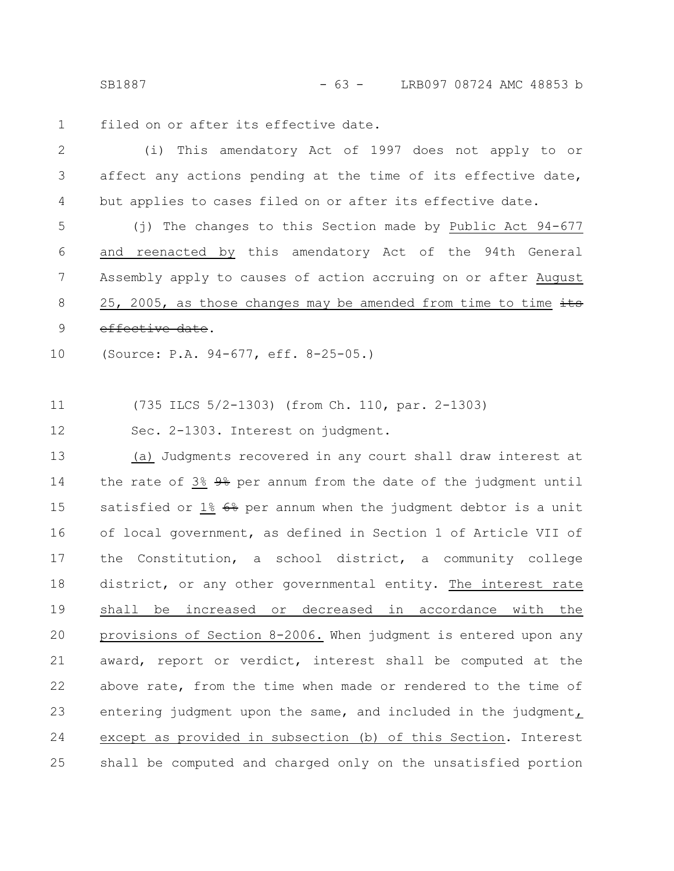SB1887 - 63 - LRB097 08724 AMC 48853 b

filed on or after its effective date. 1

(i) This amendatory Act of 1997 does not apply to or affect any actions pending at the time of its effective date, but applies to cases filed on or after its effective date. 2 3 4

(j) The changes to this Section made by Public Act 94-677 and reenacted by this amendatory Act of the 94th General Assembly apply to causes of action accruing on or after August 25, 2005, as those changes may be amended from time to time  $\frac{1}{10}$ effective date. 5 6 7 8 9

(Source: P.A. 94-677, eff. 8-25-05.) 10

(735 ILCS 5/2-1303) (from Ch. 110, par. 2-1303) 11

Sec. 2-1303. Interest on judgment. 12

(a) Judgments recovered in any court shall draw interest at the rate of 3% 9% per annum from the date of the judgment until satisfied or  $1\frac{2}{5}$   $6\frac{2}{5}$  per annum when the judgment debtor is a unit of local government, as defined in Section 1 of Article VII of the Constitution, a school district, a community college district, or any other governmental entity. The interest rate shall be increased or decreased in accordance with the provisions of Section 8-2006. When judgment is entered upon any award, report or verdict, interest shall be computed at the above rate, from the time when made or rendered to the time of entering judgment upon the same, and included in the judgment, except as provided in subsection (b) of this Section. Interest shall be computed and charged only on the unsatisfied portion 13 14 15 16 17 18 19 20 21 22 23 24 25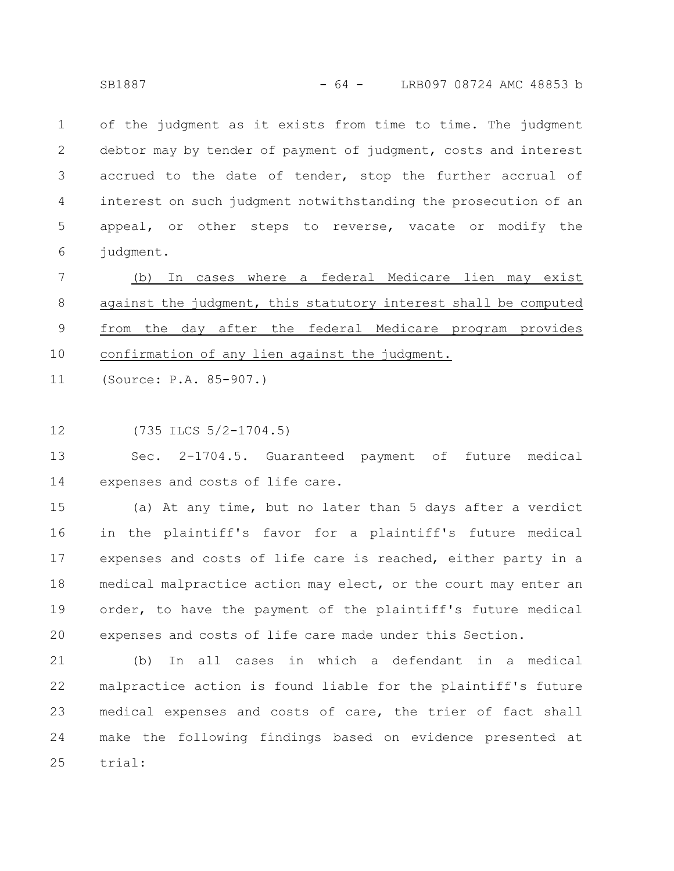of the judgment as it exists from time to time. The judgment debtor may by tender of payment of judgment, costs and interest accrued to the date of tender, stop the further accrual of interest on such judgment notwithstanding the prosecution of an appeal, or other steps to reverse, vacate or modify the judgment. 1 2 3 4 5 6

(b) In cases where a federal Medicare lien may exist against the judgment, this statutory interest shall be computed from the day after the federal Medicare program provides confirmation of any lien against the judgment. 7 8 9 10

(Source: P.A. 85-907.) 11

(735 ILCS 5/2-1704.5) 12

Sec. 2-1704.5. Guaranteed payment of future medical expenses and costs of life care. 13 14

(a) At any time, but no later than 5 days after a verdict in the plaintiff's favor for a plaintiff's future medical expenses and costs of life care is reached, either party in a medical malpractice action may elect, or the court may enter an order, to have the payment of the plaintiff's future medical expenses and costs of life care made under this Section. 15 16 17 18 19 20

(b) In all cases in which a defendant in a medical malpractice action is found liable for the plaintiff's future medical expenses and costs of care, the trier of fact shall make the following findings based on evidence presented at trial: 21 22 23 24 25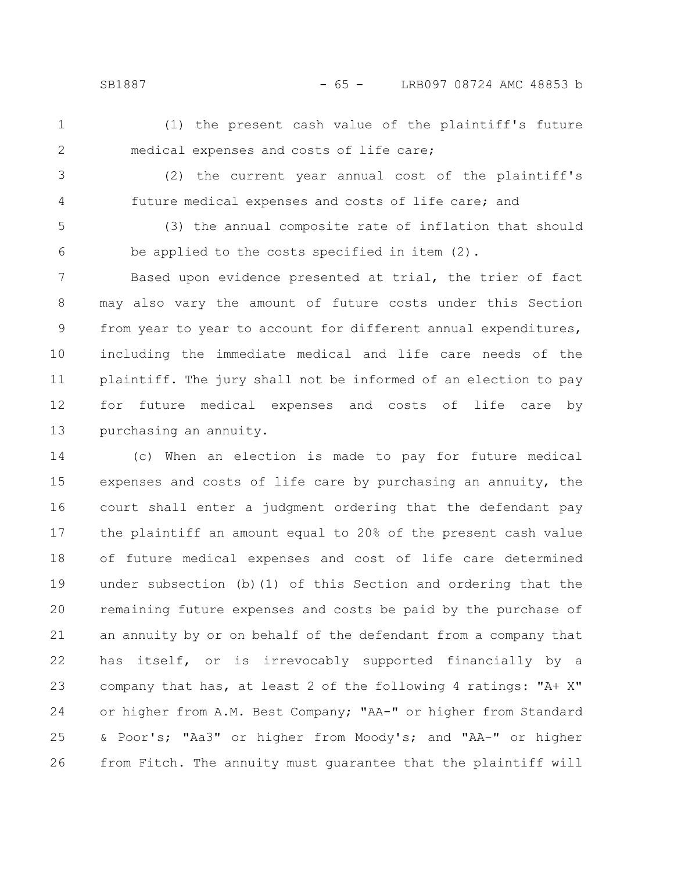SB1887 - 65 - LRB097 08724 AMC 48853 b

1

(1) the present cash value of the plaintiff's future medical expenses and costs of life care;

3

4

2

(2) the current year annual cost of the plaintiff's future medical expenses and costs of life care; and

(3) the annual composite rate of inflation that should be applied to the costs specified in item (2). 5 6

Based upon evidence presented at trial, the trier of fact may also vary the amount of future costs under this Section from year to year to account for different annual expenditures, including the immediate medical and life care needs of the plaintiff. The jury shall not be informed of an election to pay for future medical expenses and costs of life care by purchasing an annuity. 7 8 9 10 11 12 13

(c) When an election is made to pay for future medical expenses and costs of life care by purchasing an annuity, the court shall enter a judgment ordering that the defendant pay the plaintiff an amount equal to 20% of the present cash value of future medical expenses and cost of life care determined under subsection (b)(1) of this Section and ordering that the remaining future expenses and costs be paid by the purchase of an annuity by or on behalf of the defendant from a company that has itself, or is irrevocably supported financially by a company that has, at least 2 of the following 4 ratings: "A+ X" or higher from A.M. Best Company; "AA-" or higher from Standard & Poor's; "Aa3" or higher from Moody's; and "AA-" or higher from Fitch. The annuity must guarantee that the plaintiff will 14 15 16 17 18 19 20 21 22 23 24 25 26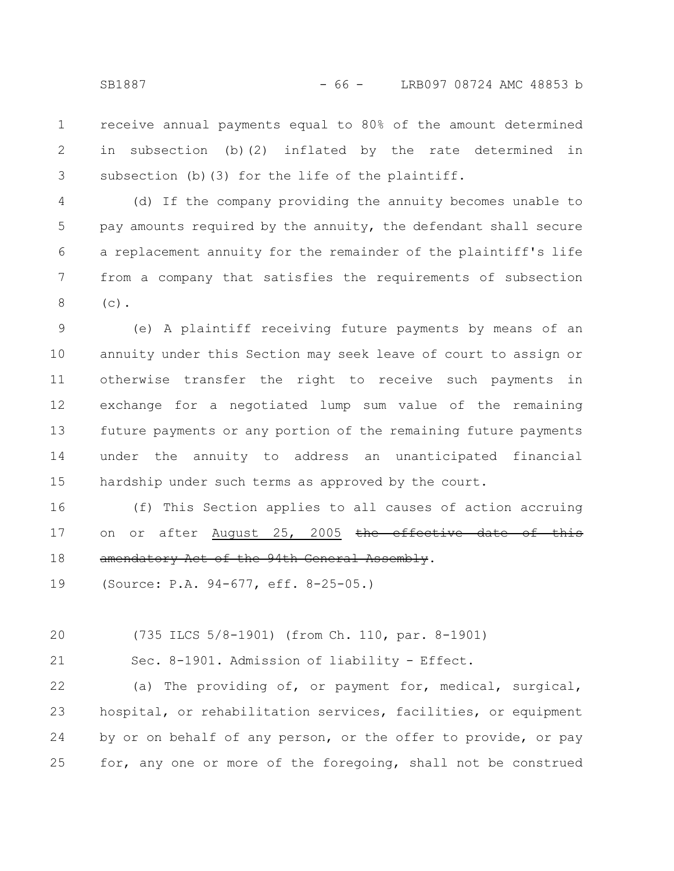receive annual payments equal to 80% of the amount determined in subsection (b)(2) inflated by the rate determined in subsection (b)(3) for the life of the plaintiff. 1 2 3

(d) If the company providing the annuity becomes unable to pay amounts required by the annuity, the defendant shall secure a replacement annuity for the remainder of the plaintiff's life from a company that satisfies the requirements of subsection  $(c)$ . 4 5 6 7 8

(e) A plaintiff receiving future payments by means of an annuity under this Section may seek leave of court to assign or otherwise transfer the right to receive such payments in exchange for a negotiated lump sum value of the remaining future payments or any portion of the remaining future payments under the annuity to address an unanticipated financial hardship under such terms as approved by the court. 9 10 11 12 13 14 15

(f) This Section applies to all causes of action accruing on or after August 25, 2005 the effective date of amendatory Act of the 94th General Assembly. 16 17 18

(Source: P.A. 94-677, eff. 8-25-05.) 19

(735 ILCS 5/8-1901) (from Ch. 110, par. 8-1901) 20

21

Sec. 8-1901. Admission of liability - Effect.

(a) The providing of, or payment for, medical, surgical, hospital, or rehabilitation services, facilities, or equipment by or on behalf of any person, or the offer to provide, or pay for, any one or more of the foregoing, shall not be construed 22 23 24 25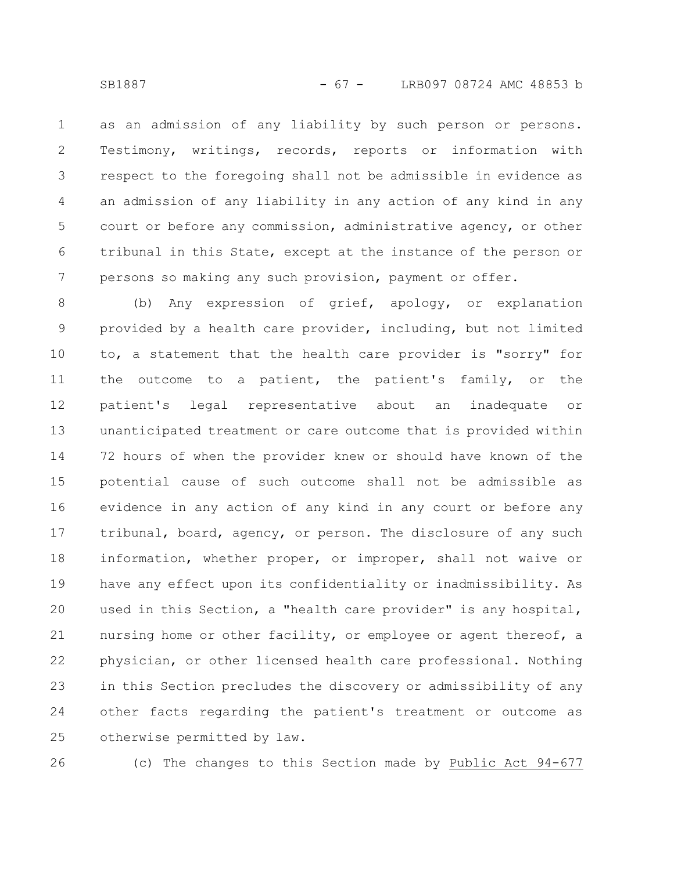as an admission of any liability by such person or persons. Testimony, writings, records, reports or information with respect to the foregoing shall not be admissible in evidence as an admission of any liability in any action of any kind in any court or before any commission, administrative agency, or other tribunal in this State, except at the instance of the person or persons so making any such provision, payment or offer. 1 2 3 4 5 6 7

(b) Any expression of grief, apology, or explanation provided by a health care provider, including, but not limited to, a statement that the health care provider is "sorry" for the outcome to a patient, the patient's family, or the patient's legal representative about an inadequate or unanticipated treatment or care outcome that is provided within 72 hours of when the provider knew or should have known of the potential cause of such outcome shall not be admissible as evidence in any action of any kind in any court or before any tribunal, board, agency, or person. The disclosure of any such information, whether proper, or improper, shall not waive or have any effect upon its confidentiality or inadmissibility. As used in this Section, a "health care provider" is any hospital, nursing home or other facility, or employee or agent thereof, a physician, or other licensed health care professional. Nothing in this Section precludes the discovery or admissibility of any other facts regarding the patient's treatment or outcome as otherwise permitted by law. 8 9 10 11 12 13 14 15 16 17 18 19 20 21 22 23 24 25

26

(c) The changes to this Section made by Public Act 94-677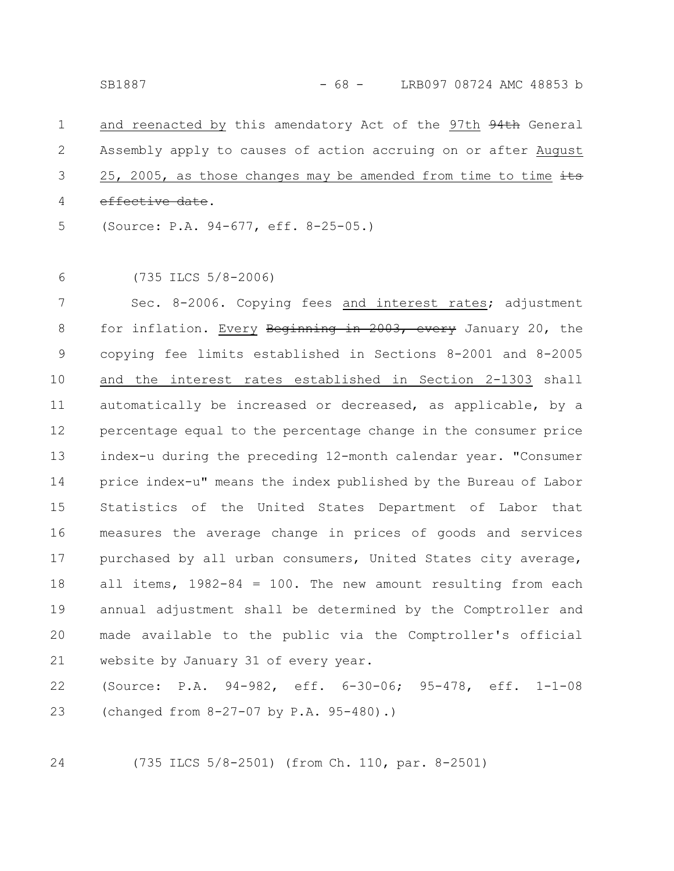and reenacted by this amendatory Act of the 97th 94th General Assembly apply to causes of action accruing on or after August 25, 2005, as those changes may be amended from time to time  $\frac{1}{10}$ effective date. (Source: P.A. 94-677, eff. 8-25-05.) 1 2 3 4 5

(735 ILCS 5/8-2006) 6

Sec. 8-2006. Copying fees and interest rates; adjustment for inflation. Every Beginning in 2003, every January 20, the copying fee limits established in Sections 8-2001 and 8-2005 and the interest rates established in Section 2-1303 shall automatically be increased or decreased, as applicable, by a percentage equal to the percentage change in the consumer price index-u during the preceding 12-month calendar year. "Consumer price index-u" means the index published by the Bureau of Labor Statistics of the United States Department of Labor that measures the average change in prices of goods and services purchased by all urban consumers, United States city average, all items,  $1982-84 = 100$ . The new amount resulting from each annual adjustment shall be determined by the Comptroller and made available to the public via the Comptroller's official website by January 31 of every year. 7 8 9 10 11 12 13 14 15 16 17 18 19 20 21

(Source: P.A. 94-982, eff. 6-30-06; 95-478, eff. 1-1-08 (changed from 8-27-07 by P.A. 95-480).) 22 23

24

(735 ILCS 5/8-2501) (from Ch. 110, par. 8-2501)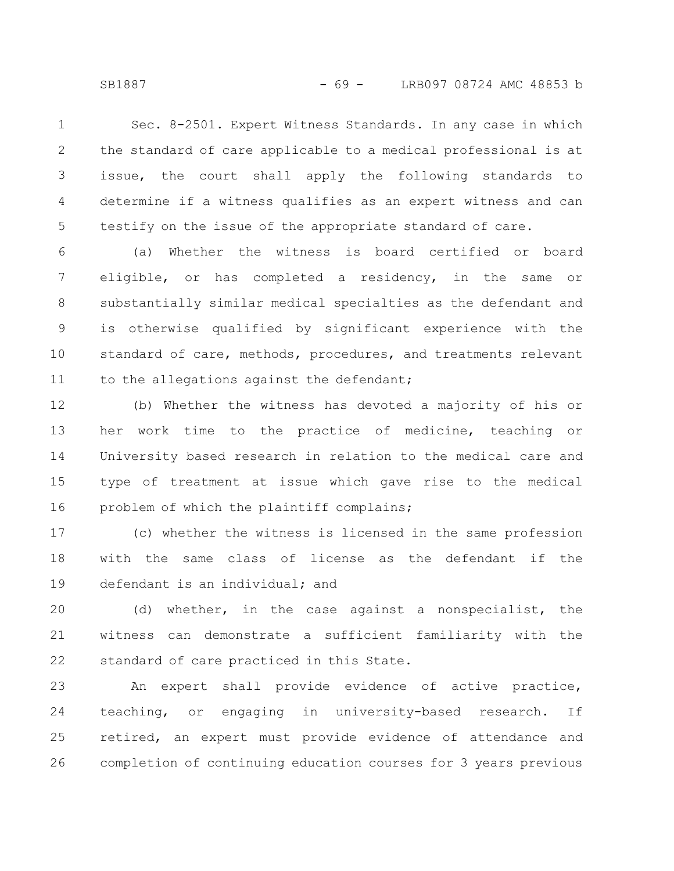Sec. 8-2501. Expert Witness Standards. In any case in which the standard of care applicable to a medical professional is at issue, the court shall apply the following standards to determine if a witness qualifies as an expert witness and can testify on the issue of the appropriate standard of care. 1 2 3 4 5

(a) Whether the witness is board certified or board eligible, or has completed a residency, in the same or substantially similar medical specialties as the defendant and is otherwise qualified by significant experience with the standard of care, methods, procedures, and treatments relevant to the allegations against the defendant; 6 7 8 9 10 11

(b) Whether the witness has devoted a majority of his or her work time to the practice of medicine, teaching or University based research in relation to the medical care and type of treatment at issue which gave rise to the medical problem of which the plaintiff complains; 12 13 14 15 16

(c) whether the witness is licensed in the same profession with the same class of license as the defendant if the defendant is an individual; and 17 18 19

(d) whether, in the case against a nonspecialist, the witness can demonstrate a sufficient familiarity with the standard of care practiced in this State. 20 21 22

An expert shall provide evidence of active practice, teaching, or engaging in university-based research. If retired, an expert must provide evidence of attendance and completion of continuing education courses for 3 years previous 23 24 25 26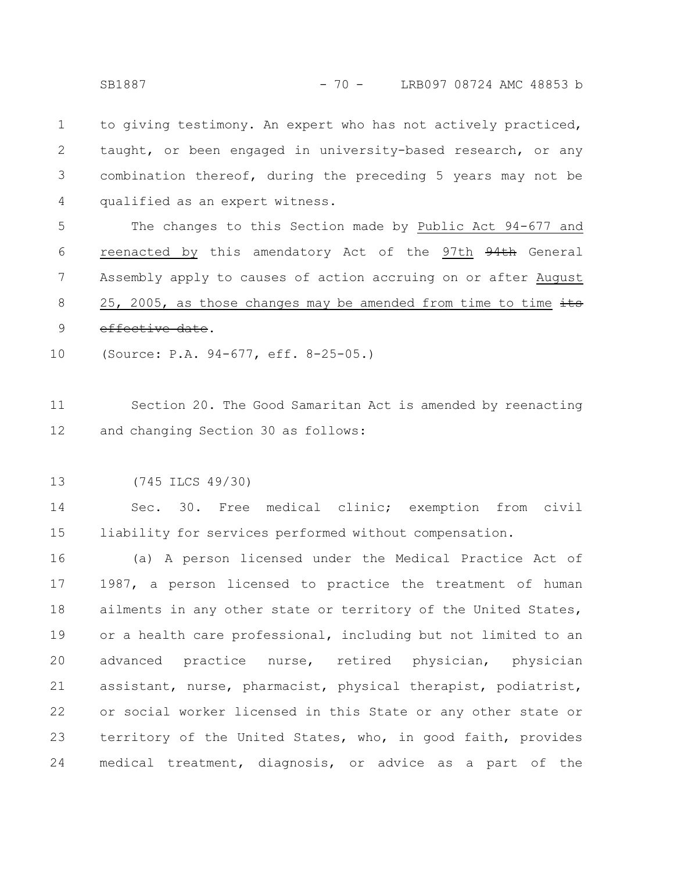to giving testimony. An expert who has not actively practiced, taught, or been engaged in university-based research, or any combination thereof, during the preceding 5 years may not be qualified as an expert witness. 1 2 3 4

The changes to this Section made by Public Act 94-677 and reenacted by this amendatory Act of the 97th 94th General Assembly apply to causes of action accruing on or after August 25, 2005, as those changes may be amended from time to time  $\frac{1}{10}$ effective date. 5 6 7 8 9

(Source: P.A. 94-677, eff. 8-25-05.) 10

Section 20. The Good Samaritan Act is amended by reenacting and changing Section 30 as follows: 11 12

(745 ILCS 49/30) 13

Sec. 30. Free medical clinic; exemption from civil liability for services performed without compensation. 14 15

(a) A person licensed under the Medical Practice Act of 1987, a person licensed to practice the treatment of human ailments in any other state or territory of the United States, or a health care professional, including but not limited to an advanced practice nurse, retired physician, physician assistant, nurse, pharmacist, physical therapist, podiatrist, or social worker licensed in this State or any other state or territory of the United States, who, in good faith, provides medical treatment, diagnosis, or advice as a part of the 16 17 18 19 20 21 22 23 24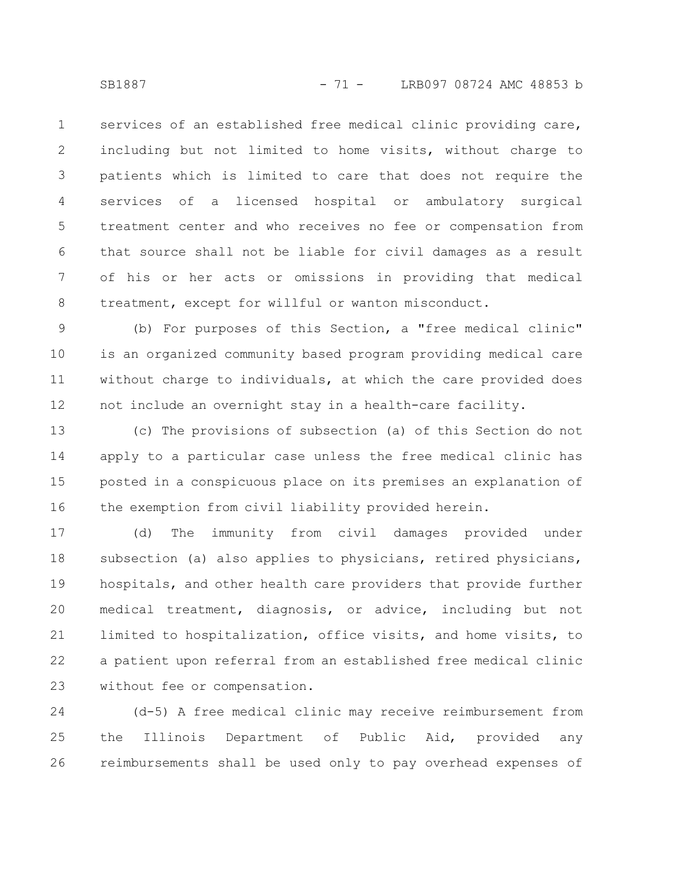services of an established free medical clinic providing care, including but not limited to home visits, without charge to patients which is limited to care that does not require the services of a licensed hospital or ambulatory surgical treatment center and who receives no fee or compensation from that source shall not be liable for civil damages as a result of his or her acts or omissions in providing that medical treatment, except for willful or wanton misconduct. 1 2 3 4 5 6 7 8

(b) For purposes of this Section, a "free medical clinic" is an organized community based program providing medical care without charge to individuals, at which the care provided does not include an overnight stay in a health-care facility. 9 10 11 12

(c) The provisions of subsection (a) of this Section do not apply to a particular case unless the free medical clinic has posted in a conspicuous place on its premises an explanation of the exemption from civil liability provided herein. 13 14 15 16

(d) The immunity from civil damages provided under subsection (a) also applies to physicians, retired physicians, hospitals, and other health care providers that provide further medical treatment, diagnosis, or advice, including but not limited to hospitalization, office visits, and home visits, to a patient upon referral from an established free medical clinic without fee or compensation. 17 18 19 20 21 22 23

(d-5) A free medical clinic may receive reimbursement from the Illinois Department of Public Aid, provided any reimbursements shall be used only to pay overhead expenses of 24 25 26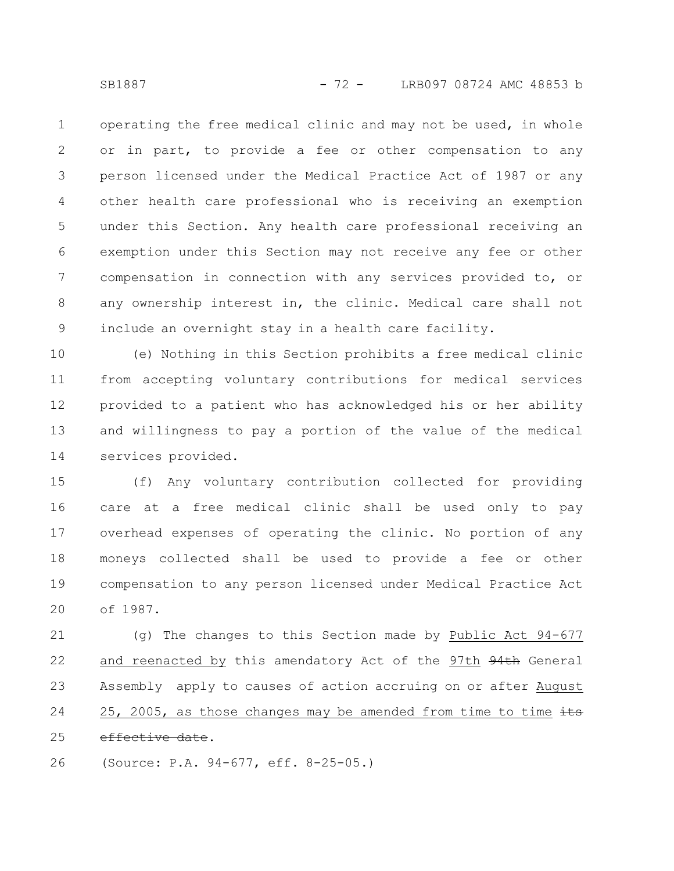operating the free medical clinic and may not be used, in whole or in part, to provide a fee or other compensation to any person licensed under the Medical Practice Act of 1987 or any other health care professional who is receiving an exemption under this Section. Any health care professional receiving an exemption under this Section may not receive any fee or other compensation in connection with any services provided to, or any ownership interest in, the clinic. Medical care shall not include an overnight stay in a health care facility. 1 2 3 4 5 6 7 8 9

(e) Nothing in this Section prohibits a free medical clinic from accepting voluntary contributions for medical services provided to a patient who has acknowledged his or her ability and willingness to pay a portion of the value of the medical services provided. 10 11 12 13 14

(f) Any voluntary contribution collected for providing care at a free medical clinic shall be used only to pay overhead expenses of operating the clinic. No portion of any moneys collected shall be used to provide a fee or other compensation to any person licensed under Medical Practice Act of 1987. 15 16 17 18 19 20

(g) The changes to this Section made by Public Act 94-677 and reenacted by this amendatory Act of the 97th 94th General Assembly apply to causes of action accruing on or after August 25, 2005, as those changes may be amended from time to time  $\pm \pm s$ effective date. 21 22 23 24 25

(Source: P.A. 94-677, eff. 8-25-05.) 26